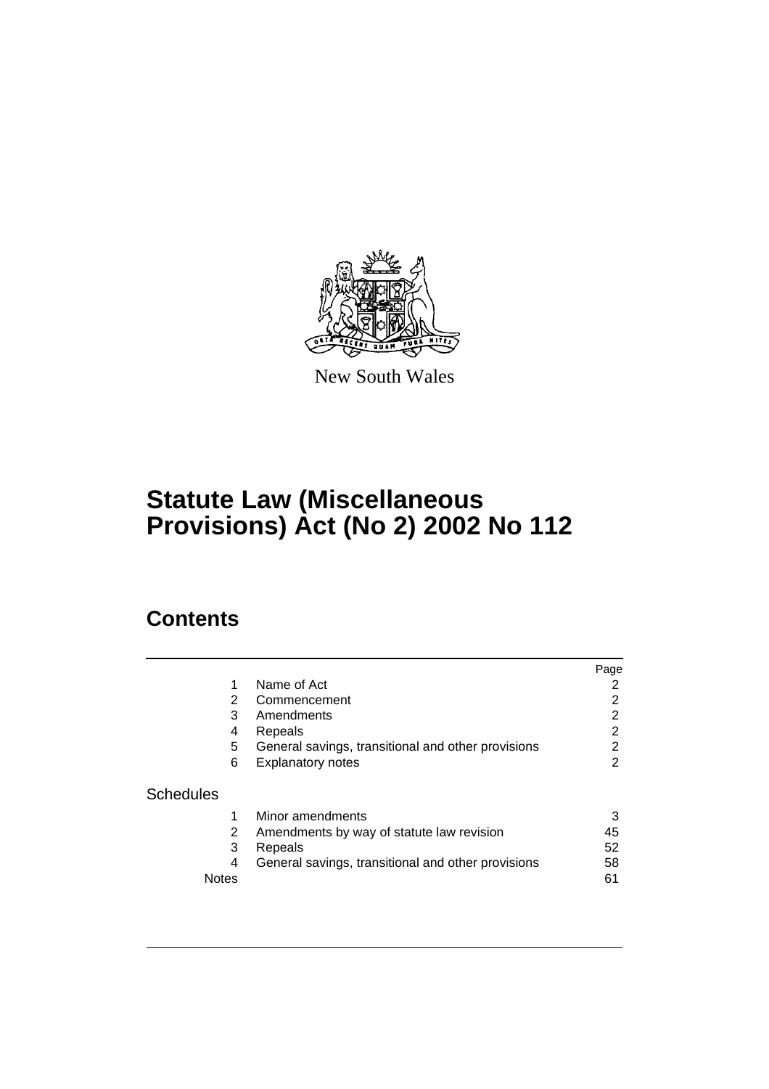

New South Wales

# **Statute Law (Miscellaneous Provisions) Act (No 2) 2002 No 112**

# **Contents**

|                  |                                                         | Page           |
|------------------|---------------------------------------------------------|----------------|
|                  | Name of Act<br>1                                        | 2              |
|                  | 2<br>Commencement                                       | $\overline{2}$ |
|                  | 3<br>Amendments                                         | 2              |
|                  | Repeals<br>4                                            | $\overline{2}$ |
|                  | 5<br>General savings, transitional and other provisions | $\overline{2}$ |
|                  | 6<br><b>Explanatory notes</b>                           | 2              |
| <b>Schedules</b> |                                                         |                |
|                  | Minor amendments                                        | 3              |
|                  | 2<br>Amendments by way of statute law revision          | 45             |
|                  | 3<br>Repeals                                            | 52             |
|                  | General savings, transitional and other provisions<br>4 | 58             |
| <b>Notes</b>     |                                                         | 61             |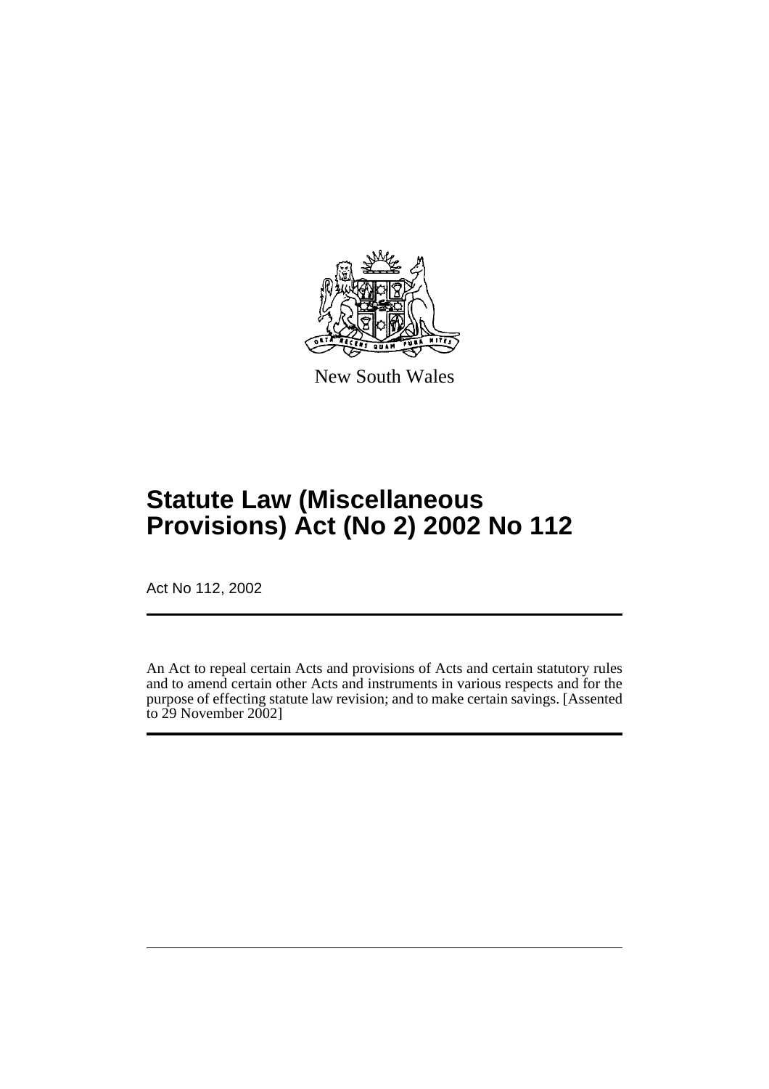

New South Wales

# **Statute Law (Miscellaneous Provisions) Act (No 2) 2002 No 112**

Act No 112, 2002

An Act to repeal certain Acts and provisions of Acts and certain statutory rules and to amend certain other Acts and instruments in various respects and for the purpose of effecting statute law revision; and to make certain savings. [Assented to 29 November 2002]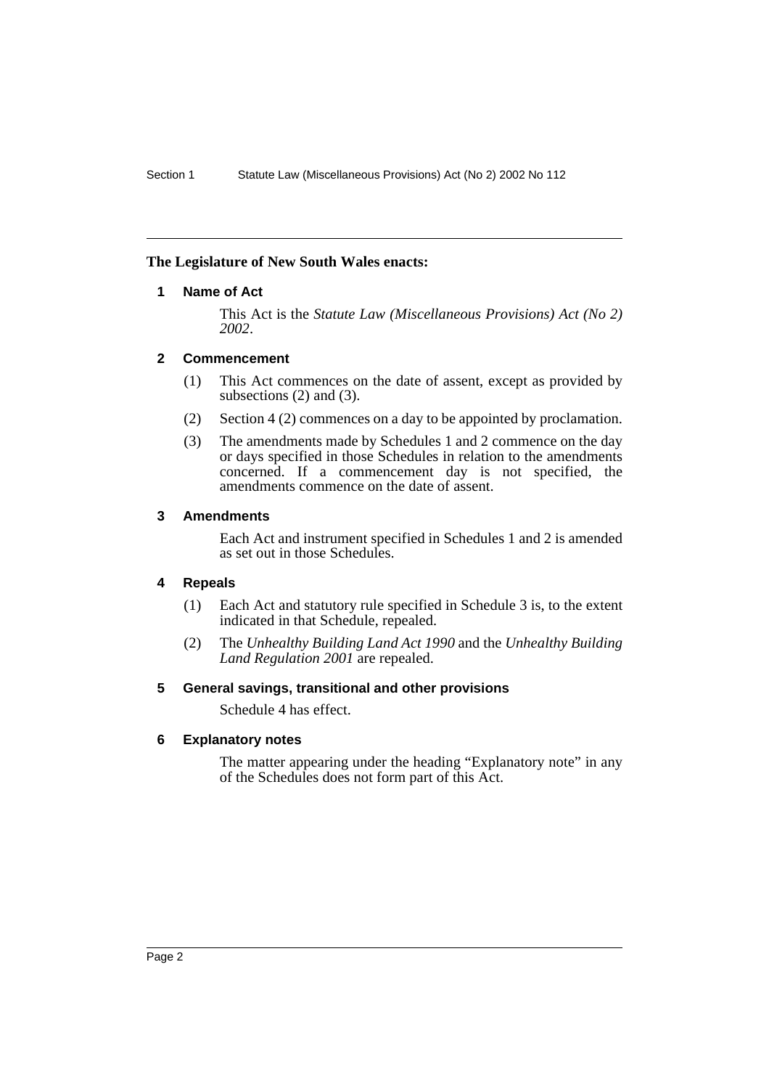### <span id="page-2-0"></span>**The Legislature of New South Wales enacts:**

### **1 Name of Act**

This Act is the *Statute Law (Miscellaneous Provisions) Act (No 2) 2002*.

### <span id="page-2-1"></span>**2 Commencement**

- (1) This Act commences on the date of assent, except as provided by subsections (2) and (3).
- (2) Section 4 (2) commences on a day to be appointed by proclamation.
- (3) The amendments made by Schedules 1 and 2 commence on the day or days specified in those Schedules in relation to the amendments concerned. If a commencement day is not specified, the amendments commence on the date of assent.

### <span id="page-2-2"></span>**3 Amendments**

Each Act and instrument specified in Schedules 1 and 2 is amended as set out in those Schedules.

# <span id="page-2-3"></span>**4 Repeals**

- (1) Each Act and statutory rule specified in Schedule 3 is, to the extent indicated in that Schedule, repealed.
- (2) The *Unhealthy Building Land Act 1990* and the *Unhealthy Building Land Regulation 2001* are repealed.

### <span id="page-2-4"></span>**5 General savings, transitional and other provisions**

Schedule 4 has effect.

### <span id="page-2-5"></span>**6 Explanatory notes**

The matter appearing under the heading "Explanatory note" in any of the Schedules does not form part of this Act.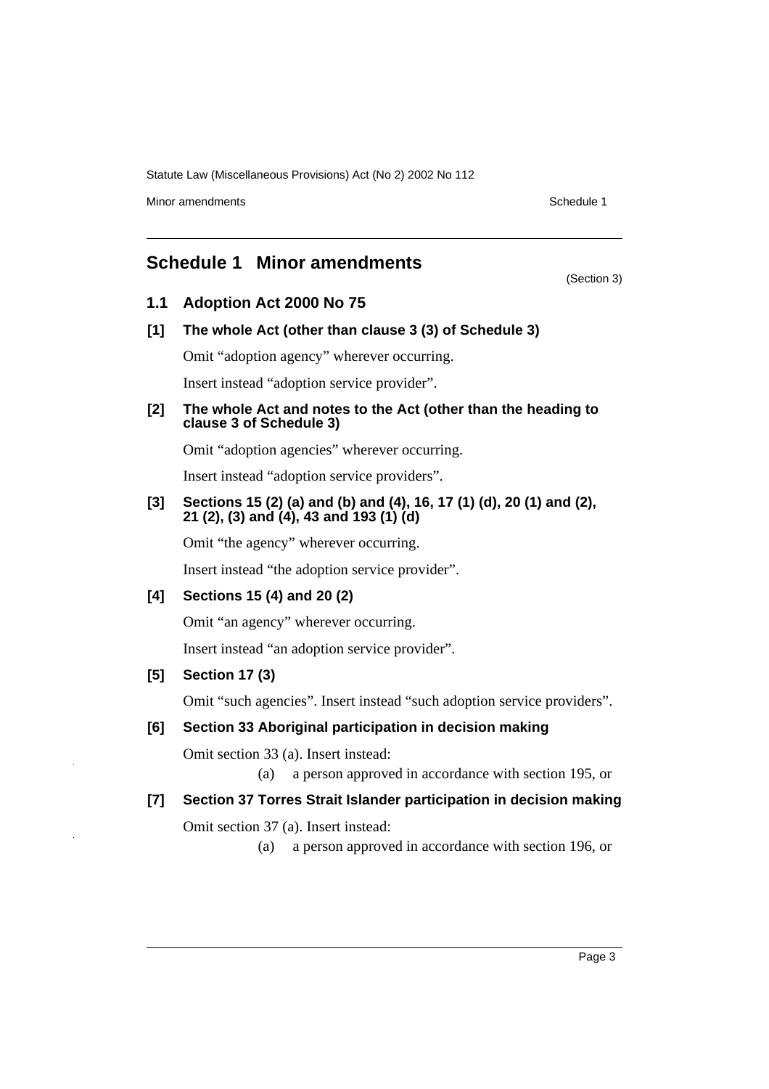Minor amendments **Schedule 1** and the state of the state of the Schedule 1

(Section 3)

# <span id="page-3-0"></span>**Schedule 1 Minor amendments**

### **1.1 Adoption Act 2000 No 75**

**[1] The whole Act (other than clause 3 (3) of Schedule 3)**

Omit "adoption agency" wherever occurring.

Insert instead "adoption service provider".

#### **[2] The whole Act and notes to the Act (other than the heading to clause 3 of Schedule 3)**

Omit "adoption agencies" wherever occurring.

Insert instead "adoption service providers".

### **[3] Sections 15 (2) (a) and (b) and (4), 16, 17 (1) (d), 20 (1) and (2), 21 (2), (3) and (4), 43 and 193 (1) (d)**

Omit "the agency" wherever occurring.

Insert instead "the adoption service provider".

### **[4] Sections 15 (4) and 20 (2)**

Omit "an agency" wherever occurring.

Insert instead "an adoption service provider".

### **[5] Section 17 (3)**

Omit "such agencies". Insert instead "such adoption service providers".

### **[6] Section 33 Aboriginal participation in decision making**

Omit section 33 (a). Insert instead:

(a) a person approved in accordance with section 195, or

### **[7] Section 37 Torres Strait Islander participation in decision making**

Omit section 37 (a). Insert instead:

(a) a person approved in accordance with section 196, or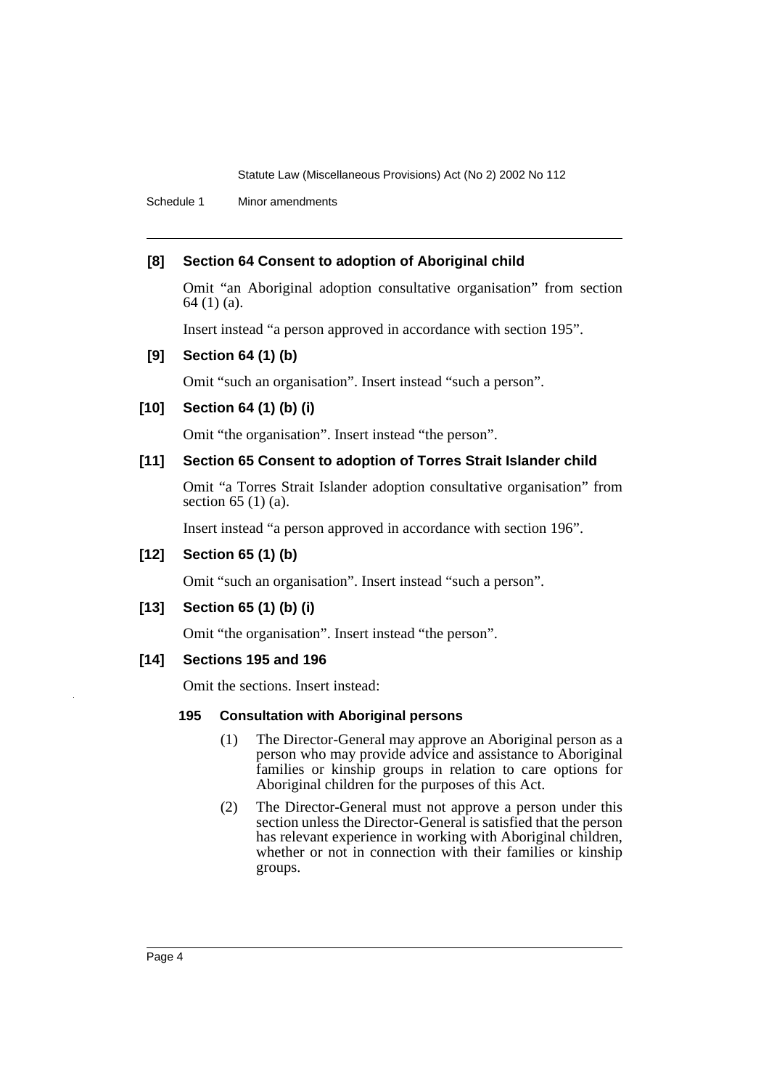Schedule 1 Minor amendments

### **[8] Section 64 Consent to adoption of Aboriginal child**

Omit "an Aboriginal adoption consultative organisation" from section 64 (1) (a).

Insert instead "a person approved in accordance with section 195".

### **[9] Section 64 (1) (b)**

Omit "such an organisation". Insert instead "such a person".

### **[10] Section 64 (1) (b) (i)**

Omit "the organisation". Insert instead "the person".

### **[11] Section 65 Consent to adoption of Torres Strait Islander child**

Omit "a Torres Strait Islander adoption consultative organisation" from section 65 (1) (a).

Insert instead "a person approved in accordance with section 196".

### **[12] Section 65 (1) (b)**

Omit "such an organisation". Insert instead "such a person".

### **[13] Section 65 (1) (b) (i)**

Omit "the organisation". Insert instead "the person".

### **[14] Sections 195 and 196**

Omit the sections. Insert instead:

### **195 Consultation with Aboriginal persons**

- (1) The Director-General may approve an Aboriginal person as a person who may provide advice and assistance to Aboriginal families or kinship groups in relation to care options for Aboriginal children for the purposes of this Act.
- (2) The Director-General must not approve a person under this section unless the Director-General is satisfied that the person has relevant experience in working with Aboriginal children, whether or not in connection with their families or kinship groups.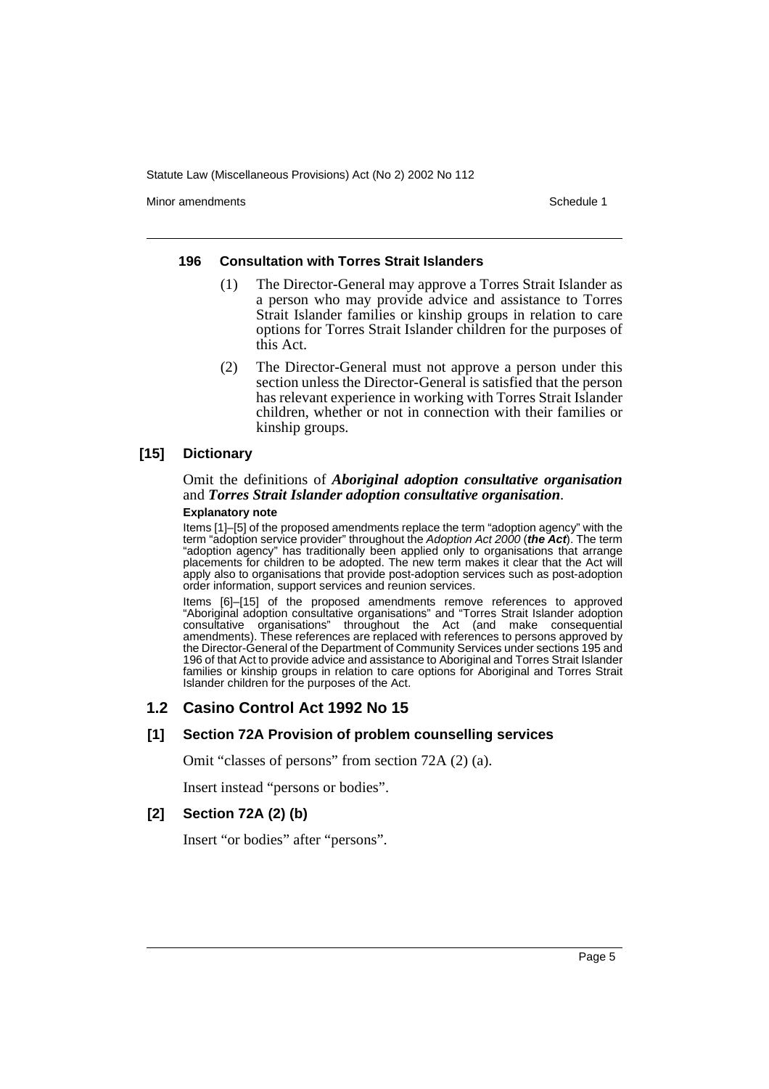Minor amendments **Schedule 1** and the state of the state of the state of the Schedule 1

#### **196 Consultation with Torres Strait Islanders**

- (1) The Director-General may approve a Torres Strait Islander as a person who may provide advice and assistance to Torres Strait Islander families or kinship groups in relation to care options for Torres Strait Islander children for the purposes of this Act.
- (2) The Director-General must not approve a person under this section unless the Director-General is satisfied that the person has relevant experience in working with Torres Strait Islander children, whether or not in connection with their families or kinship groups.

### **[15] Dictionary**

# Omit the definitions of *Aboriginal adoption consultative organisation* and *Torres Strait Islander adoption consultative organisation*.

#### **Explanatory note**

Items [1]–[5] of the proposed amendments replace the term "adoption agency" with the term "adoption service provider" throughout the Adoption Act 2000 (**the Act**). The term "adoption agency" has traditionally been applied only to organisations that arrange placements for children to be adopted. The new term makes it clear that the Act will apply also to organisations that provide post-adoption services such as post-adoption order information, support services and reunion services.

Items [6]–[15] of the proposed amendments remove references to approved "Aboriginal adoption consultative organisations" and "Torres Strait Islander adoption consultative organisations" throughout the Act (and make consequential amendments). These references are replaced with references to persons approved by the Director-General of the Department of Community Services under sections 195 and 196 of that Act to provide advice and assistance to Aboriginal and Torres Strait Islander families or kinship groups in relation to care options for Aboriginal and Torres Strait Islander children for the purposes of the Act.

### **1.2 Casino Control Act 1992 No 15**

### **[1] Section 72A Provision of problem counselling services**

Omit "classes of persons" from section 72A (2) (a).

Insert instead "persons or bodies".

### **[2] Section 72A (2) (b)**

Insert "or bodies" after "persons".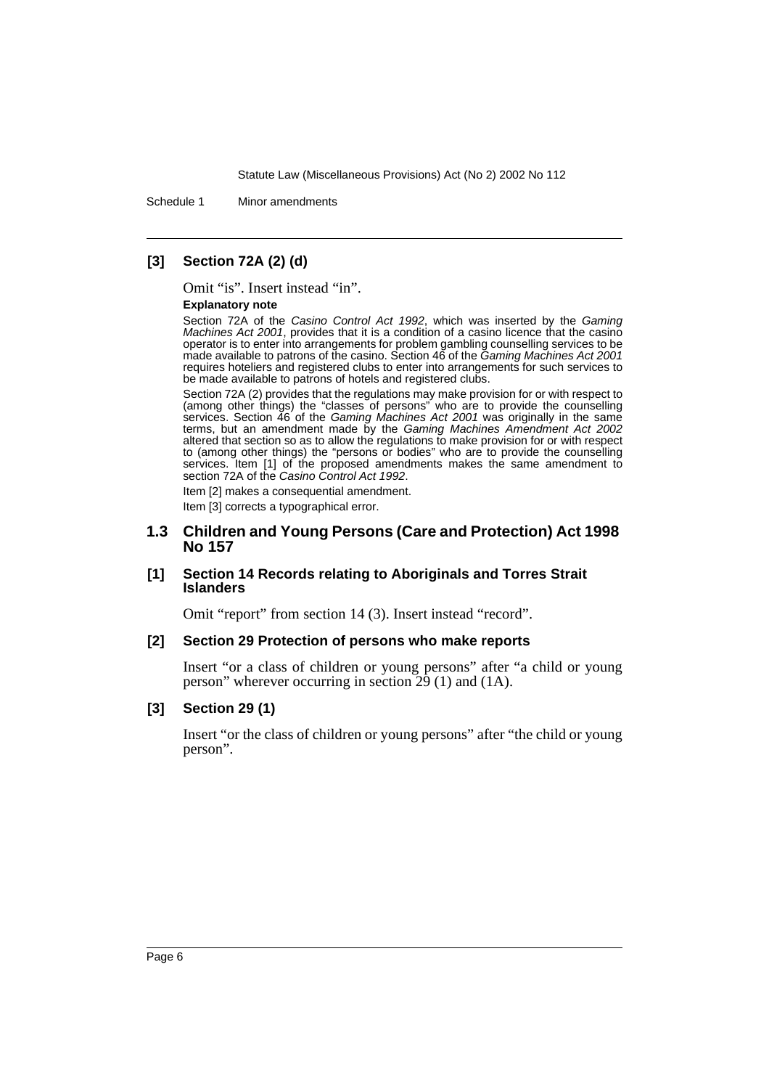Schedule 1 Minor amendments

## **[3] Section 72A (2) (d)**

Omit "is". Insert instead "in".

#### **Explanatory note**

Section 72A of the Casino Control Act 1992, which was inserted by the Gaming Machines Act 2001, provides that it is a condition of a casino licence that the casino operator is to enter into arrangements for problem gambling counselling services to be made available to patrons of the casino. Section 46 of the Gaming Machines Act 2001 requires hoteliers and registered clubs to enter into arrangements for such services to be made available to patrons of hotels and registered clubs.

Section 72A (2) provides that the regulations may make provision for or with respect to (among other things) the "classes of persons" who are to provide the counselling services. Section 46 of the Gaming Machines Act 2001 was originally in the same terms, but an amendment made by the Gaming Machines Amendment Act 2002 altered that section so as to allow the regulations to make provision for or with respect to (among other things) the "persons or bodies" who are to provide the counselling services. Item [1] of the proposed amendments makes the same amendment to section 72A of the Casino Control Act 1992.

Item [2] makes a consequential amendment. Item [3] corrects a typographical error.

### **1.3 Children and Young Persons (Care and Protection) Act 1998 No 157**

#### **[1] Section 14 Records relating to Aboriginals and Torres Strait Islanders**

Omit "report" from section 14 (3). Insert instead "record".

#### **[2] Section 29 Protection of persons who make reports**

Insert "or a class of children or young persons" after "a child or young person" wherever occurring in section  $\overline{29}$  (1) and (1A).

### **[3] Section 29 (1)**

Insert "or the class of children or young persons" after "the child or young person".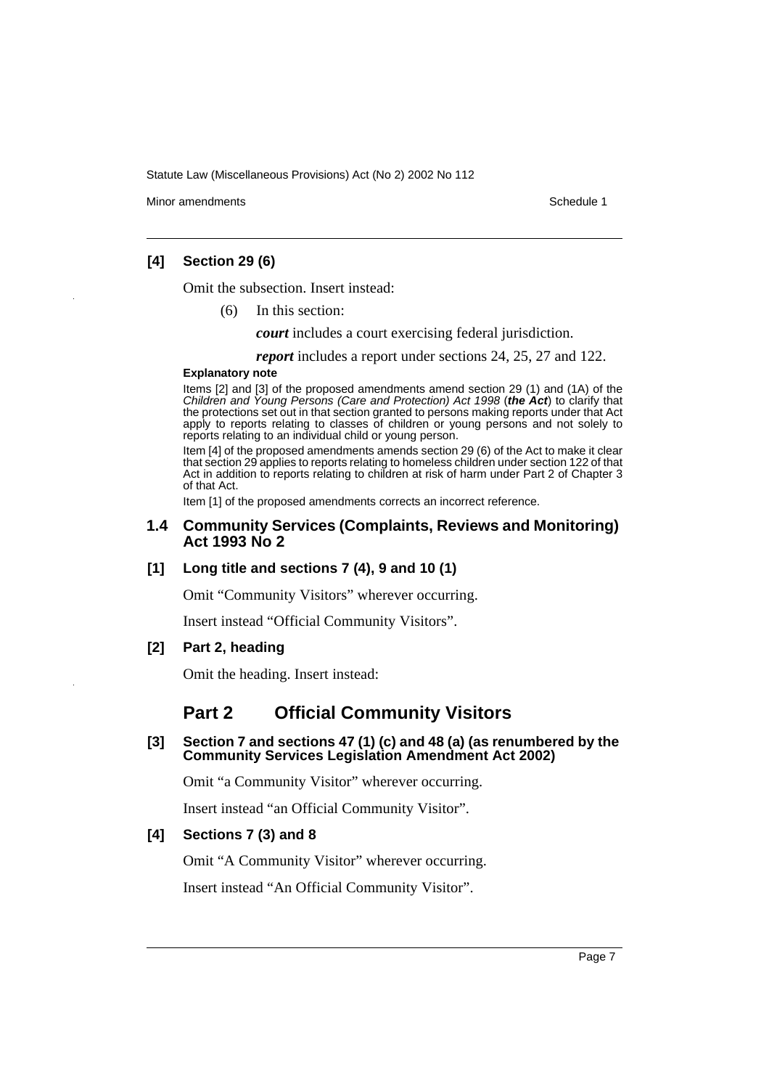Minor amendments **Schedule 1** and the state of the state of the state of the Schedule 1

### **[4] Section 29 (6)**

Omit the subsection. Insert instead:

(6) In this section:

*court* includes a court exercising federal jurisdiction.

*report* includes a report under sections 24, 25, 27 and 122.

#### **Explanatory note**

Items [2] and [3] of the proposed amendments amend section 29 (1) and (1A) of the Children and Young Persons (Care and Protection) Act 1998 (**the Act**) to clarify that the protections set out in that section granted to persons making reports under that Act apply to reports relating to classes of children or young persons and not solely to reports relating to an individual child or young person.

Item [4] of the proposed amendments amends section 29 (6) of the Act to make it clear that section 29 applies to reports relating to homeless children under section 122 of that Act in addition to reports relating to children at risk of harm under Part 2 of Chapter 3 of that Act.

Item [1] of the proposed amendments corrects an incorrect reference.

### **1.4 Community Services (Complaints, Reviews and Monitoring) Act 1993 No 2**

### **[1] Long title and sections 7 (4), 9 and 10 (1)**

Omit "Community Visitors" wherever occurring.

Insert instead "Official Community Visitors".

### **[2] Part 2, heading**

Omit the heading. Insert instead:

# **Part 2 Official Community Visitors**

### **[3] Section 7 and sections 47 (1) (c) and 48 (a) (as renumbered by the Community Services Legislation Amendment Act 2002)**

Omit "a Community Visitor" wherever occurring.

Insert instead "an Official Community Visitor".

### **[4] Sections 7 (3) and 8**

Omit "A Community Visitor" wherever occurring.

Insert instead "An Official Community Visitor".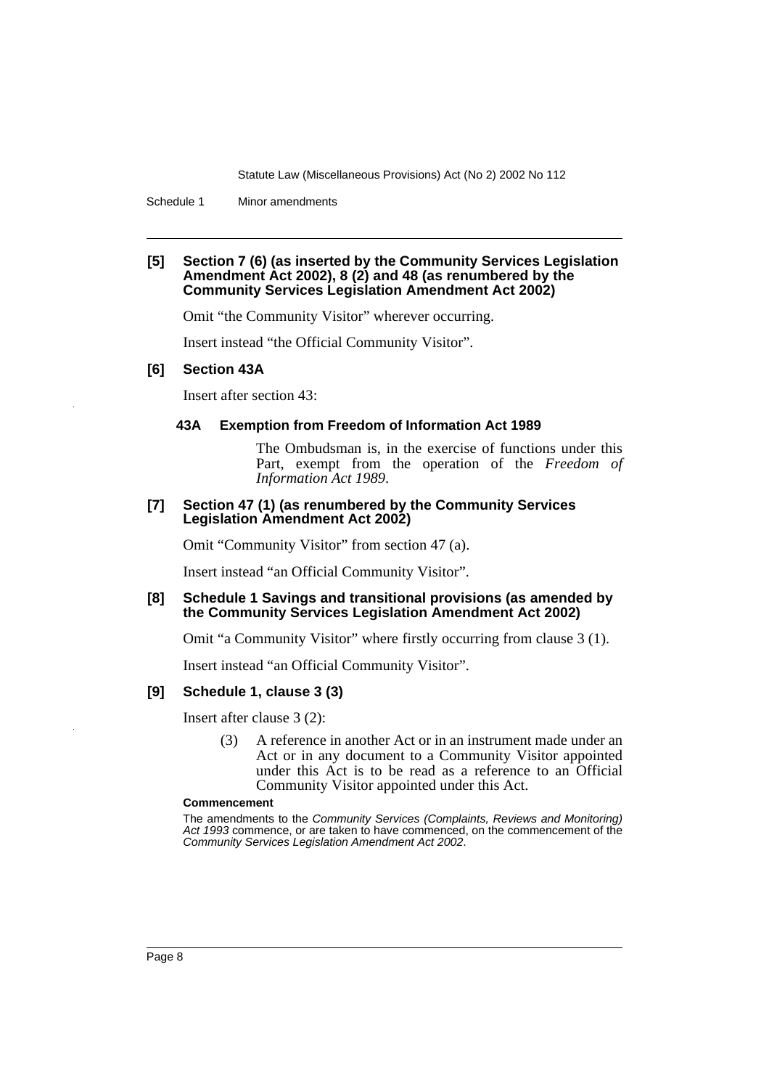Schedule 1 Minor amendments

#### **[5] Section 7 (6) (as inserted by the Community Services Legislation Amendment Act 2002), 8 (2) and 48 (as renumbered by the Community Services Legislation Amendment Act 2002)**

Omit "the Community Visitor" wherever occurring.

Insert instead "the Official Community Visitor".

#### **[6] Section 43A**

Insert after section 43:

#### **43A Exemption from Freedom of Information Act 1989**

The Ombudsman is, in the exercise of functions under this Part, exempt from the operation of the *Freedom of Information Act 1989*.

#### **[7] Section 47 (1) (as renumbered by the Community Services Legislation Amendment Act 2002)**

Omit "Community Visitor" from section 47 (a).

Insert instead "an Official Community Visitor".

#### **[8] Schedule 1 Savings and transitional provisions (as amended by the Community Services Legislation Amendment Act 2002)**

Omit "a Community Visitor" where firstly occurring from clause 3 (1).

Insert instead "an Official Community Visitor".

#### **[9] Schedule 1, clause 3 (3)**

Insert after clause 3 (2):

(3) A reference in another Act or in an instrument made under an Act or in any document to a Community Visitor appointed under this Act is to be read as a reference to an Official Community Visitor appointed under this Act.

#### **Commencement**

The amendments to the Community Services (Complaints, Reviews and Monitoring) Act 1993 commence, or are taken to have commenced, on the commencement of the Community Services Legislation Amendment Act 2002.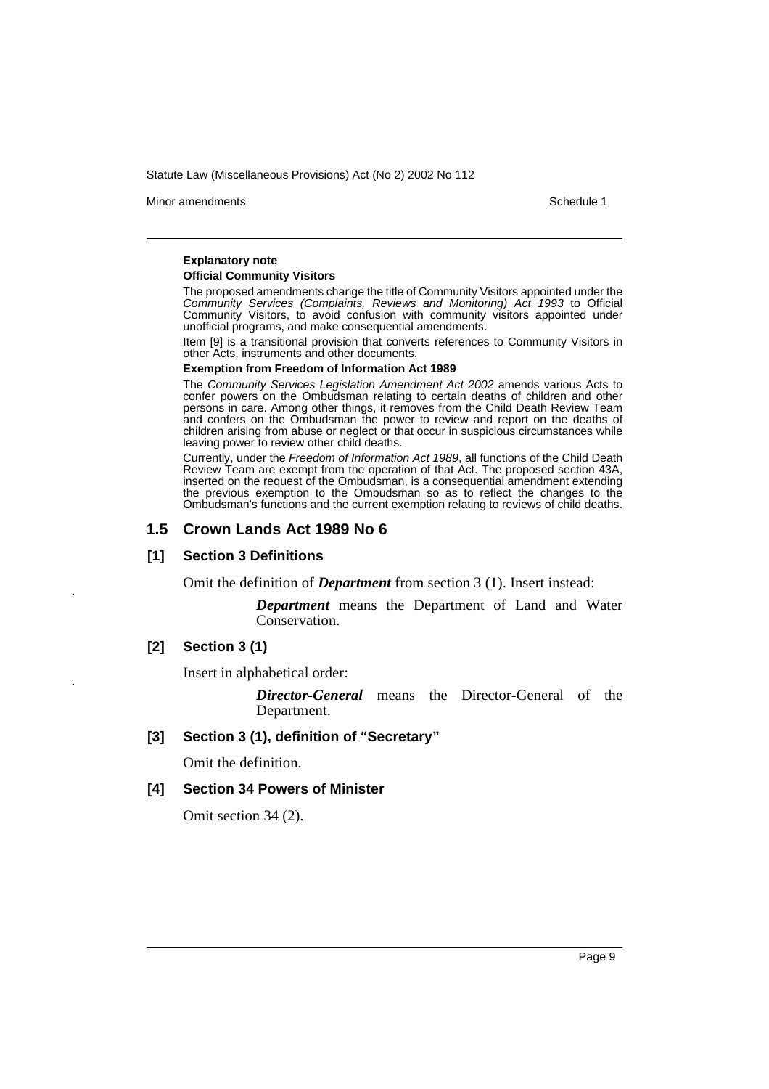Minor amendments **Schedule 1** and the state of the state of the state of the Schedule 1

#### **Explanatory note**

#### **Official Community Visitors**

The proposed amendments change the title of Community Visitors appointed under the Community Services (Complaints, Reviews and Monitoring) Act 1993 to Official Community Visitors, to avoid confusion with community visitors appointed under unofficial programs, and make consequential amendments.

Item [9] is a transitional provision that converts references to Community Visitors in other Acts, instruments and other documents.

#### **Exemption from Freedom of Information Act 1989**

The Community Services Legislation Amendment Act 2002 amends various Acts to confer powers on the Ombudsman relating to certain deaths of children and other persons in care. Among other things, it removes from the Child Death Review Team and confers on the Ombudsman the power to review and report on the deaths of children arising from abuse or neglect or that occur in suspicious circumstances while leaving power to review other child deaths.

Currently, under the Freedom of Information Act 1989, all functions of the Child Death Review Team are exempt from the operation of that Act. The proposed section 43A, inserted on the request of the Ombudsman, is a consequential amendment extending the previous exemption to the Ombudsman so as to reflect the changes to the Ombudsman's functions and the current exemption relating to reviews of child deaths.

#### **1.5 Crown Lands Act 1989 No 6**

#### **[1] Section 3 Definitions**

Omit the definition of *Department* from section 3 (1). Insert instead:

*Department* means the Department of Land and Water Conservation.

#### **[2] Section 3 (1)**

Insert in alphabetical order:

*Director-General* means the Director-General of the Department.

#### **[3] Section 3 (1), definition of "Secretary"**

Omit the definition.

#### **[4] Section 34 Powers of Minister**

Omit section 34 (2).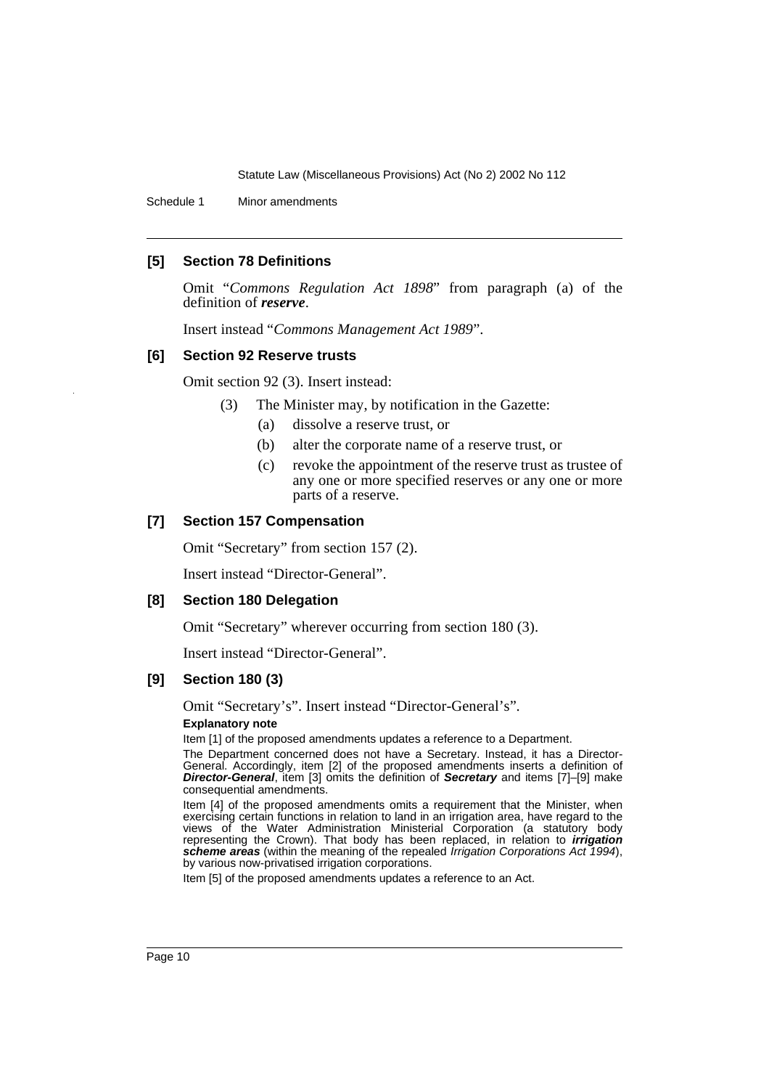Schedule 1 Minor amendments

#### **[5] Section 78 Definitions**

Omit "*Commons Regulation Act 1898*" from paragraph (a) of the definition of *reserve*.

Insert instead "*Commons Management Act 1989*".

#### **[6] Section 92 Reserve trusts**

Omit section 92 (3). Insert instead:

- (3) The Minister may, by notification in the Gazette:
	- (a) dissolve a reserve trust, or
	- (b) alter the corporate name of a reserve trust, or
	- (c) revoke the appointment of the reserve trust as trustee of any one or more specified reserves or any one or more parts of a reserve.

#### **[7] Section 157 Compensation**

Omit "Secretary" from section 157 (2).

Insert instead "Director-General".

### **[8] Section 180 Delegation**

Omit "Secretary" wherever occurring from section 180 (3).

Insert instead "Director-General".

### **[9] Section 180 (3)**

Omit "Secretary's". Insert instead "Director-General's".

### **Explanatory note**

Item [1] of the proposed amendments updates a reference to a Department.

The Department concerned does not have a Secretary. Instead, it has a Director-General. Accordingly, item [2] of the proposed amendments inserts a definition of **Director-General**, item [3] omits the definition of **Secretary** and items [7]–[9] make consequential amendments.

Item [4] of the proposed amendments omits a requirement that the Minister, when exercising certain functions in relation to land in an irrigation area, have regard to the views of the Water Administration Ministerial Corporation (a statutory body representing the Crown). That body has been replaced, in relation to **irrigation scheme areas** (within the meaning of the repealed Irrigation Corporations Act 1994), by various now-privatised irrigation corporations.

Item [5] of the proposed amendments updates a reference to an Act.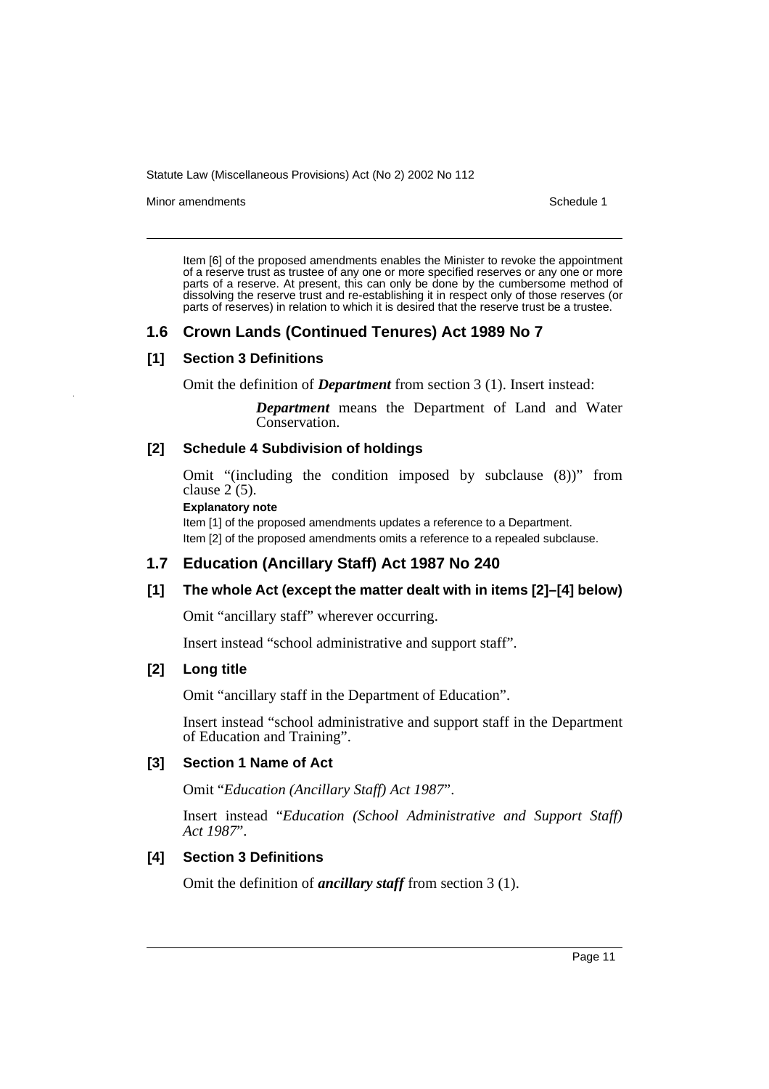Minor amendments **Schedule 1** and the state of the state of the state of the Schedule 1

Item [6] of the proposed amendments enables the Minister to revoke the appointment of a reserve trust as trustee of any one or more specified reserves or any one or more parts of a reserve. At present, this can only be done by the cumbersome method of dissolving the reserve trust and re-establishing it in respect only of those reserves (or parts of reserves) in relation to which it is desired that the reserve trust be a trustee.

# **1.6 Crown Lands (Continued Tenures) Act 1989 No 7**

### **[1] Section 3 Definitions**

Omit the definition of *Department* from section 3 (1). Insert instead:

*Department* means the Department of Land and Water Conservation.

### **[2] Schedule 4 Subdivision of holdings**

Omit "(including the condition imposed by subclause (8))" from clause 2 (5).

#### **Explanatory note**

Item [1] of the proposed amendments updates a reference to a Department. Item [2] of the proposed amendments omits a reference to a repealed subclause.

# **1.7 Education (Ancillary Staff) Act 1987 No 240**

### **[1] The whole Act (except the matter dealt with in items [2]–[4] below)**

Omit "ancillary staff" wherever occurring.

Insert instead "school administrative and support staff".

### **[2] Long title**

Omit "ancillary staff in the Department of Education".

Insert instead "school administrative and support staff in the Department of Education and Training".

### **[3] Section 1 Name of Act**

Omit "*Education (Ancillary Staff) Act 1987*".

Insert instead "*Education (School Administrative and Support Staff) Act 1987*".

### **[4] Section 3 Definitions**

Omit the definition of *ancillary staff* from section 3 (1).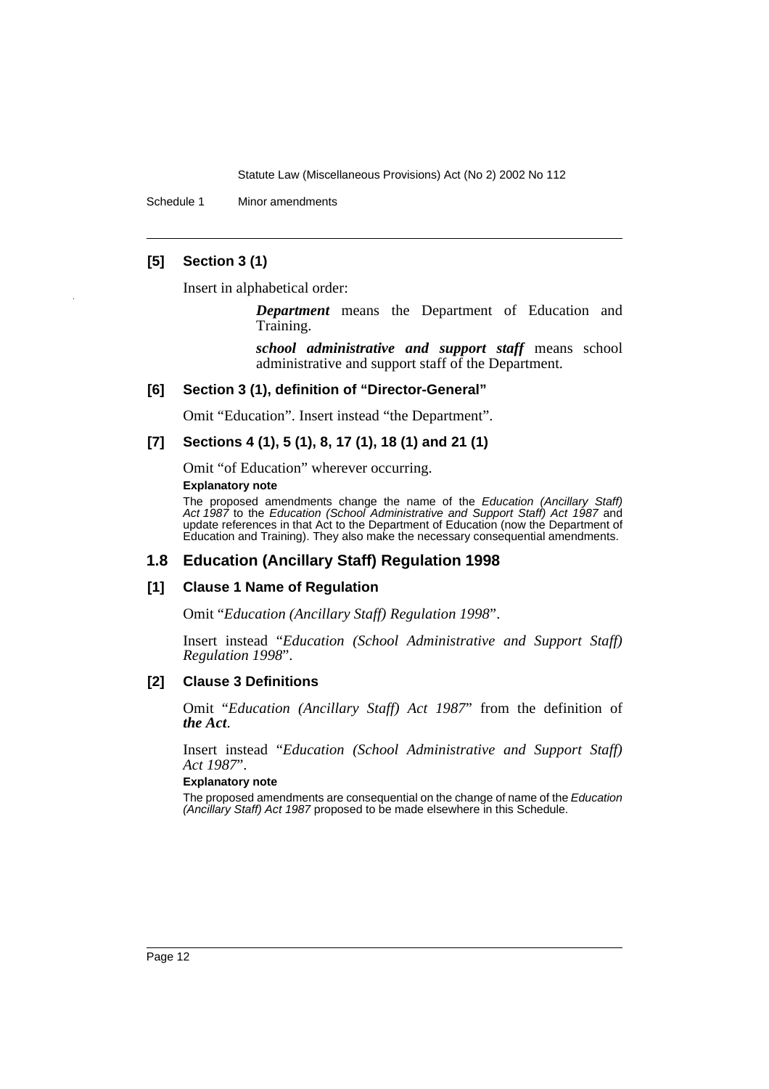Schedule 1 Minor amendments

### **[5] Section 3 (1)**

Insert in alphabetical order:

*Department* means the Department of Education and Training.

*school administrative and support staff* means school administrative and support staff of the Department.

#### **[6] Section 3 (1), definition of "Director-General"**

Omit "Education". Insert instead "the Department".

### **[7] Sections 4 (1), 5 (1), 8, 17 (1), 18 (1) and 21 (1)**

Omit "of Education" wherever occurring.

#### **Explanatory note**

The proposed amendments change the name of the Education (Ancillary Staff) Act 1987 to the Education (School Administrative and Support Staff) Act 1987 and update references in that Act to the Department of Education (now the Department of Education and Training). They also make the necessary consequential amendments.

# **1.8 Education (Ancillary Staff) Regulation 1998**

### **[1] Clause 1 Name of Regulation**

Omit "*Education (Ancillary Staff) Regulation 1998*".

Insert instead "*Education (School Administrative and Support Staff) Regulation 1998*".

### **[2] Clause 3 Definitions**

Omit "*Education (Ancillary Staff) Act 1987*" from the definition of *the Act*.

Insert instead "*Education (School Administrative and Support Staff) Act 1987*".

#### **Explanatory note**

The proposed amendments are consequential on the change of name of the Education (Ancillary Staff) Act 1987 proposed to be made elsewhere in this Schedule.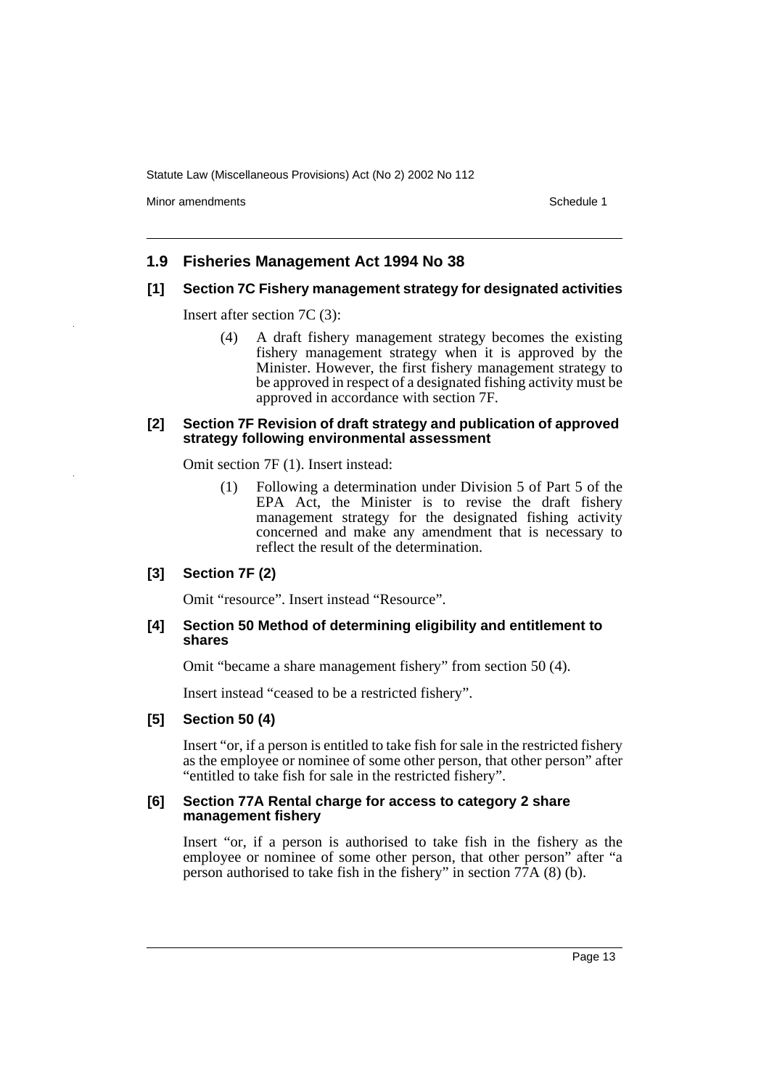Minor amendments **Schedule 1** and the state of the state of the state of the Schedule 1

## **1.9 Fisheries Management Act 1994 No 38**

#### **[1] Section 7C Fishery management strategy for designated activities**

Insert after section 7C (3):

(4) A draft fishery management strategy becomes the existing fishery management strategy when it is approved by the Minister. However, the first fishery management strategy to be approved in respect of a designated fishing activity must be approved in accordance with section 7F.

#### **[2] Section 7F Revision of draft strategy and publication of approved strategy following environmental assessment**

Omit section 7F (1). Insert instead:

(1) Following a determination under Division 5 of Part 5 of the EPA Act, the Minister is to revise the draft fishery management strategy for the designated fishing activity concerned and make any amendment that is necessary to reflect the result of the determination.

### **[3] Section 7F (2)**

Omit "resource". Insert instead "Resource".

#### **[4] Section 50 Method of determining eligibility and entitlement to shares**

Omit "became a share management fishery" from section 50 (4).

Insert instead "ceased to be a restricted fishery".

#### **[5] Section 50 (4)**

Insert "or, if a person is entitled to take fish for sale in the restricted fishery as the employee or nominee of some other person, that other person" after "entitled to take fish for sale in the restricted fishery".

#### **[6] Section 77A Rental charge for access to category 2 share management fishery**

Insert "or, if a person is authorised to take fish in the fishery as the employee or nominee of some other person, that other person" after "a person authorised to take fish in the fishery" in section 77A (8) (b).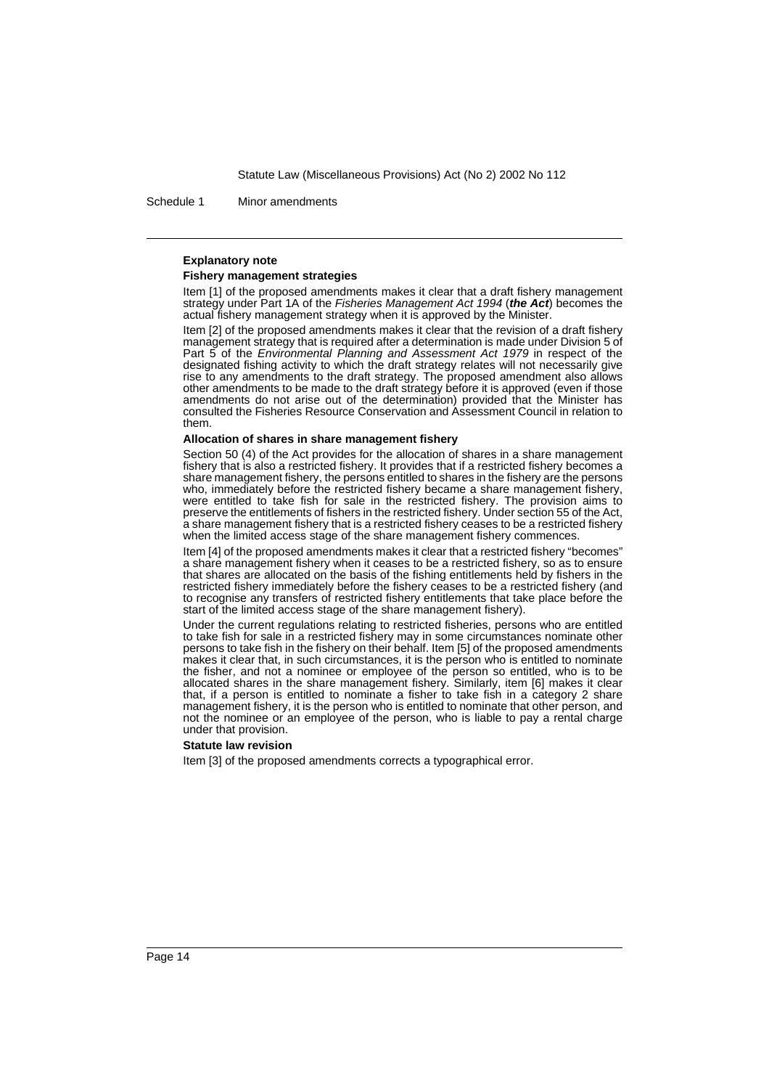Schedule 1 Minor amendments

#### **Explanatory note**

#### **Fishery management strategies**

Item [1] of the proposed amendments makes it clear that a draft fishery management strategy under Part 1A of the Fisheries Management Act 1994 (**the Act**) becomes the actual fishery management strategy when it is approved by the Minister.

Item [2] of the proposed amendments makes it clear that the revision of a draft fishery management strategy that is required after a determination is made under Division 5 of Part 5 of the Environmental Planning and Assessment Act 1979 in respect of the designated fishing activity to which the draft strategy relates will not necessarily give rise to any amendments to the draft strategy. The proposed amendment also allows other amendments to be made to the draft strategy before it is approved (even if those amendments do not arise out of the determination) provided that the Minister has consulted the Fisheries Resource Conservation and Assessment Council in relation to them.

#### **Allocation of shares in share management fishery**

Section 50 (4) of the Act provides for the allocation of shares in a share management fishery that is also a restricted fishery. It provides that if a restricted fishery becomes a share management fishery, the persons entitled to shares in the fishery are the persons who, immediately before the restricted fishery became a share management fishery, were entitled to take fish for sale in the restricted fishery. The provision aims to preserve the entitlements of fishers in the restricted fishery. Under section 55 of the Act, a share management fishery that is a restricted fishery ceases to be a restricted fishery when the limited access stage of the share management fishery commences.

Item [4] of the proposed amendments makes it clear that a restricted fishery "becomes" a share management fishery when it ceases to be a restricted fishery, so as to ensure that shares are allocated on the basis of the fishing entitlements held by fishers in the restricted fishery immediately before the fishery ceases to be a restricted fishery (and to recognise any transfers of restricted fishery entitlements that take place before the start of the limited access stage of the share management fishery).

Under the current regulations relating to restricted fisheries, persons who are entitled to take fish for sale in a restricted fishery may in some circumstances nominate other persons to take fish in the fishery on their behalf. Item [5] of the proposed amendments makes it clear that, in such circumstances, it is the person who is entitled to nominate the fisher, and not a nominee or employee of the person so entitled, who is to be allocated shares in the share management fishery. Similarly, item [6] makes it clear that, if a person is entitled to nominate a fisher to take fish in a category 2 share management fishery, it is the person who is entitled to nominate that other person, and not the nominee or an employee of the person, who is liable to pay a rental charge under that provision.

#### **Statute law revision**

Item [3] of the proposed amendments corrects a typographical error.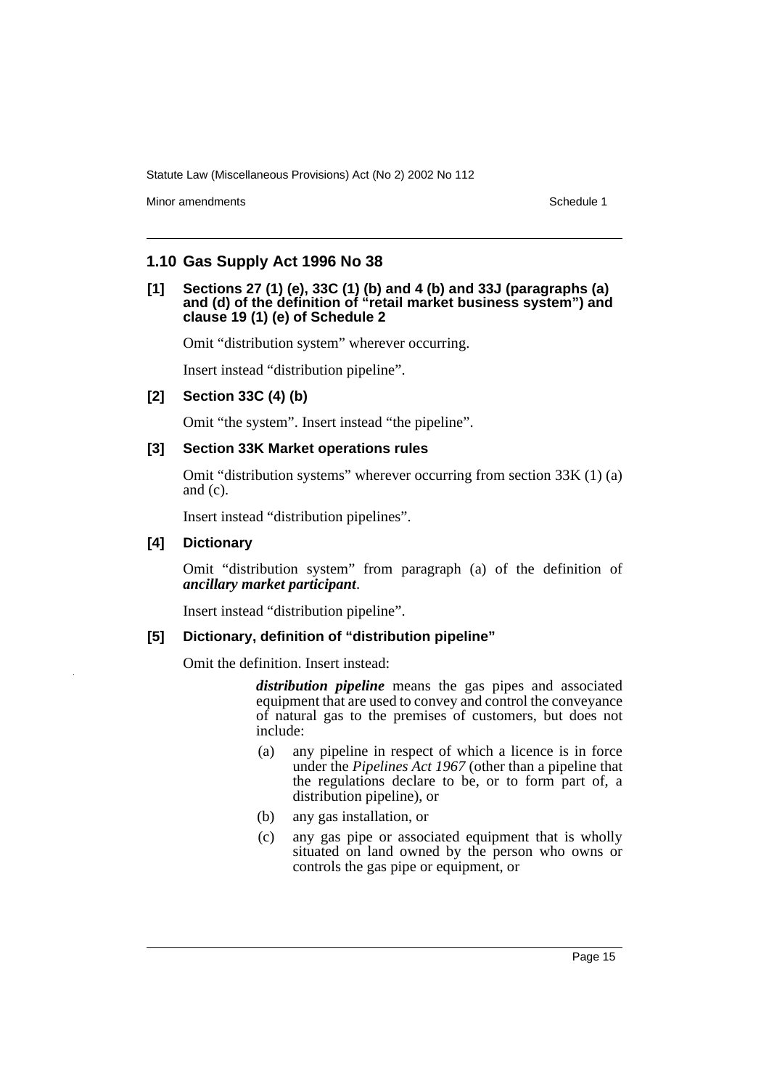Minor amendments **Schedule 1** and the state of the state of the state of the Schedule 1

### **1.10 Gas Supply Act 1996 No 38**

#### **[1] Sections 27 (1) (e), 33C (1) (b) and 4 (b) and 33J (paragraphs (a) and (d) of the definition of "retail market business system") and clause 19 (1) (e) of Schedule 2**

Omit "distribution system" wherever occurring.

Insert instead "distribution pipeline".

### **[2] Section 33C (4) (b)**

Omit "the system". Insert instead "the pipeline".

### **[3] Section 33K Market operations rules**

Omit "distribution systems" wherever occurring from section 33K (1) (a) and (c).

Insert instead "distribution pipelines".

### **[4] Dictionary**

Omit "distribution system" from paragraph (a) of the definition of *ancillary market participant*.

Insert instead "distribution pipeline".

### **[5] Dictionary, definition of "distribution pipeline"**

Omit the definition. Insert instead:

*distribution pipeline* means the gas pipes and associated equipment that are used to convey and control the conveyance of natural gas to the premises of customers, but does not include:

- (a) any pipeline in respect of which a licence is in force under the *Pipelines Act 1967* (other than a pipeline that the regulations declare to be, or to form part of, a distribution pipeline), or
- (b) any gas installation, or
- (c) any gas pipe or associated equipment that is wholly situated on land owned by the person who owns or controls the gas pipe or equipment, or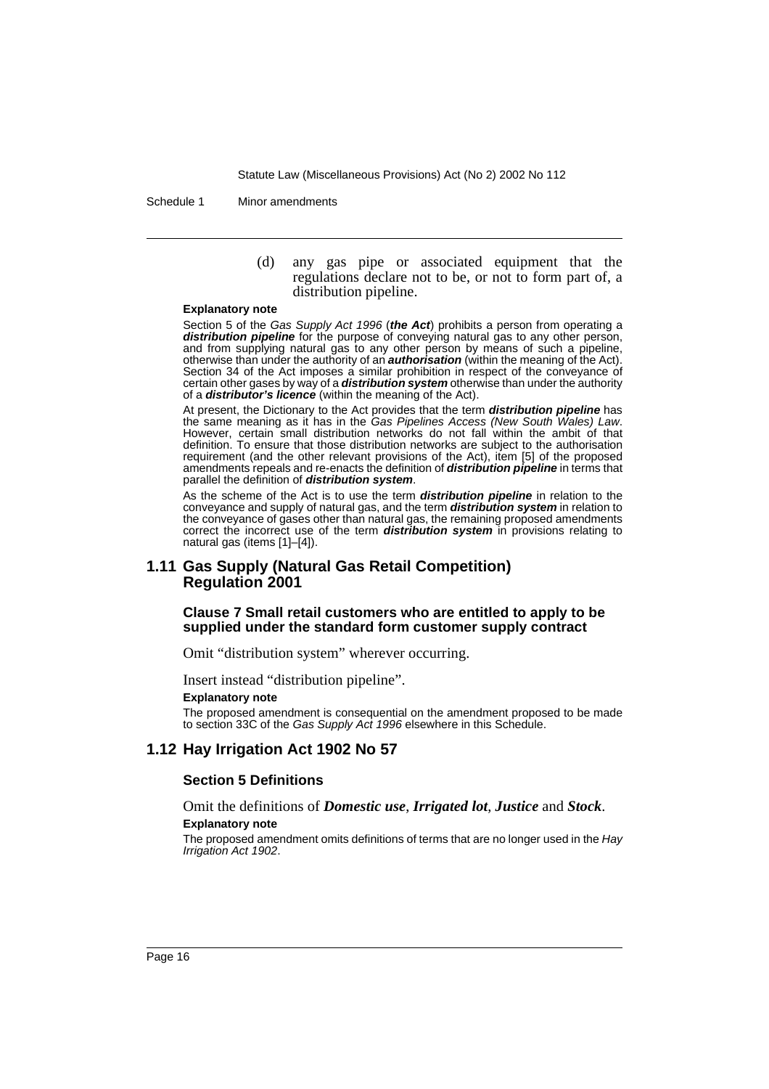Schedule 1 Minor amendments

(d) any gas pipe or associated equipment that the regulations declare not to be, or not to form part of, a distribution pipeline.

#### **Explanatory note**

Section 5 of the Gas Supply Act 1996 (**the Act**) prohibits a person from operating a distribution pipeline for the purpose of conveying natural gas to any other person, and from supplying natural gas to any other person by means of such a pipeline, otherwise than under the authority of an **authorisation** (within the meaning of the Act). Section 34 of the Act imposes a similar prohibition in respect of the conveyance of certain other gases by way of a **distribution system** otherwise than under the authority of a **distributor's licence** (within the meaning of the Act).

At present, the Dictionary to the Act provides that the term **distribution pipeline** has the same meaning as it has in the Gas Pipelines Access (New South Wales) Law. However, certain small distribution networks do not fall within the ambit of that definition. To ensure that those distribution networks are subject to the authorisation requirement (and the other relevant provisions of the Act), item [5] of the proposed amendments repeals and re-enacts the definition of **distribution pipeline** in terms that parallel the definition of **distribution system**.

As the scheme of the Act is to use the term **distribution pipeline** in relation to the conveyance and supply of natural gas, and the term **distribution system** in relation to the conveyance of gases other than natural gas, the remaining proposed amendments correct the incorrect use of the term **distribution system** in provisions relating to natural gas (items [1]–[4]).

#### **1.11 Gas Supply (Natural Gas Retail Competition) Regulation 2001**

#### **Clause 7 Small retail customers who are entitled to apply to be supplied under the standard form customer supply contract**

Omit "distribution system" wherever occurring.

Insert instead "distribution pipeline".

#### **Explanatory note**

The proposed amendment is consequential on the amendment proposed to be made to section 33C of the Gas Supply Act 1996 elsewhere in this Schedule.

#### **1.12 Hay Irrigation Act 1902 No 57**

#### **Section 5 Definitions**

Omit the definitions of *Domestic use*, *Irrigated lot*, *Justice* and *Stock*.

#### **Explanatory note**

The proposed amendment omits definitions of terms that are no longer used in the Hay Irrigation Act 1902.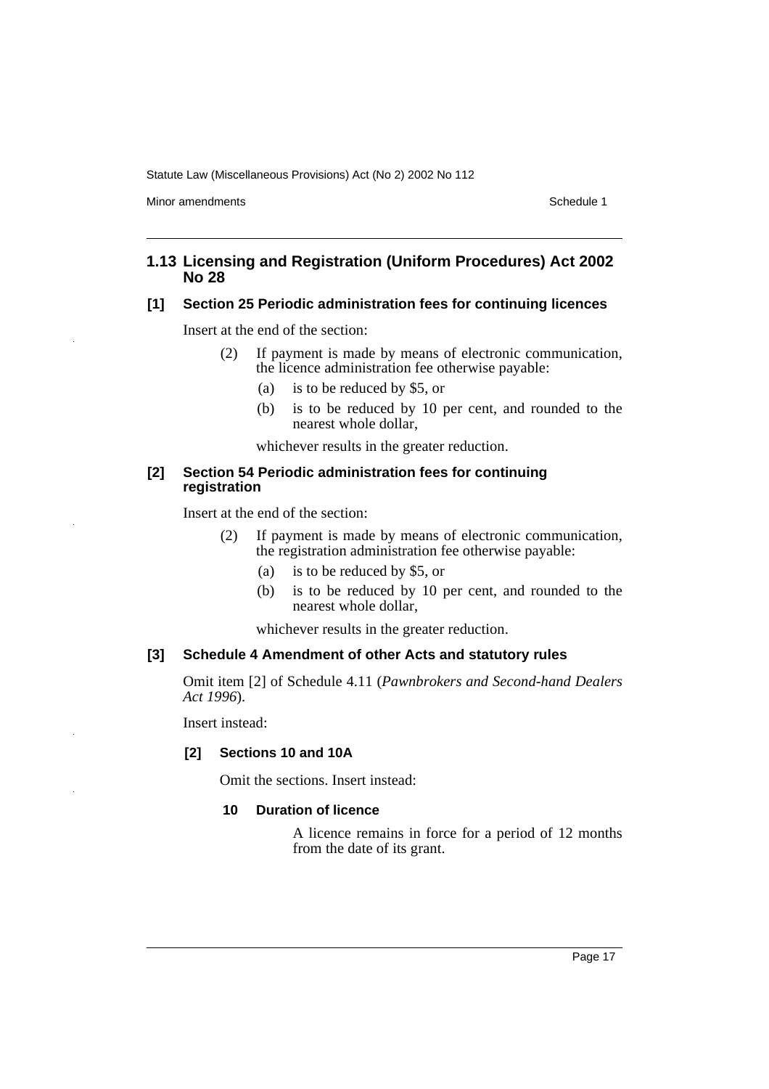Minor amendments **Schedule 1** and the state of the state of the Schedule 1

## **1.13 Licensing and Registration (Uniform Procedures) Act 2002 No 28**

## **[1] Section 25 Periodic administration fees for continuing licences**

Insert at the end of the section:

- (2) If payment is made by means of electronic communication, the licence administration fee otherwise payable:
	- (a) is to be reduced by \$5, or
	- (b) is to be reduced by 10 per cent, and rounded to the nearest whole dollar,

whichever results in the greater reduction.

#### **[2] Section 54 Periodic administration fees for continuing registration**

Insert at the end of the section:

- (2) If payment is made by means of electronic communication, the registration administration fee otherwise payable:
	- (a) is to be reduced by \$5, or
	- (b) is to be reduced by 10 per cent, and rounded to the nearest whole dollar,

whichever results in the greater reduction.

### **[3] Schedule 4 Amendment of other Acts and statutory rules**

Omit item [2] of Schedule 4.11 (*Pawnbrokers and Second-hand Dealers Act 1996*).

Insert instead:

### **[2] Sections 10 and 10A**

Omit the sections. Insert instead:

#### **10 Duration of licence**

A licence remains in force for a period of 12 months from the date of its grant.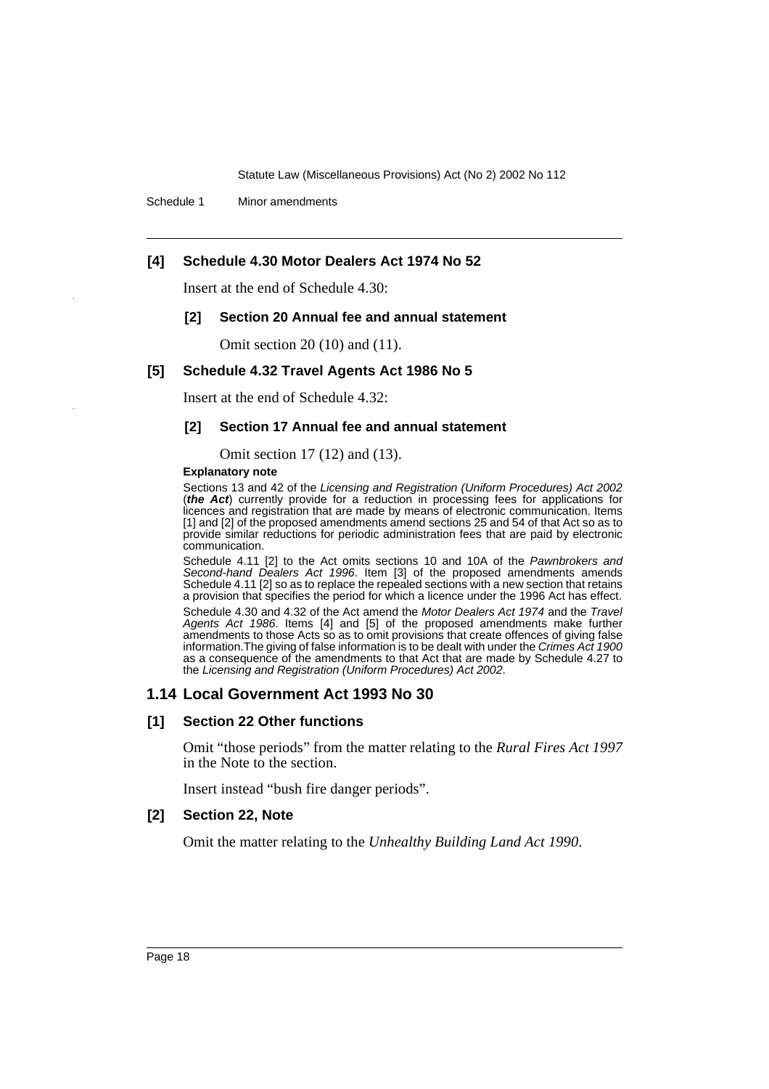Schedule 1 Minor amendments

### **[4] Schedule 4.30 Motor Dealers Act 1974 No 52**

Insert at the end of Schedule 4.30:

#### **[2] Section 20 Annual fee and annual statement**

Omit section 20 (10) and (11).

### **[5] Schedule 4.32 Travel Agents Act 1986 No 5**

Insert at the end of Schedule 4.32:

### **[2] Section 17 Annual fee and annual statement**

Omit section 17 (12) and (13).

#### **Explanatory note**

Sections 13 and 42 of the Licensing and Registration (Uniform Procedures) Act 2002 (**the Act**) currently provide for a reduction in processing fees for applications for licences and registration that are made by means of electronic communication. Items [1] and [2] of the proposed amendments amend sections 25 and 54 of that Act so as to provide similar reductions for periodic administration fees that are paid by electronic communication.

Schedule 4.11 [2] to the Act omits sections 10 and 10A of the Pawnbrokers and Second-hand Dealers Act 1996. Item [3] of the proposed amendments amends Schedule 4.11 [2] so as to replace the repealed sections with a new section that retains a provision that specifies the period for which a licence under the 1996 Act has effect.

Schedule 4.30 and 4.32 of the Act amend the Motor Dealers Act 1974 and the Travel Agents Act 1986. Items [4] and [5] of the proposed amendments make further amendments to those Acts so as to omit provisions that create offences of giving false information. The giving of false information is to be dealt with under the Crimes Act 1900 as a consequence of the amendments to that Act that are made by Schedule 4.27 to the Licensing and Registration (Uniform Procedures) Act 2002.

### **1.14 Local Government Act 1993 No 30**

### **[1] Section 22 Other functions**

Omit "those periods" from the matter relating to the *Rural Fires Act 1997* in the Note to the section.

Insert instead "bush fire danger periods".

#### **[2] Section 22, Note**

Omit the matter relating to the *Unhealthy Building Land Act 1990*.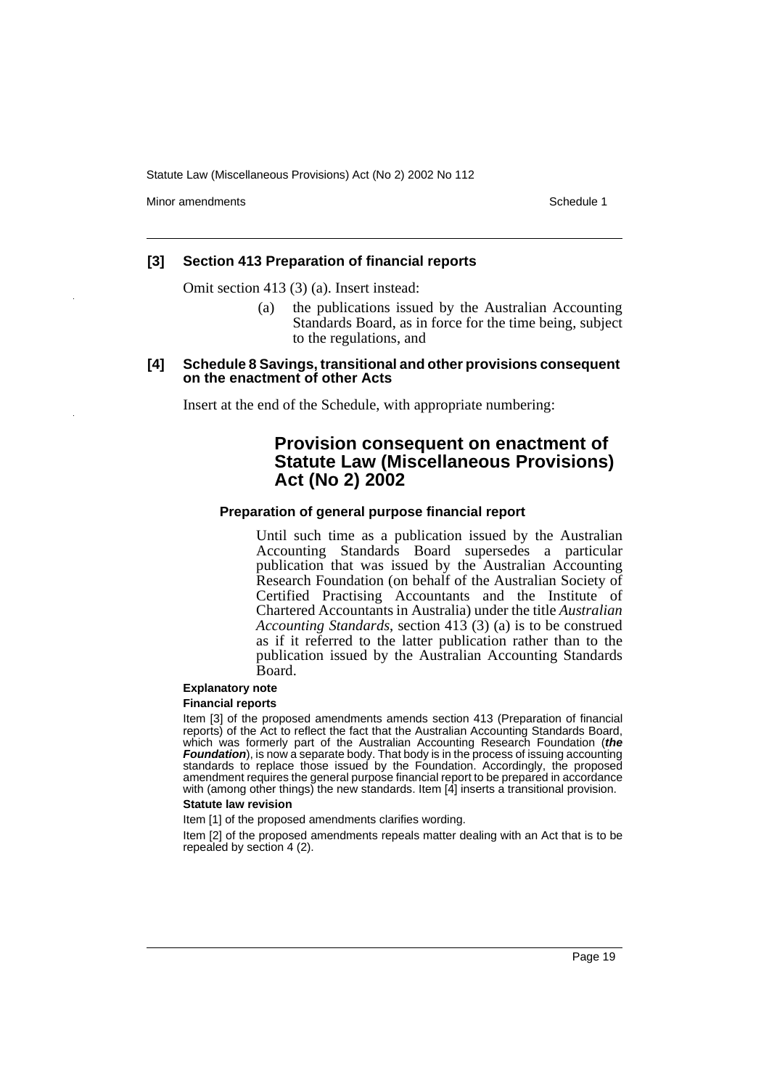Minor amendments **Schedule 1** and the state of the state of the state of the Schedule 1

#### **[3] Section 413 Preparation of financial reports**

Omit section 413 (3) (a). Insert instead:

- (a) the publications issued by the Australian Accounting Standards Board, as in force for the time being, subject to the regulations, and
- **[4] Schedule 8 Savings, transitional and other provisions consequent on the enactment of other Acts**

Insert at the end of the Schedule, with appropriate numbering:

# **Provision consequent on enactment of Statute Law (Miscellaneous Provisions) Act (No 2) 2002**

#### **Preparation of general purpose financial report**

Until such time as a publication issued by the Australian Accounting Standards Board supersedes a particular publication that was issued by the Australian Accounting Research Foundation (on behalf of the Australian Society of Certified Practising Accountants and the Institute of Chartered Accountants in Australia) under the title *Australian Accounting Standards*, section 413 (3) (a) is to be construed as if it referred to the latter publication rather than to the publication issued by the Australian Accounting Standards Board.

### **Explanatory note**

#### **Financial reports**

Item [3] of the proposed amendments amends section 413 (Preparation of financial reports) of the Act to reflect the fact that the Australian Accounting Standards Board, which was formerly part of the Australian Accounting Research Foundation (**the Foundation**), is now a separate body. That body is in the process of issuing accounting standards to replace those issued by the Foundation. Accordingly, the proposed amendment requires the general purpose financial report to be prepared in accordance with (among other things) the new standards. Item [4] inserts a transitional provision.

#### **Statute law revision**

Item [1] of the proposed amendments clarifies wording.

Item [2] of the proposed amendments repeals matter dealing with an Act that is to be repealed by section 4 (2).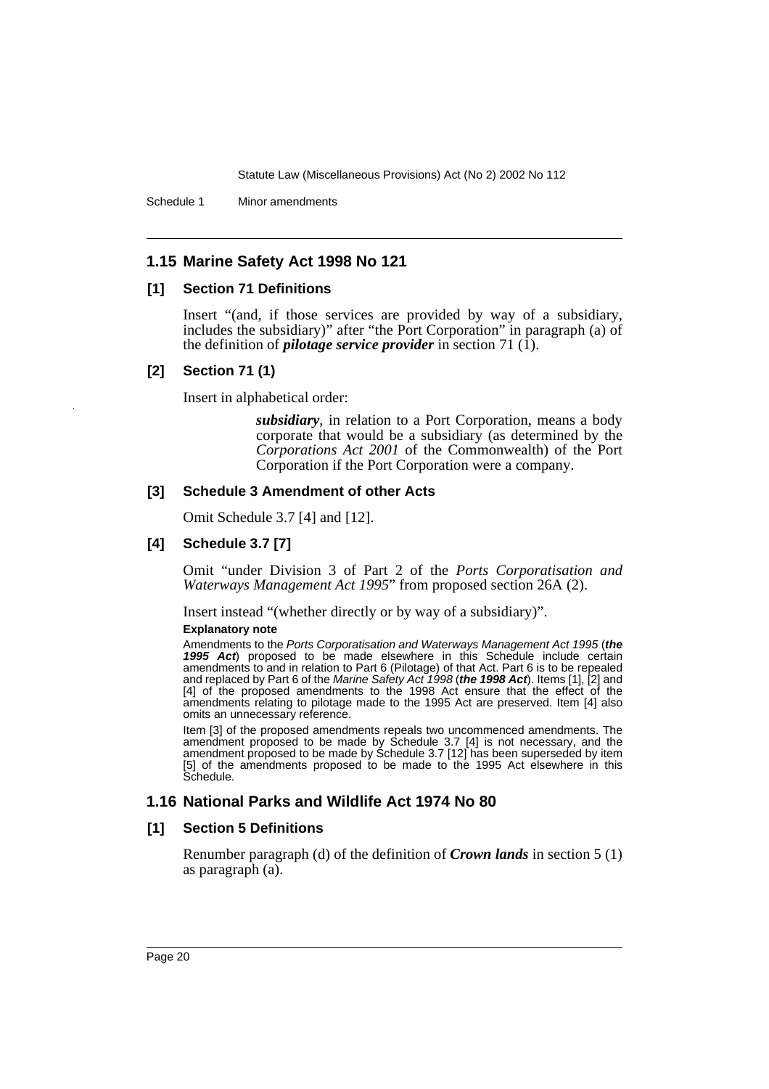Schedule 1 Minor amendments

# **1.15 Marine Safety Act 1998 No 121**

### **[1] Section 71 Definitions**

Insert "(and, if those services are provided by way of a subsidiary, includes the subsidiary)" after "the Port Corporation" in paragraph (a) of the definition of *pilotage service provider* in section 71 (1).

### **[2] Section 71 (1)**

Insert in alphabetical order:

*subsidiary*, in relation to a Port Corporation, means a body corporate that would be a subsidiary (as determined by the *Corporations Act 2001* of the Commonwealth) of the Port Corporation if the Port Corporation were a company.

### **[3] Schedule 3 Amendment of other Acts**

Omit Schedule 3.7 [4] and [12].

# **[4] Schedule 3.7 [7]**

Omit "under Division 3 of Part 2 of the *Ports Corporatisation and Waterways Management Act 1995*" from proposed section 26A (2).

Insert instead "(whether directly or by way of a subsidiary)".

#### **Explanatory note**

Amendments to the Ports Corporatisation and Waterways Management Act 1995 (**the 1995 Act**) proposed to be made elsewhere in this Schedule include certain amendments to and in relation to Part 6 (Pilotage) of that Act. Part 6 is to be repealed and replaced by Part 6 of the Marine Safety Act 1998 (**the 1998 Act**). Items [1], [2] and [4] of the proposed amendments to the 1998 Act ensure that the effect of the amendments relating to pilotage made to the 1995 Act are preserved. Item [4] also omits an unnecessary reference.

Item [3] of the proposed amendments repeals two uncommenced amendments. The amendment proposed to be made by Schedule 3.7 [4] is not necessary, and the amendment proposed to be made by Schedule 3.7 [12] has been superseded by item [5] of the amendments proposed to be made to the 1995 Act elsewhere in this Schedule.

# **1.16 National Parks and Wildlife Act 1974 No 80**

### **[1] Section 5 Definitions**

Renumber paragraph (d) of the definition of *Crown lands* in section 5 (1) as paragraph (a).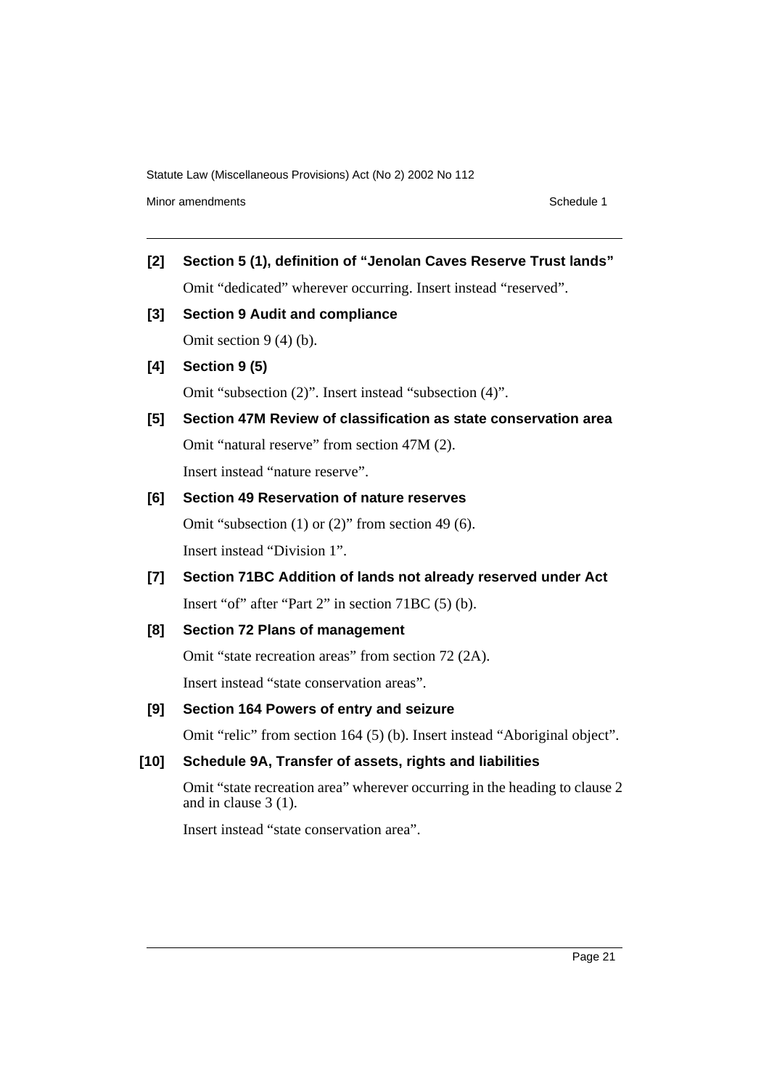Minor amendments **Schedule 1** and the state of the state of the state of the Schedule 1

- **[2] Section 5 (1), definition of "Jenolan Caves Reserve Trust lands"** Omit "dedicated" wherever occurring. Insert instead "reserved".
- **[3] Section 9 Audit and compliance**

Omit section 9 (4) (b).

**[4] Section 9 (5)**

Omit "subsection (2)". Insert instead "subsection (4)".

**[5] Section 47M Review of classification as state conservation area** Omit "natural reserve" from section 47M (2). Insert instead "nature reserve".

### **[6] Section 49 Reservation of nature reserves**

Omit "subsection (1) or (2)" from section 49 (6). Insert instead "Division 1".

**[7] Section 71BC Addition of lands not already reserved under Act** Insert "of" after "Part 2" in section 71BC (5) (b).

### **[8] Section 72 Plans of management**

Omit "state recreation areas" from section 72 (2A).

Insert instead "state conservation areas".

#### **[9] Section 164 Powers of entry and seizure**

Omit "relic" from section 164 (5) (b). Insert instead "Aboriginal object".

### **[10] Schedule 9A, Transfer of assets, rights and liabilities**

Omit "state recreation area" wherever occurring in the heading to clause 2 and in clause 3 (1).

Insert instead "state conservation area".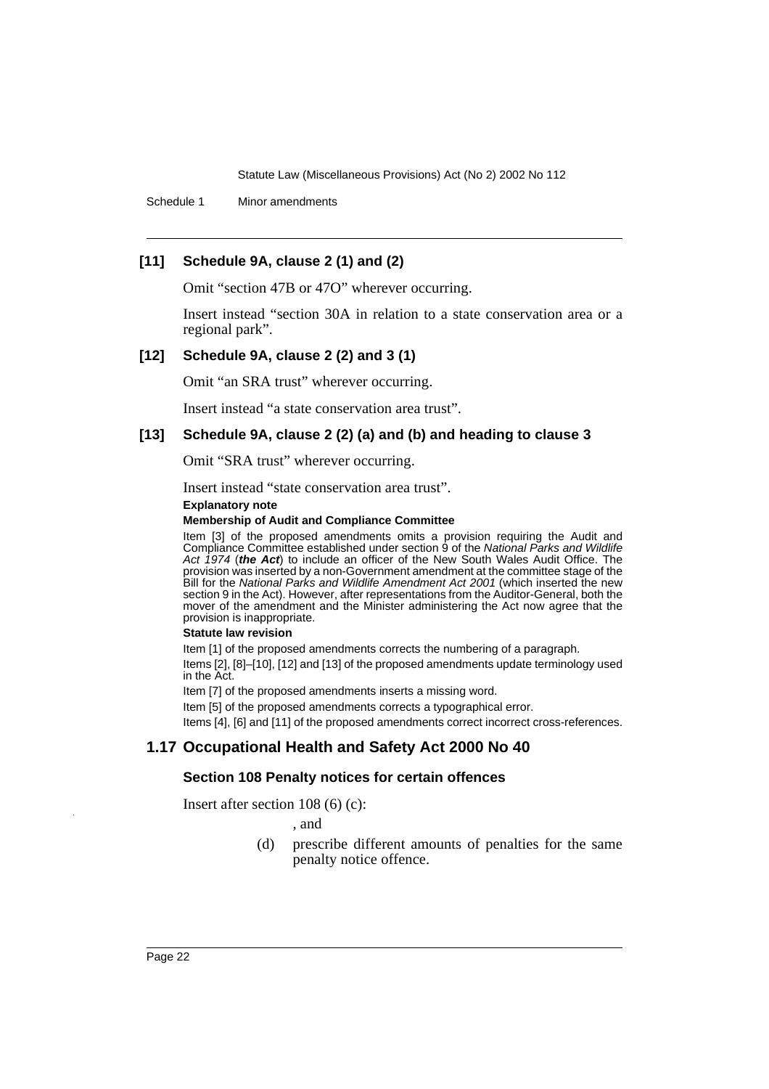Schedule 1 Minor amendments

# **[11] Schedule 9A, clause 2 (1) and (2)**

Omit "section 47B or 47O" wherever occurring.

Insert instead "section 30A in relation to a state conservation area or a regional park".

#### **[12] Schedule 9A, clause 2 (2) and 3 (1)**

Omit "an SRA trust" wherever occurring.

Insert instead "a state conservation area trust".

### **[13] Schedule 9A, clause 2 (2) (a) and (b) and heading to clause 3**

Omit "SRA trust" wherever occurring.

Insert instead "state conservation area trust".

#### **Explanatory note**

#### **Membership of Audit and Compliance Committee**

Item [3] of the proposed amendments omits a provision requiring the Audit and Compliance Committee established under section 9 of the National Parks and Wildlife Act 1974 (**the Act**) to include an officer of the New South Wales Audit Office. The provision was inserted by a non-Government amendment at the committee stage of the Bill for the National Parks and Wildlife Amendment Act 2001 (which inserted the new section 9 in the Act). However, after representations from the Auditor-General, both the mover of the amendment and the Minister administering the Act now agree that the provision is inappropriate.

#### **Statute law revision**

Item [1] of the proposed amendments corrects the numbering of a paragraph.

Items [2], [8]–[10], [12] and [13] of the proposed amendments update terminology used in the Act.

Item [7] of the proposed amendments inserts a missing word.

Item [5] of the proposed amendments corrects a typographical error.

Items [4], [6] and [11] of the proposed amendments correct incorrect cross-references.

# **1.17 Occupational Health and Safety Act 2000 No 40**

#### **Section 108 Penalty notices for certain offences**

Insert after section 108 (6) (c):

, and

(d) prescribe different amounts of penalties for the same penalty notice offence.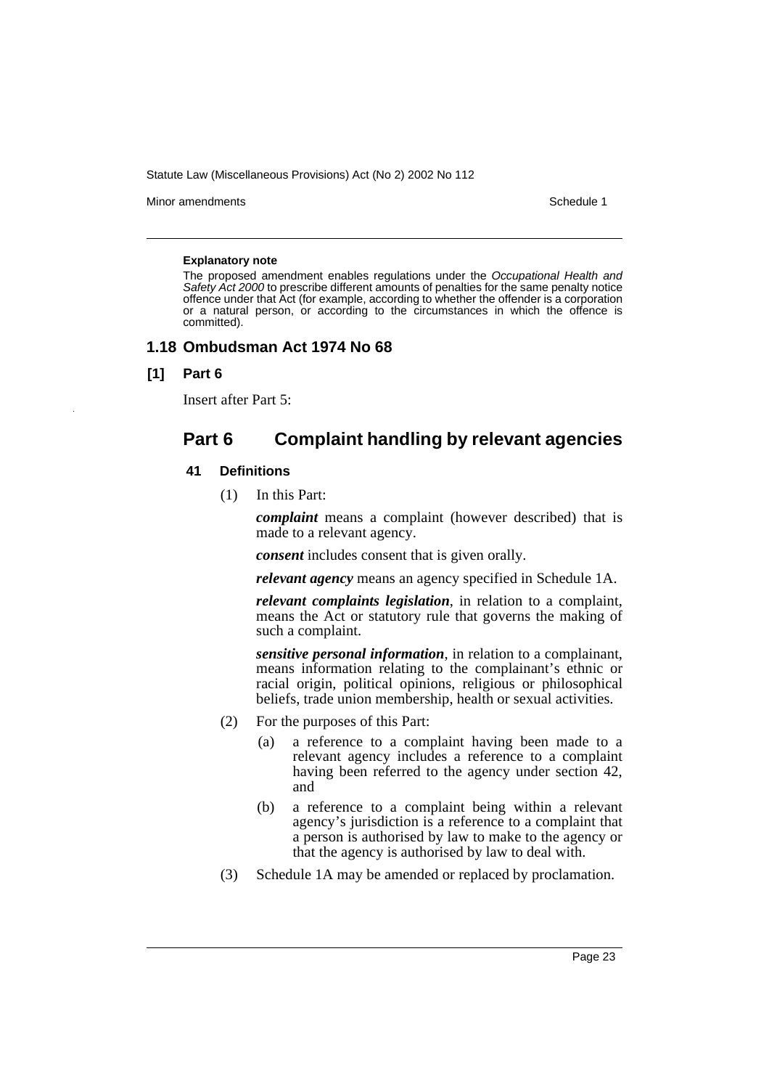Minor amendments **Schedule 1** and the state of the state of the state of the Schedule 1

#### **Explanatory note**

The proposed amendment enables regulations under the Occupational Health and Safety Act 2000 to prescribe different amounts of penalties for the same penalty notice offence under that Act (for example, according to whether the offender is a corporation or a natural person, or according to the circumstances in which the offence is committed).

#### **1.18 Ombudsman Act 1974 No 68**

#### **[1] Part 6**

Insert after Part 5:

# **Part 6 Complaint handling by relevant agencies**

#### **41 Definitions**

(1) In this Part:

*complaint* means a complaint (however described) that is made to a relevant agency.

*consent* includes consent that is given orally.

*relevant agency* means an agency specified in Schedule 1A.

*relevant complaints legislation*, in relation to a complaint, means the Act or statutory rule that governs the making of such a complaint.

*sensitive personal information*, in relation to a complainant, means information relating to the complainant's ethnic or racial origin, political opinions, religious or philosophical beliefs, trade union membership, health or sexual activities.

- (2) For the purposes of this Part:
	- (a) a reference to a complaint having been made to a relevant agency includes a reference to a complaint having been referred to the agency under section 42, and
	- (b) a reference to a complaint being within a relevant agency's jurisdiction is a reference to a complaint that a person is authorised by law to make to the agency or that the agency is authorised by law to deal with.
- (3) Schedule 1A may be amended or replaced by proclamation.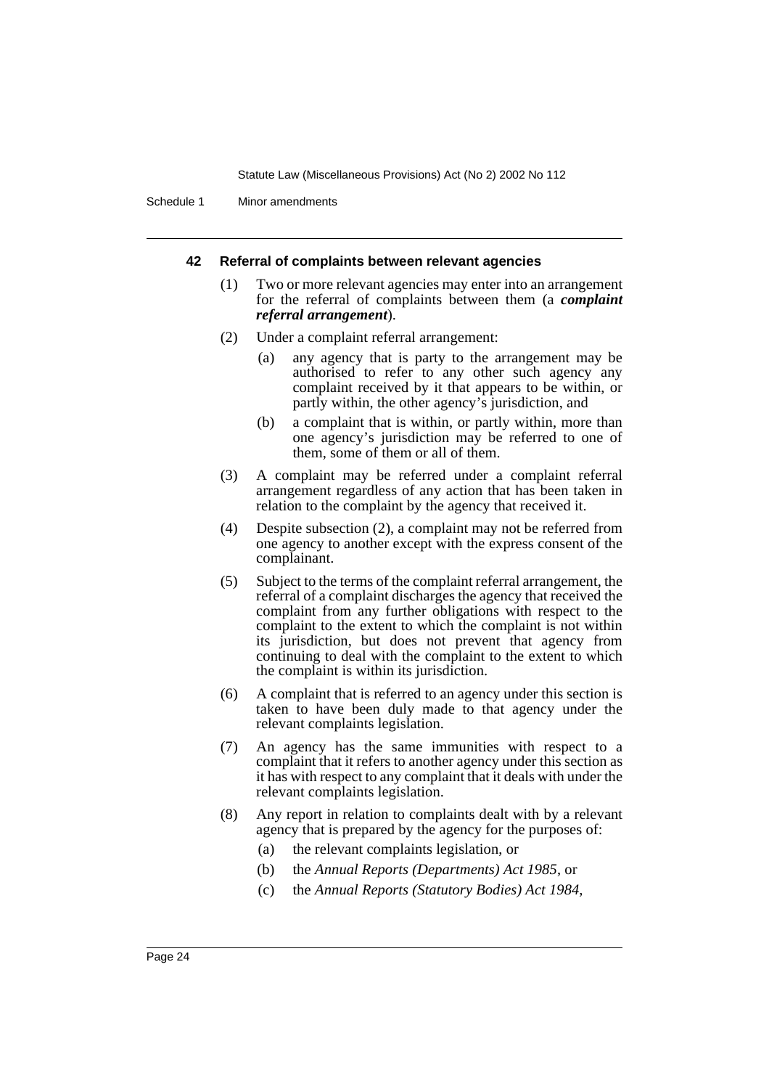Schedule 1 Minor amendments

#### **42 Referral of complaints between relevant agencies**

- (1) Two or more relevant agencies may enter into an arrangement for the referral of complaints between them (a *complaint referral arrangement*).
- (2) Under a complaint referral arrangement:
	- (a) any agency that is party to the arrangement may be authorised to refer to any other such agency any complaint received by it that appears to be within, or partly within, the other agency's jurisdiction, and
	- (b) a complaint that is within, or partly within, more than one agency's jurisdiction may be referred to one of them, some of them or all of them.
- (3) A complaint may be referred under a complaint referral arrangement regardless of any action that has been taken in relation to the complaint by the agency that received it.
- (4) Despite subsection (2), a complaint may not be referred from one agency to another except with the express consent of the complainant.
- (5) Subject to the terms of the complaint referral arrangement, the referral of a complaint discharges the agency that received the complaint from any further obligations with respect to the complaint to the extent to which the complaint is not within its jurisdiction, but does not prevent that agency from continuing to deal with the complaint to the extent to which the complaint is within its jurisdiction.
- (6) A complaint that is referred to an agency under this section is taken to have been duly made to that agency under the relevant complaints legislation.
- (7) An agency has the same immunities with respect to a complaint that it refers to another agency under this section as it has with respect to any complaint that it deals with under the relevant complaints legislation.
- (8) Any report in relation to complaints dealt with by a relevant agency that is prepared by the agency for the purposes of:
	- (a) the relevant complaints legislation, or
	- (b) the *Annual Reports (Departments) Act 1985*, or
	- (c) the *Annual Reports (Statutory Bodies) Act 1984*,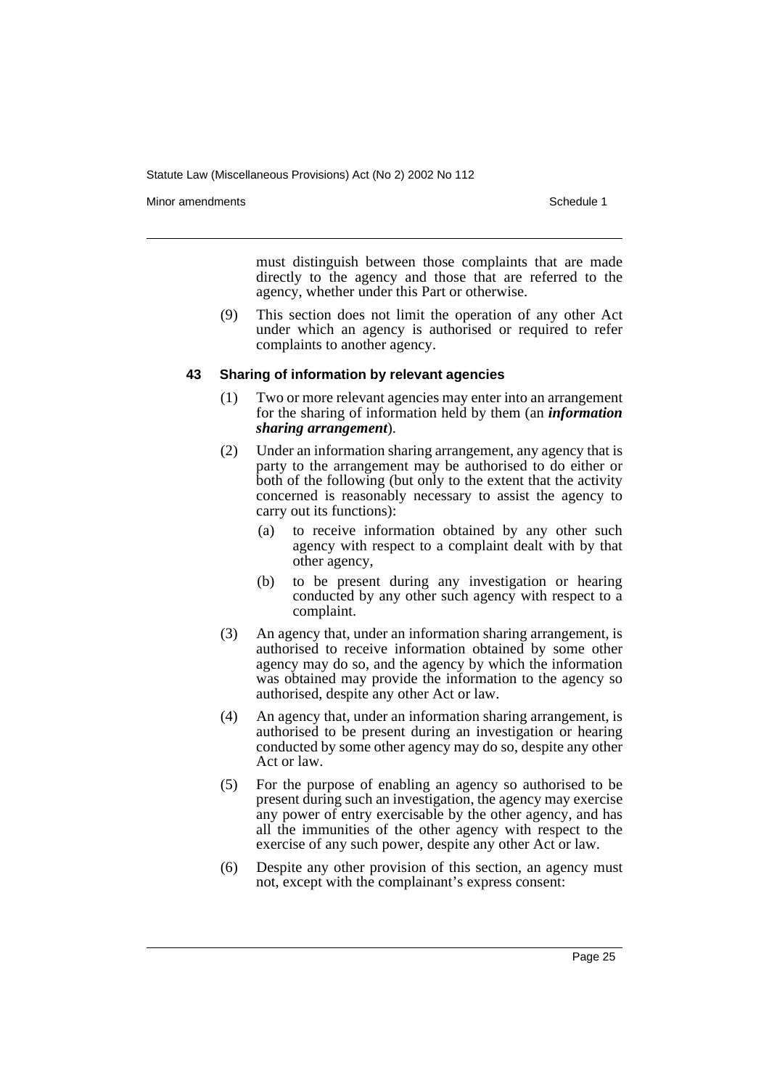Minor amendments **Schedule 1** and the state of the state of the state of the Schedule 1

must distinguish between those complaints that are made directly to the agency and those that are referred to the agency, whether under this Part or otherwise.

(9) This section does not limit the operation of any other Act under which an agency is authorised or required to refer complaints to another agency.

#### **43 Sharing of information by relevant agencies**

- (1) Two or more relevant agencies may enter into an arrangement for the sharing of information held by them (an *information sharing arrangement*).
- (2) Under an information sharing arrangement, any agency that is party to the arrangement may be authorised to do either or both of the following (but only to the extent that the activity concerned is reasonably necessary to assist the agency to carry out its functions):
	- (a) to receive information obtained by any other such agency with respect to a complaint dealt with by that other agency,
	- (b) to be present during any investigation or hearing conducted by any other such agency with respect to a complaint.
- (3) An agency that, under an information sharing arrangement, is authorised to receive information obtained by some other agency may do so, and the agency by which the information was obtained may provide the information to the agency so authorised, despite any other Act or law.
- (4) An agency that, under an information sharing arrangement, is authorised to be present during an investigation or hearing conducted by some other agency may do so, despite any other Act or law.
- (5) For the purpose of enabling an agency so authorised to be present during such an investigation, the agency may exercise any power of entry exercisable by the other agency, and has all the immunities of the other agency with respect to the exercise of any such power, despite any other Act or law.
- (6) Despite any other provision of this section, an agency must not, except with the complainant's express consent: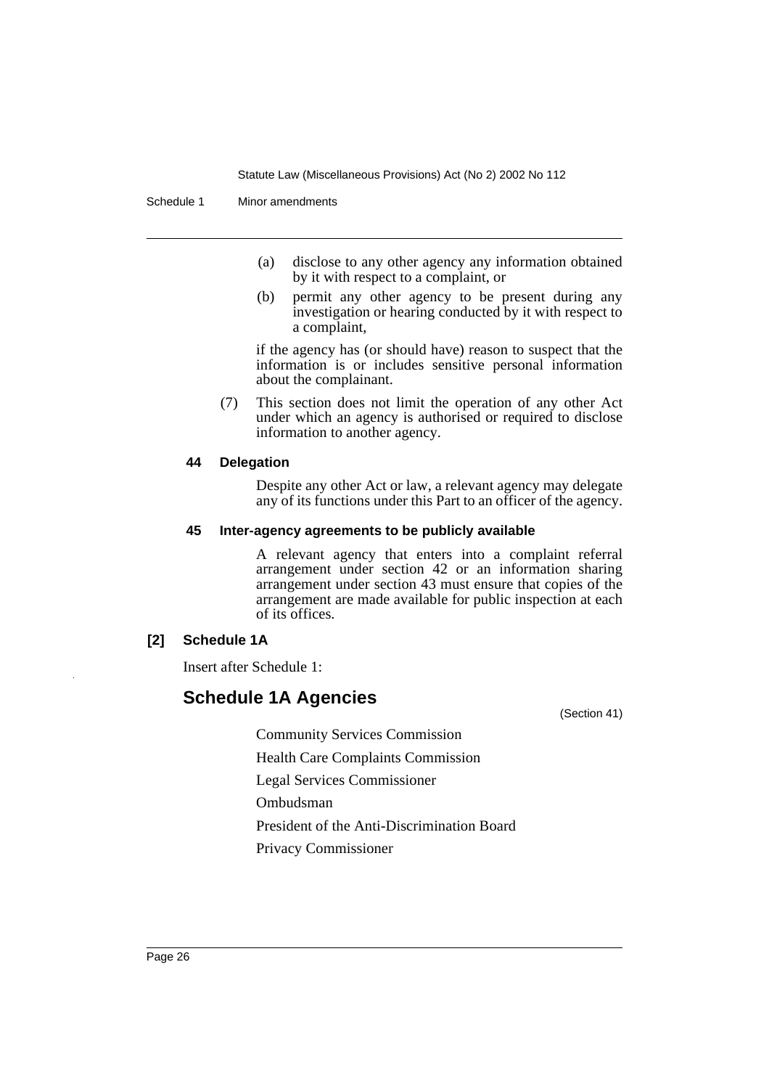- (a) disclose to any other agency any information obtained by it with respect to a complaint, or
- (b) permit any other agency to be present during any investigation or hearing conducted by it with respect to a complaint,

if the agency has (or should have) reason to suspect that the information is or includes sensitive personal information about the complainant.

(7) This section does not limit the operation of any other Act under which an agency is authorised or required to disclose information to another agency.

#### **44 Delegation**

Despite any other Act or law, a relevant agency may delegate any of its functions under this Part to an officer of the agency.

#### **45 Inter-agency agreements to be publicly available**

A relevant agency that enters into a complaint referral arrangement under section 42 or an information sharing arrangement under section 43 must ensure that copies of the arrangement are made available for public inspection at each of its offices.

# **[2] Schedule 1A**

Insert after Schedule 1:

# **Schedule 1A Agencies**

(Section 41)

Community Services Commission

Health Care Complaints Commission

Legal Services Commissioner

Ombudsman

President of the Anti-Discrimination Board

Privacy Commissioner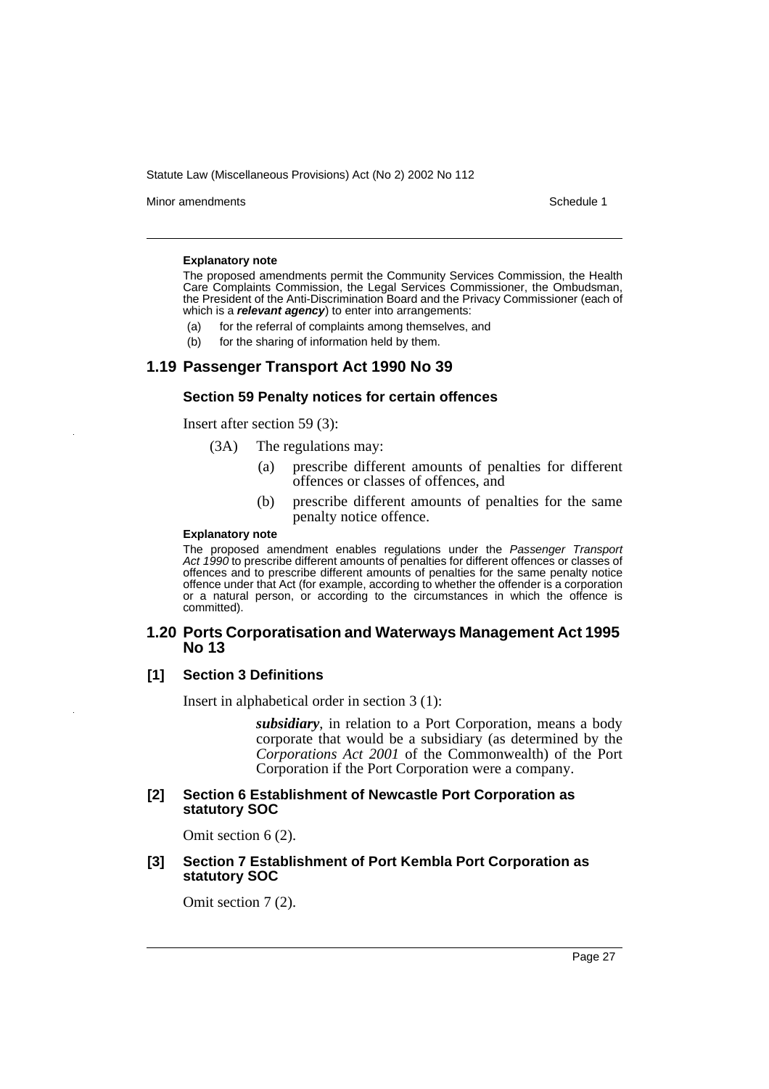Minor amendments **Schedule 1** and the state of the state of the state of the Schedule 1

#### **Explanatory note**

The proposed amendments permit the Community Services Commission, the Health Care Complaints Commission, the Legal Services Commissioner, the Ombudsman, the President of the Anti-Discrimination Board and the Privacy Commissioner (each of which is a **relevant agency**) to enter into arrangements:

- (a) for the referral of complaints among themselves, and
- (b) for the sharing of information held by them.

### **1.19 Passenger Transport Act 1990 No 39**

#### **Section 59 Penalty notices for certain offences**

Insert after section 59 (3):

- (3A) The regulations may:
	- (a) prescribe different amounts of penalties for different offences or classes of offences, and
	- (b) prescribe different amounts of penalties for the same penalty notice offence.

#### **Explanatory note**

The proposed amendment enables regulations under the Passenger Transport Act 1990 to prescribe different amounts of penalties for different offences or classes of offences and to prescribe different amounts of penalties for the same penalty notice offence under that Act (for example, according to whether the offender is a corporation or a natural person, or according to the circumstances in which the offence is committed).

### **1.20 Ports Corporatisation and Waterways Management Act 1995 No 13**

#### **[1] Section 3 Definitions**

Insert in alphabetical order in section 3 (1):

*subsidiary*, in relation to a Port Corporation, means a body corporate that would be a subsidiary (as determined by the *Corporations Act 2001* of the Commonwealth) of the Port Corporation if the Port Corporation were a company.

#### **[2] Section 6 Establishment of Newcastle Port Corporation as statutory SOC**

Omit section 6 (2).

#### **[3] Section 7 Establishment of Port Kembla Port Corporation as statutory SOC**

Omit section 7 (2).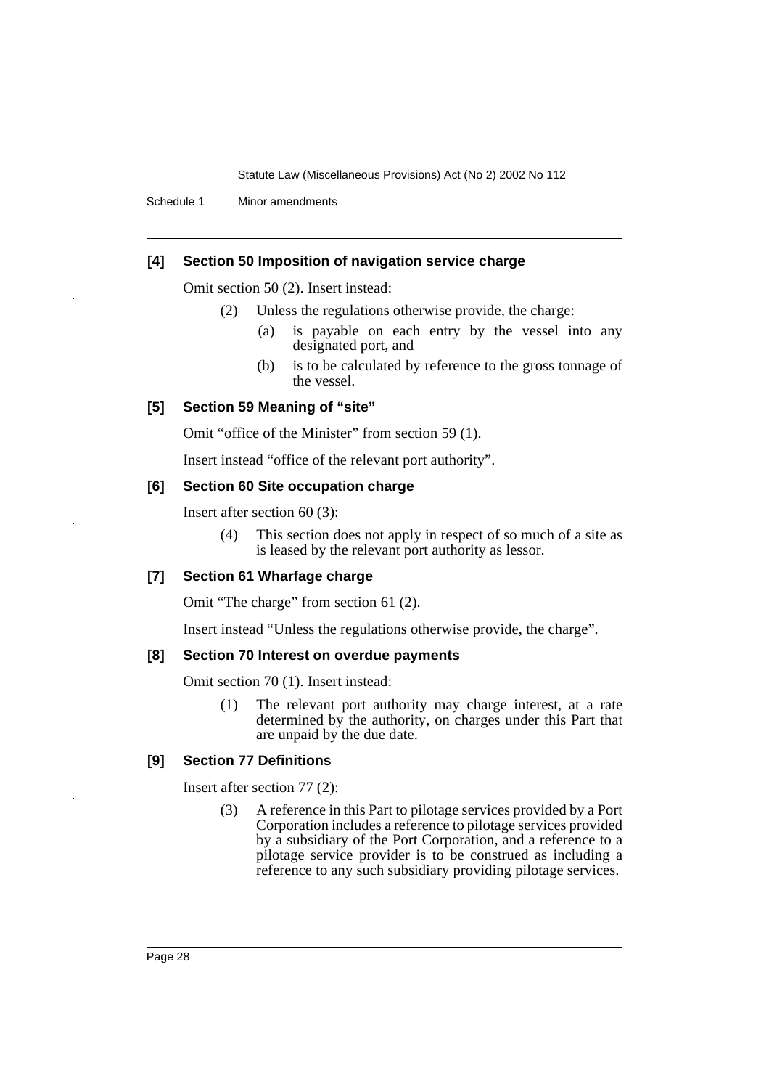Schedule 1 Minor amendments

### **[4] Section 50 Imposition of navigation service charge**

Omit section 50 (2). Insert instead:

- (2) Unless the regulations otherwise provide, the charge:
	- (a) is payable on each entry by the vessel into any designated port, and
	- (b) is to be calculated by reference to the gross tonnage of the vessel.

#### **[5] Section 59 Meaning of "site"**

Omit "office of the Minister" from section 59 (1).

Insert instead "office of the relevant port authority".

#### **[6] Section 60 Site occupation charge**

Insert after section 60 (3):

(4) This section does not apply in respect of so much of a site as is leased by the relevant port authority as lessor.

#### **[7] Section 61 Wharfage charge**

Omit "The charge" from section 61 (2).

Insert instead "Unless the regulations otherwise provide, the charge".

### **[8] Section 70 Interest on overdue payments**

Omit section 70 (1). Insert instead:

(1) The relevant port authority may charge interest, at a rate determined by the authority, on charges under this Part that are unpaid by the due date.

### **[9] Section 77 Definitions**

Insert after section 77 (2):

(3) A reference in this Part to pilotage services provided by a Port Corporation includes a reference to pilotage services provided by a subsidiary of the Port Corporation, and a reference to a pilotage service provider is to be construed as including a reference to any such subsidiary providing pilotage services.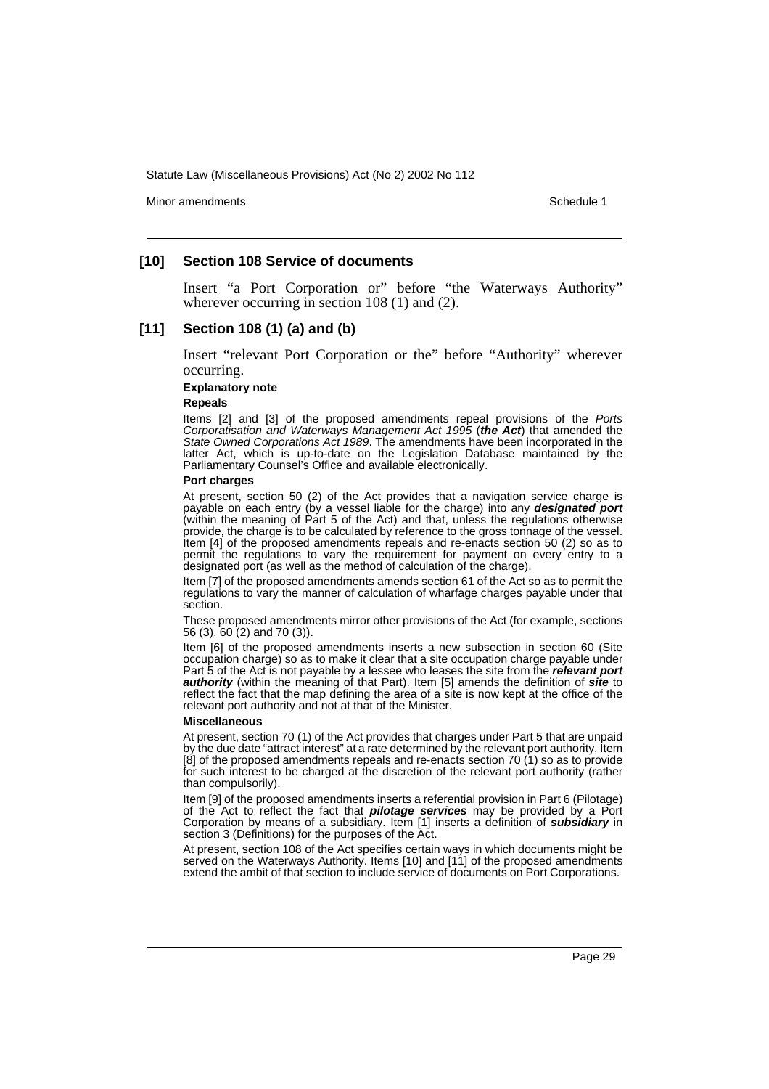Minor amendments **Schedule 1** and the state of the state of the state of the Schedule 1

#### **[10] Section 108 Service of documents**

Insert "a Port Corporation or" before "the Waterways Authority" wherever occurring in section 108 (1) and (2).

#### **[11] Section 108 (1) (a) and (b)**

Insert "relevant Port Corporation or the" before "Authority" wherever occurring.

#### **Explanatory note**

**Repeals**

Items [2] and [3] of the proposed amendments repeal provisions of the Ports Corporatisation and Waterways Management Act 1995 (**the Act**) that amended the State Owned Corporations Act 1989. The amendments have been incorporated in the latter Act, which is up-to-date on the Legislation Database maintained by the Parliamentary Counsel's Office and available electronically.

#### **Port charges**

At present, section 50 (2) of the Act provides that a navigation service charge is payable on each entry (by a vessel liable for the charge) into any **designated port** (within the meaning of Part 5 of the Act) and that, unless the regulations otherwise provide, the charge is to be calculated by reference to the gross tonnage of the vessel. Item [4] of the proposed amendments repeals and re-enacts section 50 (2) so as to permit the regulations to vary the requirement for payment on every entry to a designated port (as well as the method of calculation of the charge).

Item [7] of the proposed amendments amends section 61 of the Act so as to permit the regulations to vary the manner of calculation of wharfage charges payable under that section.

These proposed amendments mirror other provisions of the Act (for example, sections 56 (3), 60 (2) and 70 (3)).

Item [6] of the proposed amendments inserts a new subsection in section 60 (Site occupation charge) so as to make it clear that a site occupation charge payable under Part 5 of the Act is not payable by a lessee who leases the site from the **relevant port authority** (within the meaning of that Part). Item [5] amends the definition of **site** to reflect the fact that the map defining the area of a site is now kept at the office of the relevant port authority and not at that of the Minister.

#### **Miscellaneous**

At present, section 70 (1) of the Act provides that charges under Part 5 that are unpaid by the due date "attract interest" at a rate determined by the relevant port authority. Item [8] of the proposed amendments repeals and re-enacts section 70 (1) so as to provide for such interest to be charged at the discretion of the relevant port authority (rather than compulsorily).

Item [9] of the proposed amendments inserts a referential provision in Part 6 (Pilotage) of the Act to reflect the fact that **pilotage services** may be provided by a Port Corporation by means of a subsidiary. Item [1] inserts a definition of **subsidiary** in section 3 (Definitions) for the purposes of the Act.

At present, section 108 of the Act specifies certain ways in which documents might be served on the Waterways Authority. Items [10] and [11] of the proposed amendments extend the ambit of that section to include service of documents on Port Corporations.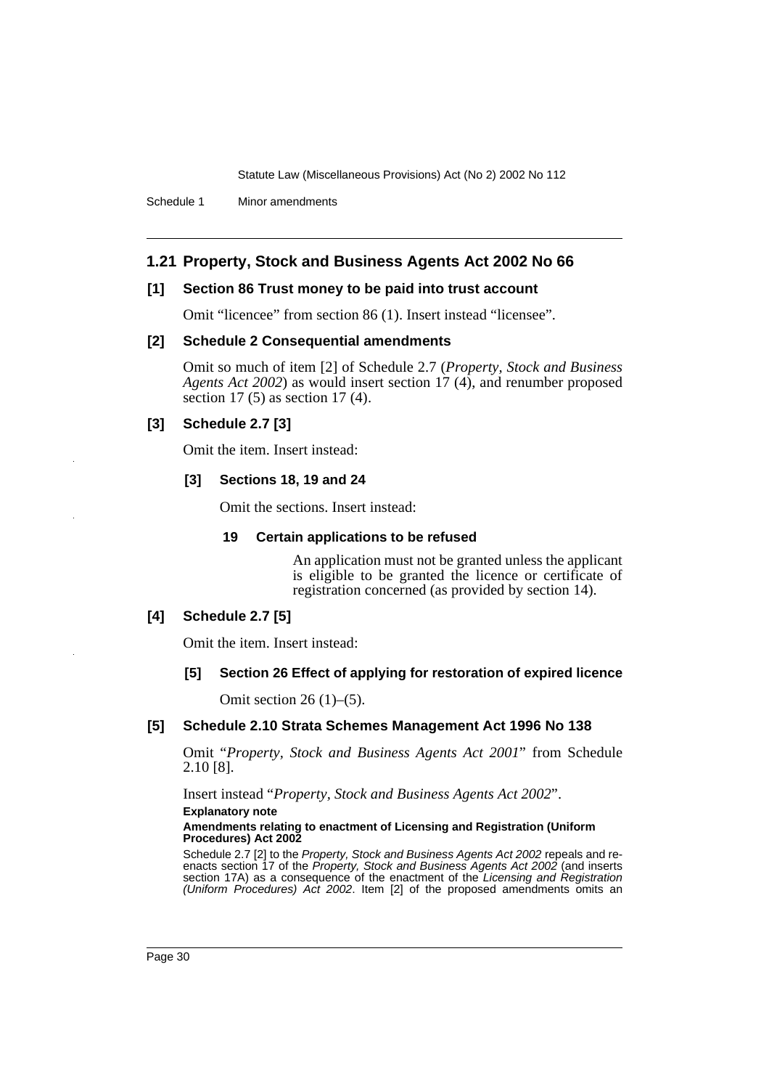Schedule 1 Minor amendments

### **1.21 Property, Stock and Business Agents Act 2002 No 66**

#### **[1] Section 86 Trust money to be paid into trust account**

Omit "licencee" from section 86 (1). Insert instead "licensee".

#### **[2] Schedule 2 Consequential amendments**

Omit so much of item [2] of Schedule 2.7 (*Property, Stock and Business Agents Act 2002*) as would insert section 17 (4), and renumber proposed section 17 (5) as section 17 (4).

### **[3] Schedule 2.7 [3]**

Omit the item. Insert instead:

#### **[3] Sections 18, 19 and 24**

Omit the sections. Insert instead:

#### **19 Certain applications to be refused**

An application must not be granted unless the applicant is eligible to be granted the licence or certificate of registration concerned (as provided by section 14).

#### **[4] Schedule 2.7 [5]**

Omit the item. Insert instead:

#### **[5] Section 26 Effect of applying for restoration of expired licence**

Omit section 26 (1)–(5).

#### **[5] Schedule 2.10 Strata Schemes Management Act 1996 No 138**

Omit "*Property, Stock and Business Agents Act 2001*" from Schedule 2.10 [8].

Insert instead "*Property, Stock and Business Agents Act 2002*".

**Explanatory note**

#### **Amendments relating to enactment of Licensing and Registration (Uniform Procedures) Act 2002**

Schedule 2.7 [2] to the Property, Stock and Business Agents Act 2002 repeals and reenacts section 17 of the Property, Stock and Business Agents Act 2002 (and inserts section 17A) as a consequence of the enactment of the Licensing and Registration (Uniform Procedures) Act 2002. Item [2] of the proposed amendments omits an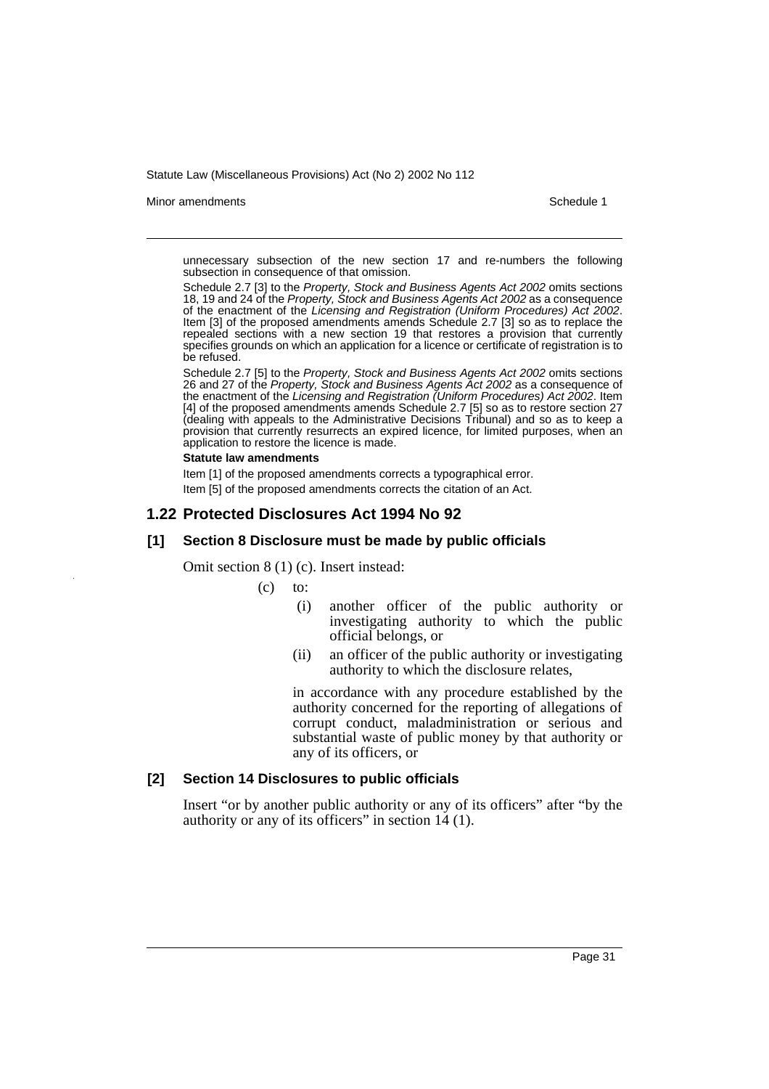#### Minor amendments **Schedule 1** and the state of the state of the state of the Schedule 1

unnecessary subsection of the new section 17 and re-numbers the following subsection in consequence of that omission.

Schedule 2.7 [3] to the Property, Stock and Business Agents Act 2002 omits sections 18, 19 and 24 of the Property, Stock and Business Agents Act 2002 as a consequence of the enactment of the Licensing and Registration (Uniform Procedures) Act 2002. Item [3] of the proposed amendments amends Schedule 2.7 [3] so as to replace the repealed sections with a new section 19 that restores a provision that currently specifies grounds on which an application for a licence or certificate of registration is to be refused.

Schedule 2.7 [5] to the Property, Stock and Business Agents Act 2002 omits sections 26 and 27 of the Property, Stock and Business Agents Act 2002 as a consequence of the enactment of the Licensing and Registration (Uniform Procedures) Act 2002. Item [4] of the proposed amendments amends Schedule 2.7 [5] so as to restore section 27 (dealing with appeals to the Administrative Decisions Tribunal) and so as to keep a provision that currently resurrects an expired licence, for limited purposes, when an application to restore the licence is made.

#### **Statute law amendments**

Item [1] of the proposed amendments corrects a typographical error. Item [5] of the proposed amendments corrects the citation of an Act.

### **1.22 Protected Disclosures Act 1994 No 92**

### **[1] Section 8 Disclosure must be made by public officials**

Omit section 8 (1) (c). Insert instead:

 $(c)$  to:

- (i) another officer of the public authority or investigating authority to which the public official belongs, or
- (ii) an officer of the public authority or investigating authority to which the disclosure relates,

in accordance with any procedure established by the authority concerned for the reporting of allegations of corrupt conduct, maladministration or serious and substantial waste of public money by that authority or any of its officers, or

#### **[2] Section 14 Disclosures to public officials**

Insert "or by another public authority or any of its officers" after "by the authority or any of its officers" in section 14 (1).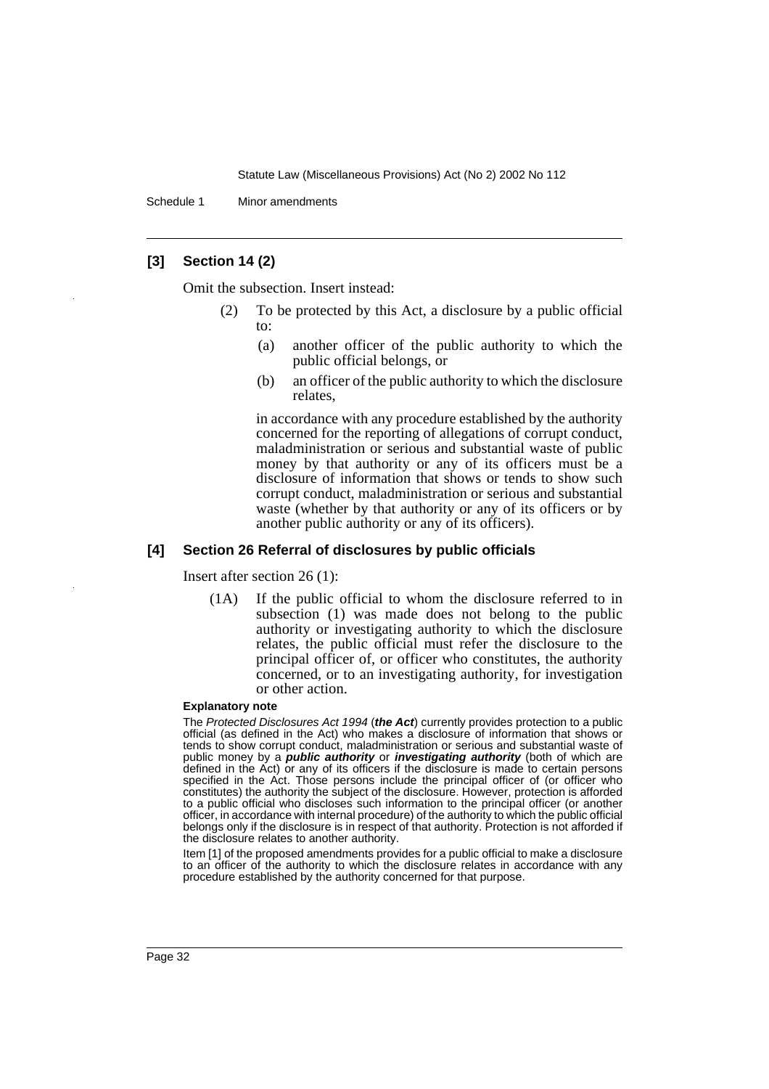Schedule 1 Minor amendments

#### **[3] Section 14 (2)**

Omit the subsection. Insert instead:

- (2) To be protected by this Act, a disclosure by a public official to:
	- (a) another officer of the public authority to which the public official belongs, or
	- (b) an officer of the public authority to which the disclosure relates,

in accordance with any procedure established by the authority concerned for the reporting of allegations of corrupt conduct, maladministration or serious and substantial waste of public money by that authority or any of its officers must be a disclosure of information that shows or tends to show such corrupt conduct, maladministration or serious and substantial waste (whether by that authority or any of its officers or by another public authority or any of its officers).

#### **[4] Section 26 Referral of disclosures by public officials**

Insert after section 26 (1):

(1A) If the public official to whom the disclosure referred to in subsection (1) was made does not belong to the public authority or investigating authority to which the disclosure relates, the public official must refer the disclosure to the principal officer of, or officer who constitutes, the authority concerned, or to an investigating authority, for investigation or other action.

#### **Explanatory note**

The Protected Disclosures Act 1994 (**the Act**) currently provides protection to a public official (as defined in the Act) who makes a disclosure of information that shows or tends to show corrupt conduct, maladministration or serious and substantial waste of public money by a **public authority** or **investigating authority** (both of which are defined in the Act) or any of its officers if the disclosure is made to certain persons specified in the Act. Those persons include the principal officer of (or officer who constitutes) the authority the subject of the disclosure. However, protection is afforded to a public official who discloses such information to the principal officer (or another officer, in accordance with internal procedure) of the authority to which the public official belongs only if the disclosure is in respect of that authority. Protection is not afforded if the disclosure relates to another authority.

Item [1] of the proposed amendments provides for a public official to make a disclosure to an officer of the authority to which the disclosure relates in accordance with any procedure established by the authority concerned for that purpose.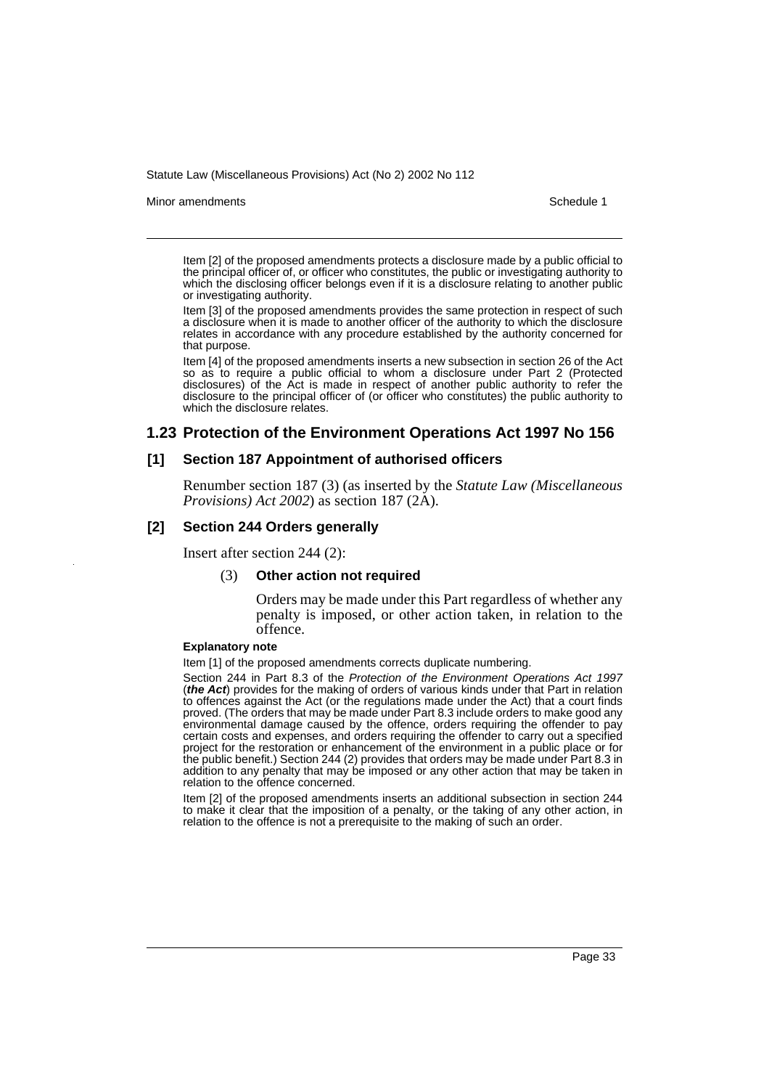Minor amendments **Schedule 1** and the state of the state of the state of the Schedule 1

Item [2] of the proposed amendments protects a disclosure made by a public official to the principal officer of, or officer who constitutes, the public or investigating authority to which the disclosing officer belongs even if it is a disclosure relating to another public or investigating authority.

Item [3] of the proposed amendments provides the same protection in respect of such a disclosure when it is made to another officer of the authority to which the disclosure relates in accordance with any procedure established by the authority concerned for that purpose.

Item [4] of the proposed amendments inserts a new subsection in section 26 of the Act so as to require a public official to whom a disclosure under Part 2 (Protected disclosures) of the Act is made in respect of another public authority to refer the disclosure to the principal officer of (or officer who constitutes) the public authority to which the disclosure relates.

#### **1.23 Protection of the Environment Operations Act 1997 No 156**

# **[1] Section 187 Appointment of authorised officers**

Renumber section 187 (3) (as inserted by the *Statute Law (Miscellaneous Provisions) Act 2002*) as section 187 (2A).

#### **[2] Section 244 Orders generally**

Insert after section 244 (2):

#### (3) **Other action not required**

Orders may be made under this Part regardless of whether any penalty is imposed, or other action taken, in relation to the offence.

#### **Explanatory note**

Item [1] of the proposed amendments corrects duplicate numbering.

Section 244 in Part 8.3 of the Protection of the Environment Operations Act 1997 (*the Act*) provides for the making of orders of various kinds under that Part in relation to offences against the Act (or the regulations made under the Act) that a court finds proved. (The orders that may be made under Part 8.3 include orders to make good any environmental damage caused by the offence, orders requiring the offender to pay certain costs and expenses, and orders requiring the offender to carry out a specified project for the restoration or enhancement of the environment in a public place or for the public benefit.) Section 244 (2) provides that orders may be made under Part 8.3 in addition to any penalty that may be imposed or any other action that may be taken in relation to the offence concerned.

Item [2] of the proposed amendments inserts an additional subsection in section 244 to make it clear that the imposition of a penalty, or the taking of any other action, in relation to the offence is not a prerequisite to the making of such an order.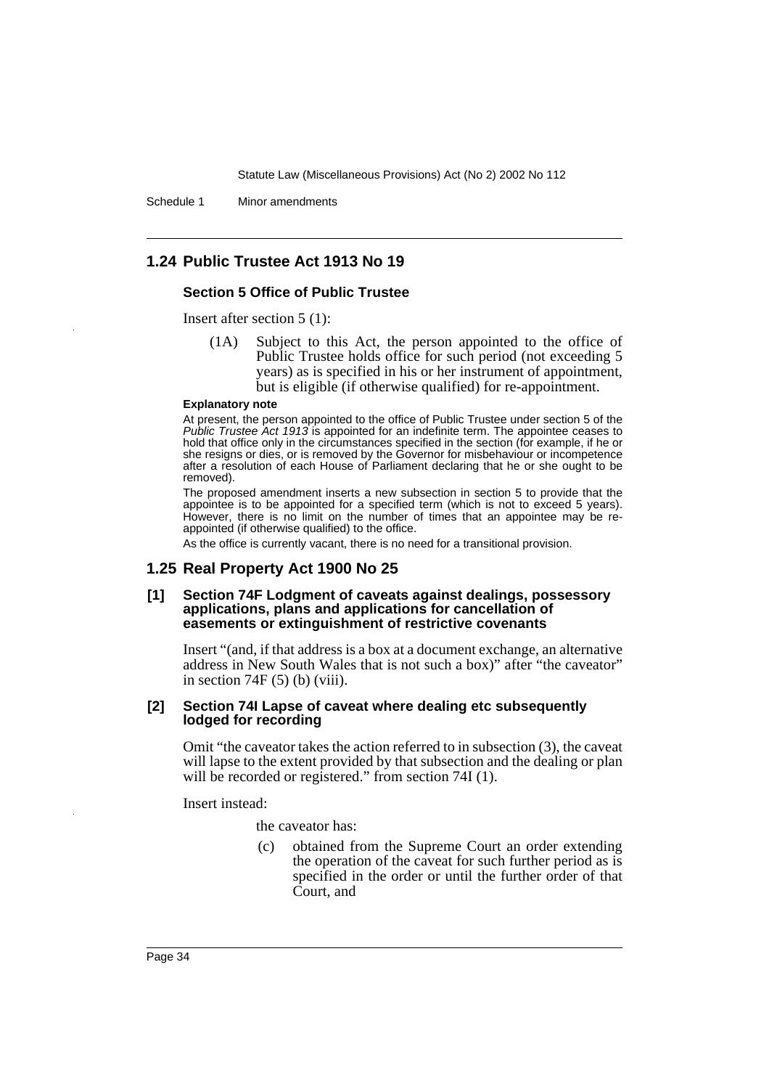Schedule 1 Minor amendments

### **1.24 Public Trustee Act 1913 No 19**

#### **Section 5 Office of Public Trustee**

Insert after section 5 (1):

(1A) Subject to this Act, the person appointed to the office of Public Trustee holds office for such period (not exceeding 5 years) as is specified in his or her instrument of appointment, but is eligible (if otherwise qualified) for re-appointment.

#### **Explanatory note**

At present, the person appointed to the office of Public Trustee under section 5 of the Public Trustee Act 1913 is appointed for an indefinite term. The appointee ceases to hold that office only in the circumstances specified in the section (for example, if he or she resigns or dies, or is removed by the Governor for misbehaviour or incompetence after a resolution of each House of Parliament declaring that he or she ought to be removed).

The proposed amendment inserts a new subsection in section 5 to provide that the appointee is to be appointed for a specified term (which is not to exceed 5 years). However, there is no limit on the number of times that an appointee may be reappointed (if otherwise qualified) to the office.

As the office is currently vacant, there is no need for a transitional provision.

#### **1.25 Real Property Act 1900 No 25**

#### **[1] Section 74F Lodgment of caveats against dealings, possessory applications, plans and applications for cancellation of easements or extinguishment of restrictive covenants**

Insert "(and, if that address is a box at a document exchange, an alternative address in New South Wales that is not such a box)" after "the caveator" in section  $74F(5)$  (b) (viii).

#### **[2] Section 74I Lapse of caveat where dealing etc subsequently lodged for recording**

Omit "the caveator takes the action referred to in subsection (3), the caveat will lapse to the extent provided by that subsection and the dealing or plan will be recorded or registered." from section 74I (1).

Insert instead:

the caveator has:

(c) obtained from the Supreme Court an order extending the operation of the caveat for such further period as is specified in the order or until the further order of that Court, and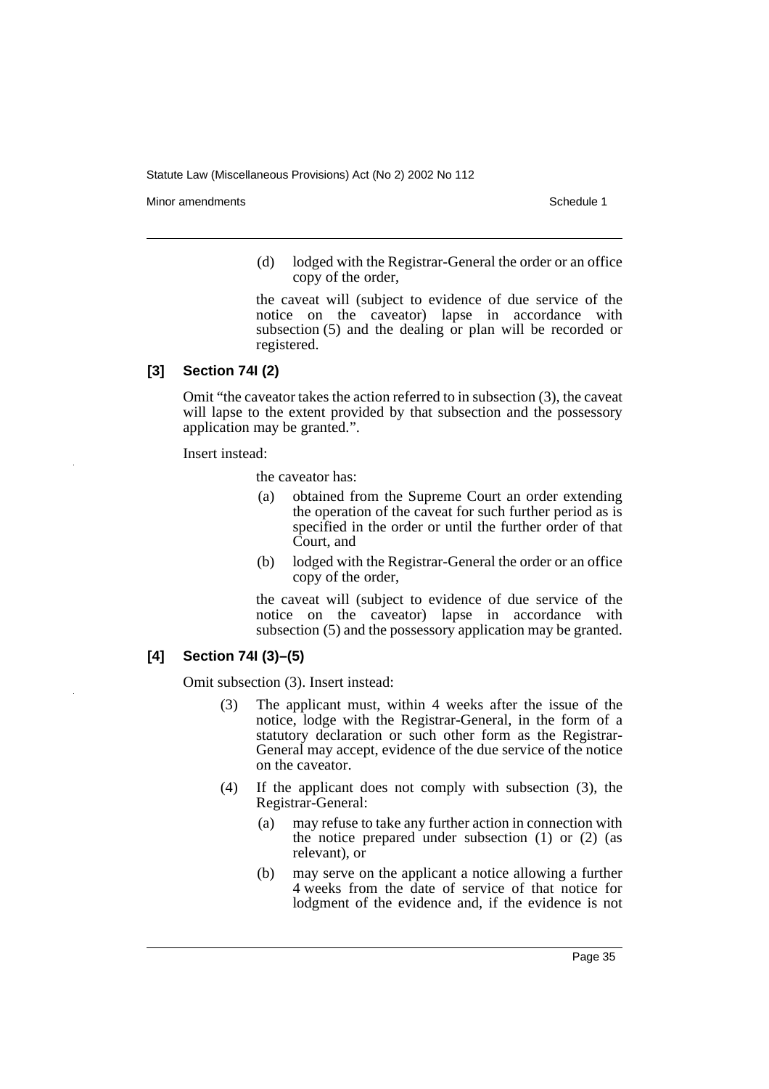Minor amendments **Schedule 1** and the state of the state of the state of the Schedule 1

(d) lodged with the Registrar-General the order or an office copy of the order,

the caveat will (subject to evidence of due service of the notice on the caveator) lapse in accordance with subsection (5) and the dealing or plan will be recorded or registered.

### **[3] Section 74I (2)**

Omit "the caveator takes the action referred to in subsection (3), the caveat will lapse to the extent provided by that subsection and the possessory application may be granted.".

Insert instead:

the caveator has:

- (a) obtained from the Supreme Court an order extending the operation of the caveat for such further period as is specified in the order or until the further order of that Court, and
- (b) lodged with the Registrar-General the order or an office copy of the order,

the caveat will (subject to evidence of due service of the notice on the caveator) lapse in accordance with subsection (5) and the possessory application may be granted.

# **[4] Section 74I (3)–(5)**

Omit subsection (3). Insert instead:

- (3) The applicant must, within 4 weeks after the issue of the notice, lodge with the Registrar-General, in the form of a statutory declaration or such other form as the Registrar-General may accept, evidence of the due service of the notice on the caveator.
- (4) If the applicant does not comply with subsection (3), the Registrar-General:
	- (a) may refuse to take any further action in connection with the notice prepared under subsection (1) or (2) (as relevant), or
	- (b) may serve on the applicant a notice allowing a further 4 weeks from the date of service of that notice for lodgment of the evidence and, if the evidence is not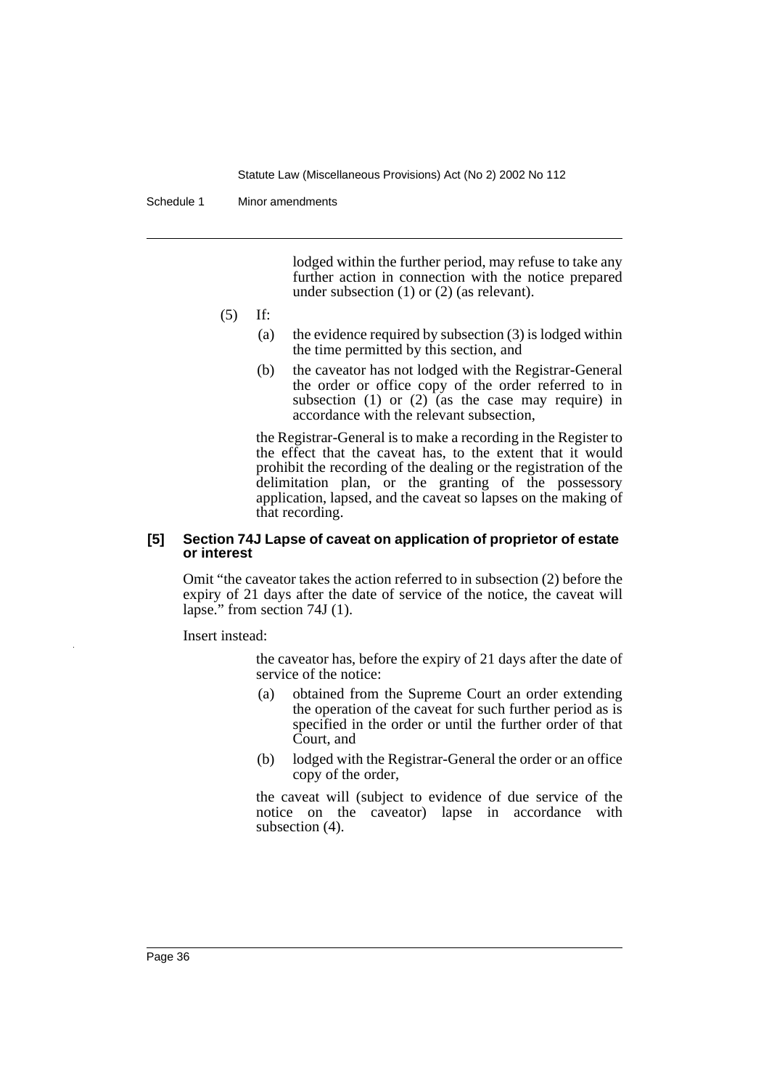Schedule 1 Minor amendments

lodged within the further period, may refuse to take any further action in connection with the notice prepared under subsection (1) or (2) (as relevant).

- (5) If:
	- (a) the evidence required by subsection  $(3)$  is lodged within the time permitted by this section, and
	- (b) the caveator has not lodged with the Registrar-General the order or office copy of the order referred to in subsection (1) or (2) (as the case may require) in accordance with the relevant subsection,

the Registrar-General is to make a recording in the Register to the effect that the caveat has, to the extent that it would prohibit the recording of the dealing or the registration of the delimitation plan, or the granting of the possessory application, lapsed, and the caveat so lapses on the making of that recording.

### **[5] Section 74J Lapse of caveat on application of proprietor of estate or interest**

Omit "the caveator takes the action referred to in subsection (2) before the expiry of 21 days after the date of service of the notice, the caveat will lapse." from section 74J (1).

Insert instead:

the caveator has, before the expiry of 21 days after the date of service of the notice:

- (a) obtained from the Supreme Court an order extending the operation of the caveat for such further period as is specified in the order or until the further order of that Court, and
- (b) lodged with the Registrar-General the order or an office copy of the order,

the caveat will (subject to evidence of due service of the notice on the caveator) lapse in accordance with subsection (4).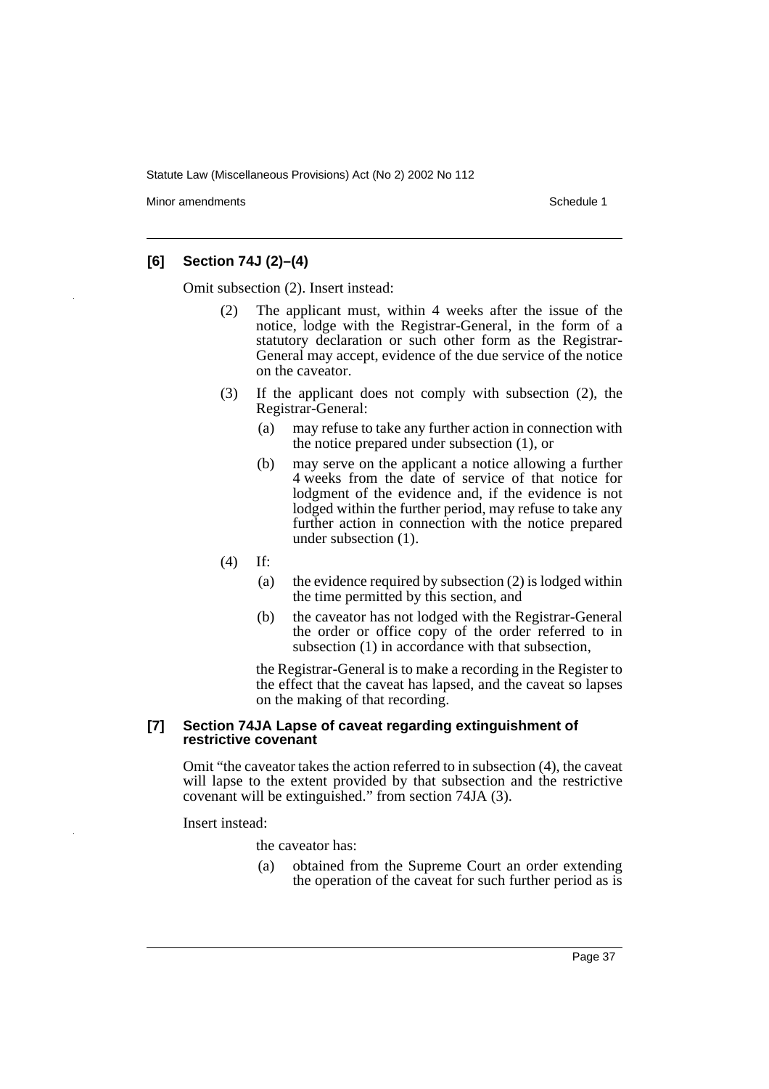Minor amendments **Schedule 1** and the state of the state of the state of the Schedule 1

### **[6] Section 74J (2)–(4)**

Omit subsection (2). Insert instead:

- (2) The applicant must, within 4 weeks after the issue of the notice, lodge with the Registrar-General, in the form of a statutory declaration or such other form as the Registrar-General may accept, evidence of the due service of the notice on the caveator.
- (3) If the applicant does not comply with subsection (2), the Registrar-General:
	- (a) may refuse to take any further action in connection with the notice prepared under subsection (1), or
	- (b) may serve on the applicant a notice allowing a further 4 weeks from the date of service of that notice for lodgment of the evidence and, if the evidence is not lodged within the further period, may refuse to take any further action in connection with the notice prepared under subsection (1).
- (4) If:
	- (a) the evidence required by subsection (2) is lodged within the time permitted by this section, and
	- (b) the caveator has not lodged with the Registrar-General the order or office copy of the order referred to in subsection (1) in accordance with that subsection,

the Registrar-General is to make a recording in the Register to the effect that the caveat has lapsed, and the caveat so lapses on the making of that recording.

#### **[7] Section 74JA Lapse of caveat regarding extinguishment of restrictive covenant**

Omit "the caveator takes the action referred to in subsection (4), the caveat will lapse to the extent provided by that subsection and the restrictive covenant will be extinguished." from section 74JA (3).

Insert instead:

the caveator has:

(a) obtained from the Supreme Court an order extending the operation of the caveat for such further period as is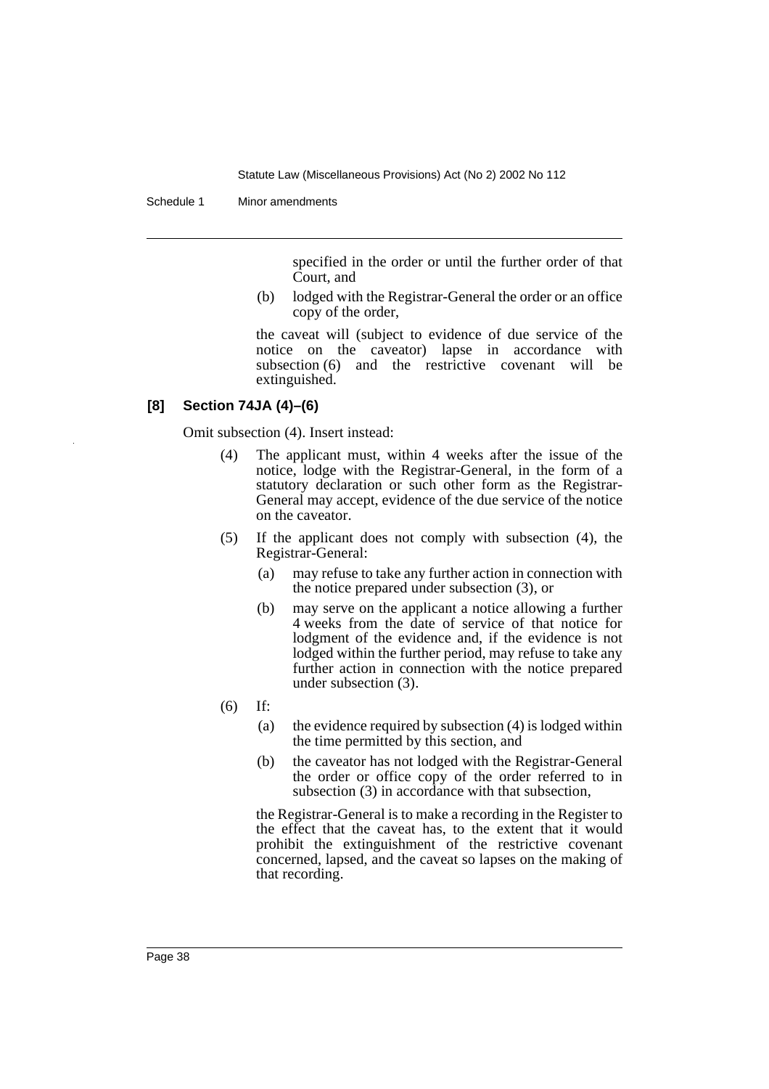Schedule 1 Minor amendments

specified in the order or until the further order of that Court, and

(b) lodged with the Registrar-General the order or an office copy of the order,

the caveat will (subject to evidence of due service of the notice on the caveator) lapse in accordance with subsection (6) and the restrictive covenant will be extinguished.

# **[8] Section 74JA (4)–(6)**

Omit subsection (4). Insert instead:

- (4) The applicant must, within 4 weeks after the issue of the notice, lodge with the Registrar-General, in the form of a statutory declaration or such other form as the Registrar-General may accept, evidence of the due service of the notice on the caveator.
- (5) If the applicant does not comply with subsection (4), the Registrar-General:
	- (a) may refuse to take any further action in connection with the notice prepared under subsection (3), or
	- (b) may serve on the applicant a notice allowing a further 4 weeks from the date of service of that notice for lodgment of the evidence and, if the evidence is not lodged within the further period, may refuse to take any further action in connection with the notice prepared under subsection (3).
- (6) If:
	- (a) the evidence required by subsection (4) is lodged within the time permitted by this section, and
	- (b) the caveator has not lodged with the Registrar-General the order or office copy of the order referred to in subsection (3) in accordance with that subsection,

the Registrar-General is to make a recording in the Register to the effect that the caveat has, to the extent that it would prohibit the extinguishment of the restrictive covenant concerned, lapsed, and the caveat so lapses on the making of that recording.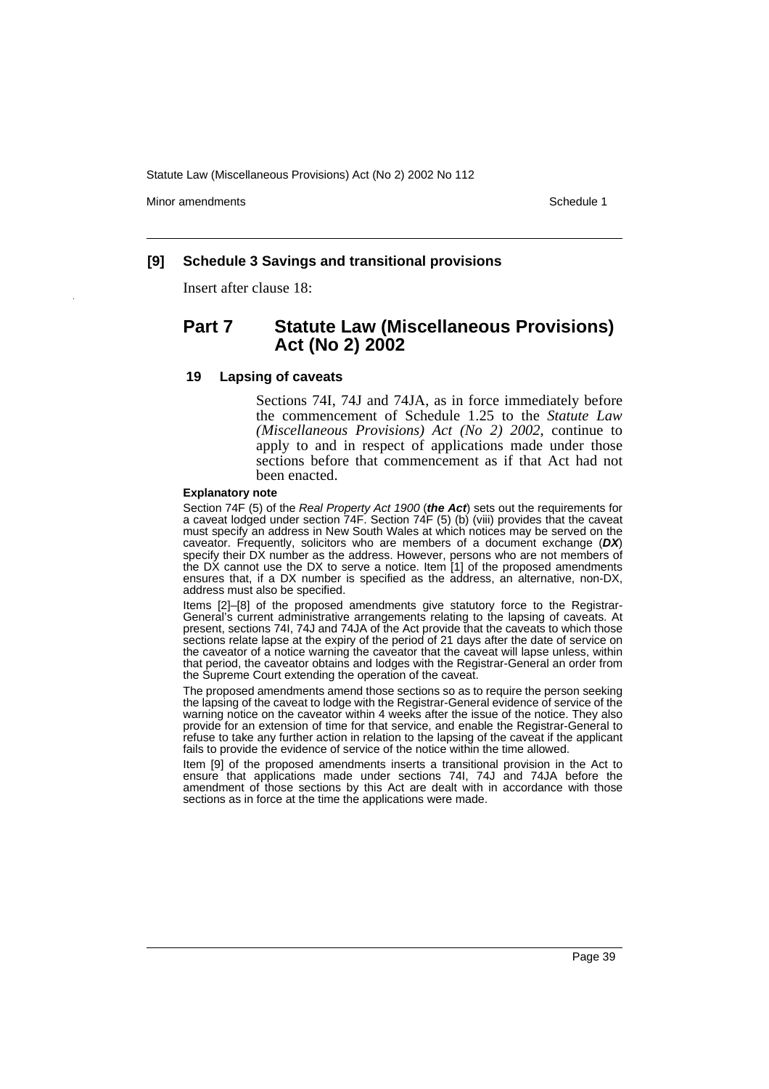Minor amendments **Schedule 1** and the state of the state of the state of the Schedule 1

#### **[9] Schedule 3 Savings and transitional provisions**

Insert after clause 18:

# **Part 7 Statute Law (Miscellaneous Provisions) Act (No 2) 2002**

#### **19 Lapsing of caveats**

Sections 74I, 74J and 74JA, as in force immediately before the commencement of Schedule 1.25 to the *Statute Law (Miscellaneous Provisions) Act (No 2) 2002*, continue to apply to and in respect of applications made under those sections before that commencement as if that Act had not been enacted.

#### **Explanatory note**

Section 74F (5) of the Real Property Act 1900 (**the Act**) sets out the requirements for a caveat lodged under section 74F. Section 74F (5) (b) (viii) provides that the caveat must specify an address in New South Wales at which notices may be served on the caveator. Frequently, solicitors who are members of a document exchange (**DX**) specify their DX number as the address. However, persons who are not members of the DX cannot use the DX to serve a notice. Item [1] of the proposed amendments ensures that, if a DX number is specified as the address, an alternative, non-DX, address must also be specified.

Items [2]–[8] of the proposed amendments give statutory force to the Registrar-General's current administrative arrangements relating to the lapsing of caveats. At present, sections 74I, 74J and 74JA of the Act provide that the caveats to which those sections relate lapse at the expiry of the period of 21 days after the date of service on the caveator of a notice warning the caveator that the caveat will lapse unless, within that period, the caveator obtains and lodges with the Registrar-General an order from the Supreme Court extending the operation of the caveat.

The proposed amendments amend those sections so as to require the person seeking the lapsing of the caveat to lodge with the Registrar-General evidence of service of the warning notice on the caveator within 4 weeks after the issue of the notice. They also provide for an extension of time for that service, and enable the Registrar-General to refuse to take any further action in relation to the lapsing of the caveat if the applicant fails to provide the evidence of service of the notice within the time allowed.

Item [9] of the proposed amendments inserts a transitional provision in the Act to ensure that applications made under sections 74I, 74J and 74JA before the amendment of those sections by this Act are dealt with in accordance with those sections as in force at the time the applications were made.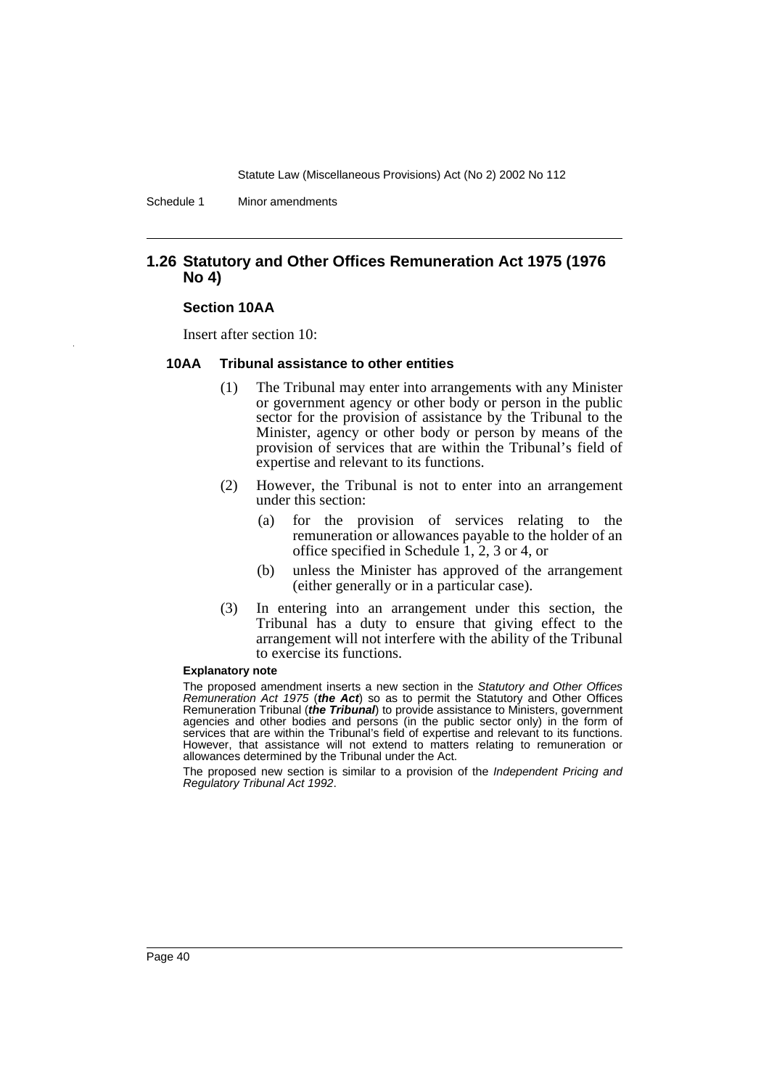Schedule 1 Minor amendments

### **1.26 Statutory and Other Offices Remuneration Act 1975 (1976 No 4)**

#### **Section 10AA**

Insert after section 10:

#### **10AA Tribunal assistance to other entities**

- (1) The Tribunal may enter into arrangements with any Minister or government agency or other body or person in the public sector for the provision of assistance by the Tribunal to the Minister, agency or other body or person by means of the provision of services that are within the Tribunal's field of expertise and relevant to its functions.
- (2) However, the Tribunal is not to enter into an arrangement under this section:
	- (a) for the provision of services relating to the remuneration or allowances payable to the holder of an office specified in Schedule 1, 2, 3 or 4, or
	- (b) unless the Minister has approved of the arrangement (either generally or in a particular case).
- (3) In entering into an arrangement under this section, the Tribunal has a duty to ensure that giving effect to the arrangement will not interfere with the ability of the Tribunal to exercise its functions.

#### **Explanatory note**

The proposed amendment inserts a new section in the Statutory and Other Offices Remuneration Act 1975 (**the Act**) so as to permit the Statutory and Other Offices Remuneration Tribunal (**the Tribunal**) to provide assistance to Ministers, government agencies and other bodies and persons (in the public sector only) in the form of services that are within the Tribunal's field of expertise and relevant to its functions. However, that assistance will not extend to matters relating to remuneration or allowances determined by the Tribunal under the Act.

The proposed new section is similar to a provision of the Independent Pricing and Regulatory Tribunal Act 1992.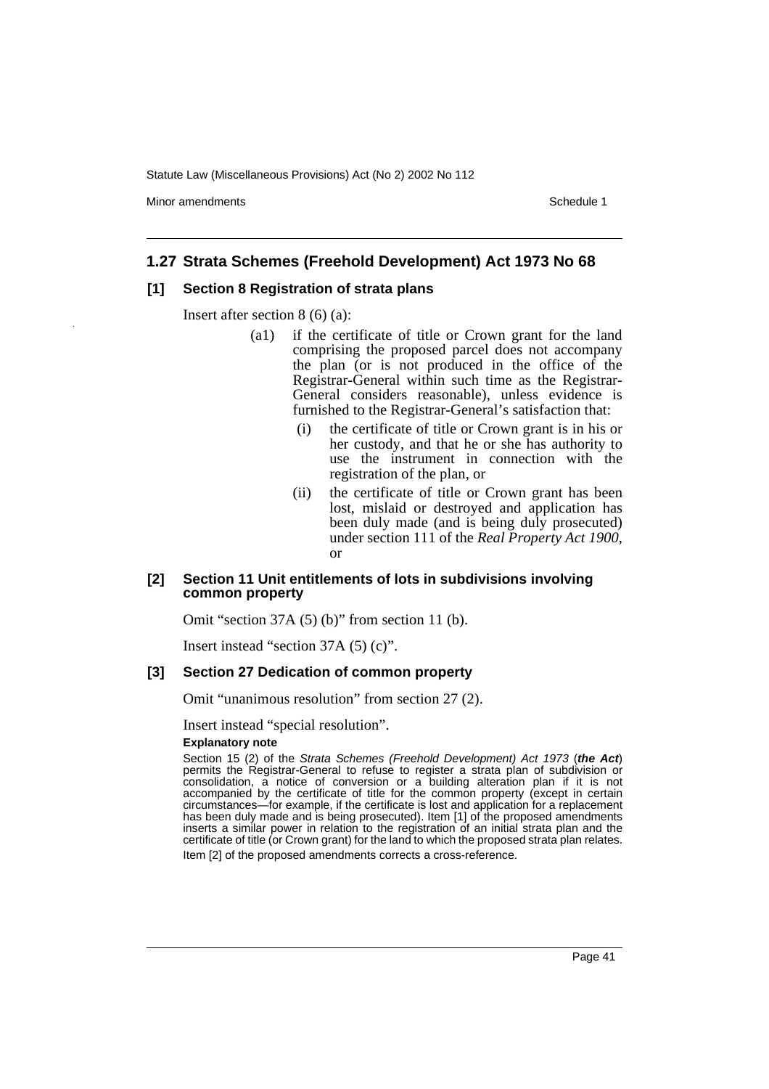Minor amendments **Schedule 1** and the state of the state of the state of the Schedule 1

### **1.27 Strata Schemes (Freehold Development) Act 1973 No 68**

#### **[1] Section 8 Registration of strata plans**

Insert after section 8 (6) (a):

- (a1) if the certificate of title or Crown grant for the land comprising the proposed parcel does not accompany the plan (or is not produced in the office of the Registrar-General within such time as the Registrar-General considers reasonable), unless evidence is furnished to the Registrar-General's satisfaction that:
	- (i) the certificate of title or Crown grant is in his or her custody, and that he or she has authority to use the instrument in connection with the registration of the plan, or
	- (ii) the certificate of title or Crown grant has been lost, mislaid or destroyed and application has been duly made (and is being duly prosecuted) under section 111 of the *Real Property Act 1900*, or

### **[2] Section 11 Unit entitlements of lots in subdivisions involving common property**

Omit "section 37A (5) (b)" from section 11 (b).

Insert instead "section 37A (5) (c)".

#### **[3] Section 27 Dedication of common property**

Omit "unanimous resolution" from section 27 (2).

Insert instead "special resolution".

#### **Explanatory note**

Section 15 (2) of the Strata Schemes (Freehold Development) Act 1973 (**the Act**) permits the Registrar-General to refuse to register a strata plan of subdivision or consolidation, a notice of conversion or a building alteration plan if it is not accompanied by the certificate of title for the common property (except in certain circumstances—for example, if the certificate is lost and application for a replacement has been duly made and is being prosecuted). Item [1] of the proposed amendments inserts a similar power in relation to the registration of an initial strata plan and the certificate of title (or Crown grant) for the land to which the proposed strata plan relates. Item [2] of the proposed amendments corrects a cross-reference.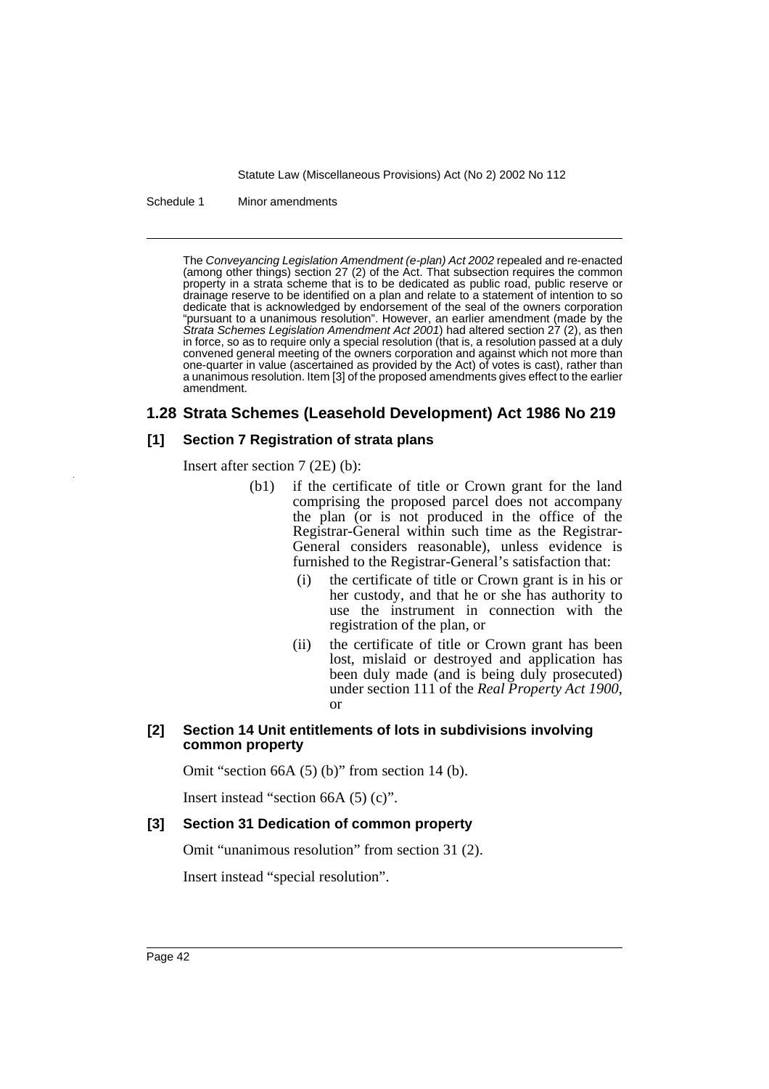Schedule 1 Minor amendments

The Conveyancing Legislation Amendment (e-plan) Act 2002 repealed and re-enacted (among other things) section 27 (2) of the Act. That subsection requires the common property in a strata scheme that is to be dedicated as public road, public reserve or drainage reserve to be identified on a plan and relate to a statement of intention to so dedicate that is acknowledged by endorsement of the seal of the owners corporation "pursuant to a unanimous resolution". However, an earlier amendment (made by the Strata Schemes Legislation Amendment Act 2001) had altered section 27 (2), as then in force, so as to require only a special resolution (that is, a resolution passed at a duly convened general meeting of the owners corporation and against which not more than one-quarter in value (ascertained as provided by the Act) of votes is cast), rather than a unanimous resolution. Item [3] of the proposed amendments gives effect to the earlier amendment.

# **1.28 Strata Schemes (Leasehold Development) Act 1986 No 219**

### **[1] Section 7 Registration of strata plans**

Insert after section 7 (2E) (b):

- (b1) if the certificate of title or Crown grant for the land comprising the proposed parcel does not accompany the plan (or is not produced in the office of the Registrar-General within such time as the Registrar-General considers reasonable), unless evidence is furnished to the Registrar-General's satisfaction that:
	- (i) the certificate of title or Crown grant is in his or her custody, and that he or she has authority to use the instrument in connection with the registration of the plan, or
	- (ii) the certificate of title or Crown grant has been lost, mislaid or destroyed and application has been duly made (and is being duly prosecuted) under section 111 of the *Real Property Act 1900*, or

### **[2] Section 14 Unit entitlements of lots in subdivisions involving common property**

Omit "section 66A (5) (b)" from section 14 (b).

Insert instead "section 66A (5) (c)".

### **[3] Section 31 Dedication of common property**

Omit "unanimous resolution" from section 31 (2).

Insert instead "special resolution".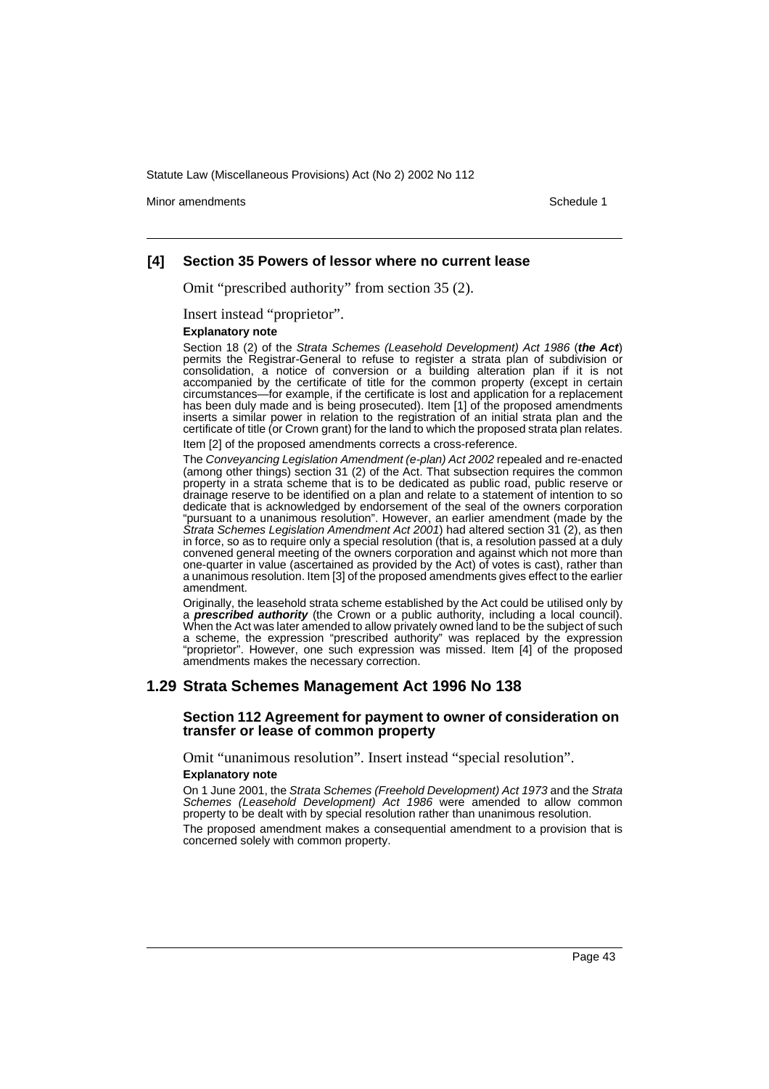Minor amendments **Schedule 1** and the state of the state of the state of the Schedule 1

#### **[4] Section 35 Powers of lessor where no current lease**

Omit "prescribed authority" from section 35 (2).

Insert instead "proprietor".

#### **Explanatory note**

Section 18 (2) of the Strata Schemes (Leasehold Development) Act 1986 (**the Act**) permits the Registrar-General to refuse to register a strata plan of subdivision or consolidation, a notice of conversion or a building alteration plan if it is not accompanied by the certificate of title for the common property (except in certain circumstances—for example, if the certificate is lost and application for a replacement has been duly made and is being prosecuted). Item [1] of the proposed amendments inserts a similar power in relation to the registration of an initial strata plan and the certificate of title (or Crown grant) for the land to which the proposed strata plan relates.

Item [2] of the proposed amendments corrects a cross-reference.

The Conveyancing Legislation Amendment (e-plan) Act 2002 repealed and re-enacted (among other things) section 31 (2) of the Act. That subsection requires the common property in a strata scheme that is to be dedicated as public road, public reserve or drainage reserve to be identified on a plan and relate to a statement of intention to so dedicate that is acknowledged by endorsement of the seal of the owners corporation "pursuant to a unanimous resolution". However, an earlier amendment (made by the Strata Schemes Legislation Amendment Act 2001) had altered section  $31$  (2), as then in force, so as to require only a special resolution (that is, a resolution passed at a duly convened general meeting of the owners corporation and against which not more than one-quarter in value (ascertained as provided by the Act) of votes is cast), rather than a unanimous resolution. Item [3] of the proposed amendments gives effect to the earlier amendment.

Originally, the leasehold strata scheme established by the Act could be utilised only by a **prescribed authority** (the Crown or a public authority, including a local council). When the Act was later amended to allow privately owned land to be the subject of such a scheme, the expression "prescribed authority" was replaced by the expression "proprietor". However, one such expression was missed. Item [4] of the proposed amendments makes the necessary correction.

#### **1.29 Strata Schemes Management Act 1996 No 138**

#### **Section 112 Agreement for payment to owner of consideration on transfer or lease of common property**

Omit "unanimous resolution". Insert instead "special resolution".

#### **Explanatory note**

On 1 June 2001, the Strata Schemes (Freehold Development) Act 1973 and the Strata Schemes (Leasehold Development) Act 1986 were amended to allow common property to be dealt with by special resolution rather than unanimous resolution.

The proposed amendment makes a consequential amendment to a provision that is concerned solely with common property.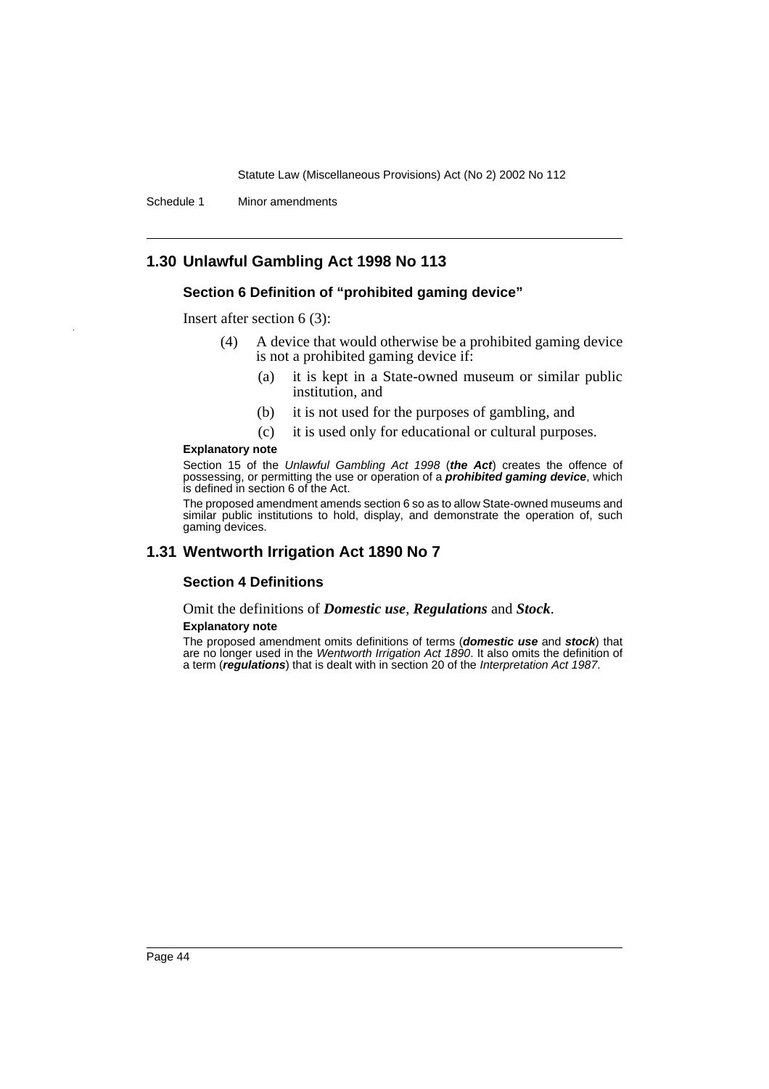Schedule 1 Minor amendments

# **1.30 Unlawful Gambling Act 1998 No 113**

### **Section 6 Definition of "prohibited gaming device"**

Insert after section 6 (3):

- (4) A device that would otherwise be a prohibited gaming device is not a prohibited gaming device if:
	- (a) it is kept in a State-owned museum or similar public institution, and
	- (b) it is not used for the purposes of gambling, and
	- (c) it is used only for educational or cultural purposes.

#### **Explanatory note**

Section 15 of the Unlawful Gambling Act 1998 (**the Act**) creates the offence of possessing, or permitting the use or operation of a **prohibited gaming device**, which is defined in section 6 of the Act.

The proposed amendment amends section 6 so as to allow State-owned museums and similar public institutions to hold, display, and demonstrate the operation of, such gaming devices.

### **1.31 Wentworth Irrigation Act 1890 No 7**

#### **Section 4 Definitions**

Omit the definitions of *Domestic use*, *Regulations* and *Stock*.

#### **Explanatory note**

The proposed amendment omits definitions of terms (**domestic use** and **stock**) that are no longer used in the Wentworth Irrigation Act 1890. It also omits the definition of a term (**regulations**) that is dealt with in section 20 of the Interpretation Act 1987.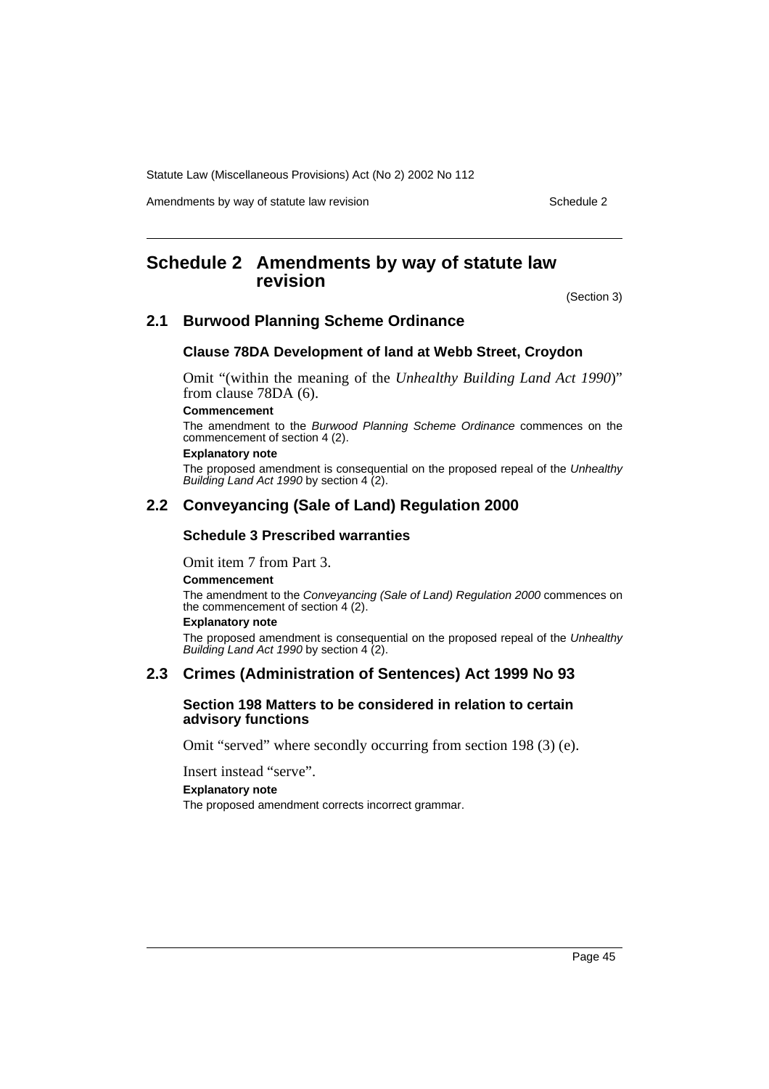Amendments by way of statute law revision example 2

# <span id="page-45-0"></span>**Schedule 2 Amendments by way of statute law revision**

(Section 3)

### **2.1 Burwood Planning Scheme Ordinance**

#### **Clause 78DA Development of land at Webb Street, Croydon**

Omit "(within the meaning of the *Unhealthy Building Land Act 1990*)" from clause 78DA (6).

#### **Commencement**

The amendment to the Burwood Planning Scheme Ordinance commences on the commencement of section 4 (2).

#### **Explanatory note**

The proposed amendment is consequential on the proposed repeal of the Unhealthy Building Land Act 1990 by section 4 (2).

### **2.2 Conveyancing (Sale of Land) Regulation 2000**

### **Schedule 3 Prescribed warranties**

Omit item 7 from Part 3.

#### **Commencement**

The amendment to the Conveyancing (Sale of Land) Regulation 2000 commences on the commencement of section 4 (2).

### **Explanatory note**

The proposed amendment is consequential on the proposed repeal of the Unhealthy Building Land Act 1990 by section 4 (2).

### **2.3 Crimes (Administration of Sentences) Act 1999 No 93**

#### **Section 198 Matters to be considered in relation to certain advisory functions**

Omit "served" where secondly occurring from section 198 (3) (e).

Insert instead "serve".

#### **Explanatory note**

The proposed amendment corrects incorrect grammar.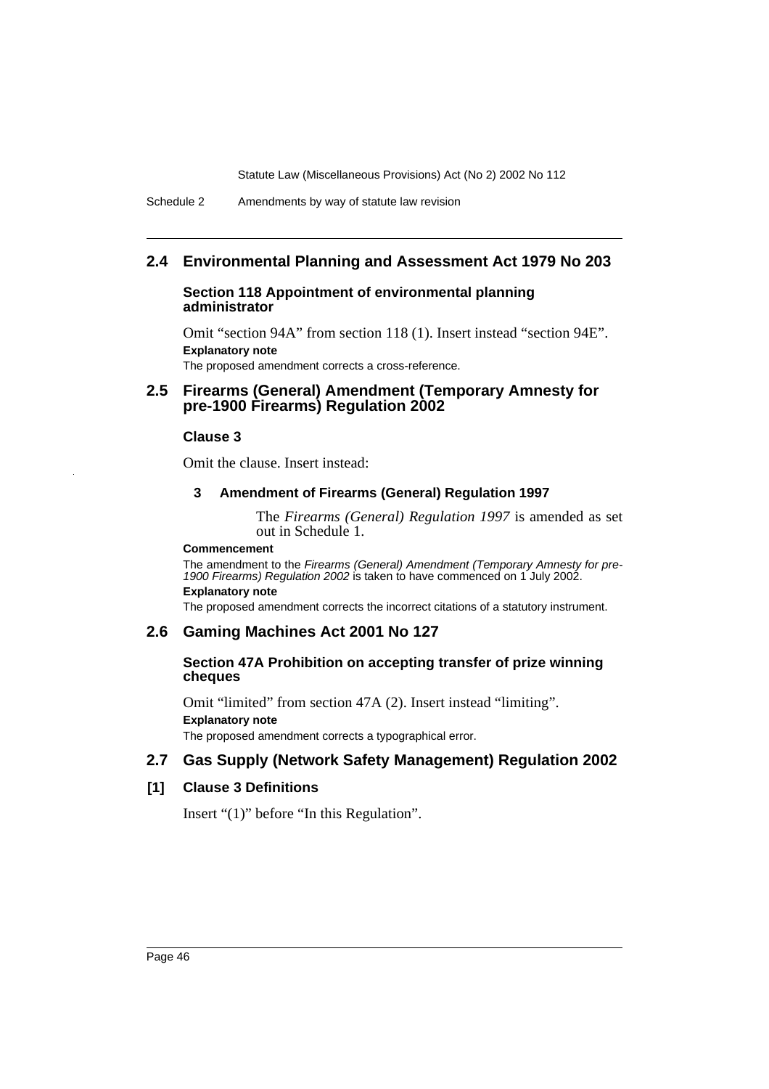# **2.4 Environmental Planning and Assessment Act 1979 No 203**

#### **Section 118 Appointment of environmental planning administrator**

Omit "section 94A" from section 118 (1). Insert instead "section 94E". **Explanatory note** The proposed amendment corrects a cross-reference.

### **2.5 Firearms (General) Amendment (Temporary Amnesty for pre-1900 Firearms) Regulation 2002**

### **Clause 3**

Omit the clause. Insert instead:

#### **3 Amendment of Firearms (General) Regulation 1997**

The *Firearms (General) Regulation 1997* is amended as set out in Schedule 1.

#### **Commencement**

The amendment to the Firearms (General) Amendment (Temporary Amnesty for pre-1900 Firearms) Regulation 2002 is taken to have commenced on 1 July 2002. **Explanatory note**

The proposed amendment corrects the incorrect citations of a statutory instrument.

### **2.6 Gaming Machines Act 2001 No 127**

#### **Section 47A Prohibition on accepting transfer of prize winning cheques**

Omit "limited" from section 47A (2). Insert instead "limiting". **Explanatory note** The proposed amendment corrects a typographical error.

# **2.7 Gas Supply (Network Safety Management) Regulation 2002**

### **[1] Clause 3 Definitions**

Insert "(1)" before "In this Regulation".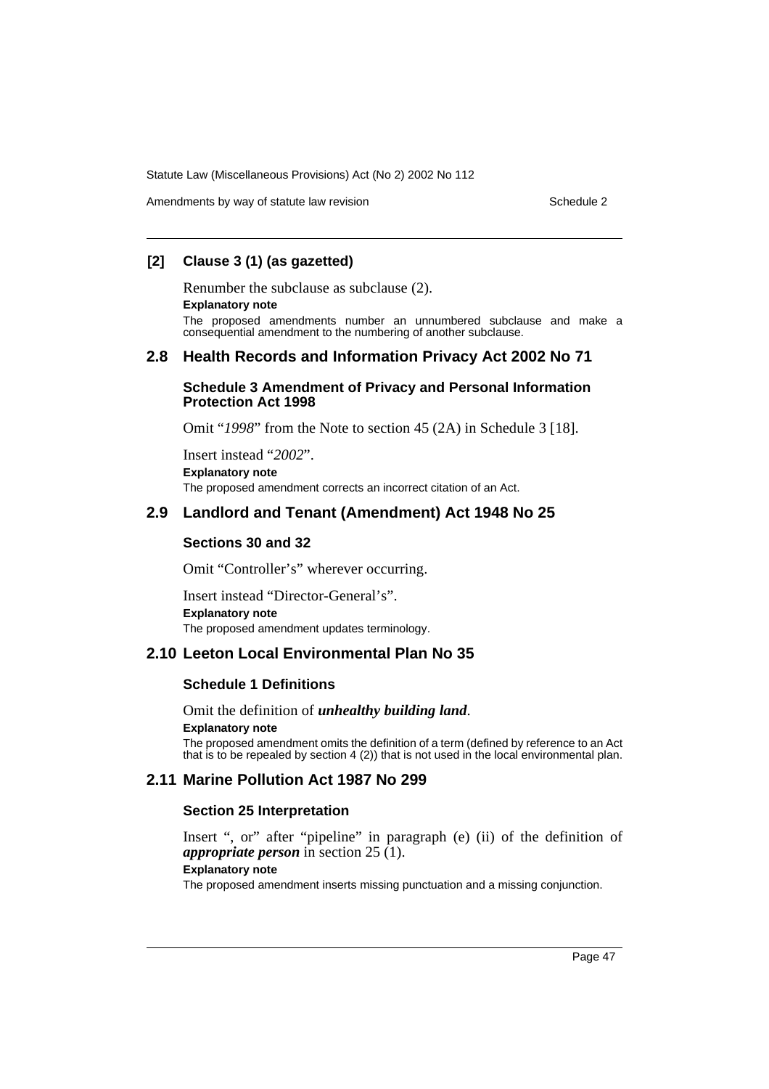Amendments by way of statute law revision Schedule 2 and Schedule 2

## **[2] Clause 3 (1) (as gazetted)**

Renumber the subclause as subclause (2).

#### **Explanatory note**

The proposed amendments number an unnumbered subclause and make a consequential amendment to the numbering of another subclause.

# **2.8 Health Records and Information Privacy Act 2002 No 71**

#### **Schedule 3 Amendment of Privacy and Personal Information Protection Act 1998**

Omit "*1998*" from the Note to section 45 (2A) in Schedule 3 [18].

Insert instead "*2002*". **Explanatory note** The proposed amendment corrects an incorrect citation of an Act.

# **2.9 Landlord and Tenant (Amendment) Act 1948 No 25**

### **Sections 30 and 32**

Omit "Controller's" wherever occurring.

Insert instead "Director-General's". **Explanatory note** The proposed amendment updates terminology.

### **2.10 Leeton Local Environmental Plan No 35**

### **Schedule 1 Definitions**

Omit the definition of *unhealthy building land*. **Explanatory note**

The proposed amendment omits the definition of a term (defined by reference to an Act that is to be repealed by section 4 (2)) that is not used in the local environmental plan.

# **2.11 Marine Pollution Act 1987 No 299**

### **Section 25 Interpretation**

Insert ", or" after "pipeline" in paragraph (e) (ii) of the definition of *appropriate person* in section 25 (1).

#### **Explanatory note**

The proposed amendment inserts missing punctuation and a missing conjunction.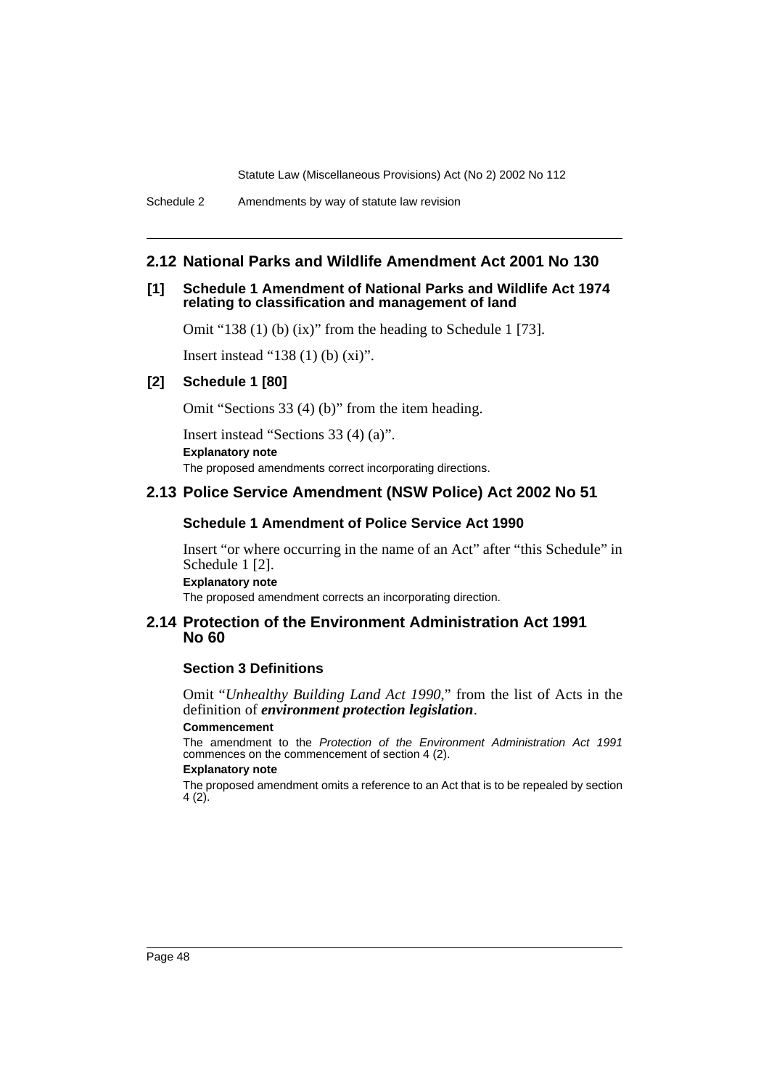Schedule 2 Amendments by way of statute law revision

# **2.12 National Parks and Wildlife Amendment Act 2001 No 130**

### **[1] Schedule 1 Amendment of National Parks and Wildlife Act 1974 relating to classification and management of land**

Omit "138 (1) (b) (ix)" from the heading to Schedule 1 [73].

Insert instead "138 (1) (b) (xi)".

### **[2] Schedule 1 [80]**

Omit "Sections 33 (4) (b)" from the item heading.

Insert instead "Sections 33 (4) (a)". **Explanatory note** The proposed amendments correct incorporating directions.

# **2.13 Police Service Amendment (NSW Police) Act 2002 No 51**

#### **Schedule 1 Amendment of Police Service Act 1990**

Insert "or where occurring in the name of an Act" after "this Schedule" in Schedule 1 [2]. **Explanatory note**

The proposed amendment corrects an incorporating direction.

### **2.14 Protection of the Environment Administration Act 1991 No 60**

### **Section 3 Definitions**

Omit "*Unhealthy Building Land Act 1990*," from the list of Acts in the definition of *environment protection legislation*.

#### **Commencement**

The amendment to the Protection of the Environment Administration Act 1991 commences on the commencement of section 4 (2).

#### **Explanatory note**

The proposed amendment omits a reference to an Act that is to be repealed by section 4 (2).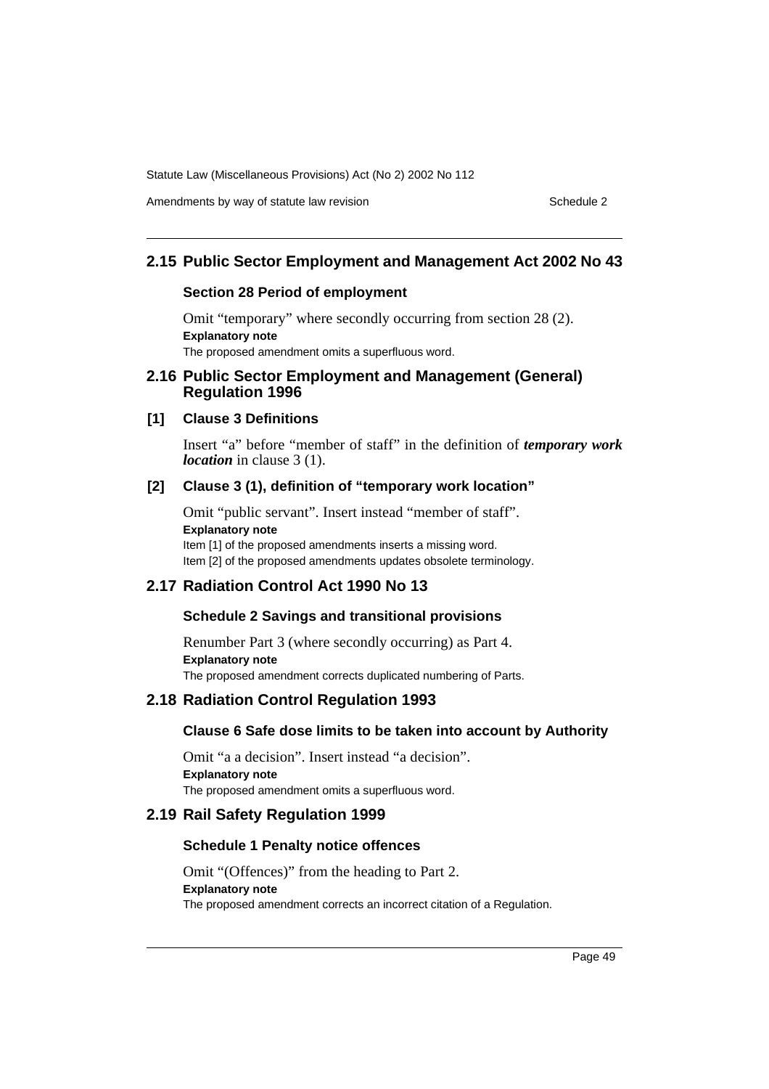Amendments by way of statute law revision example 2 Schedule 2

# **2.15 Public Sector Employment and Management Act 2002 No 43**

#### **Section 28 Period of employment**

Omit "temporary" where secondly occurring from section 28 (2). **Explanatory note** The proposed amendment omits a superfluous word.

### **2.16 Public Sector Employment and Management (General) Regulation 1996**

# **[1] Clause 3 Definitions**

Insert "a" before "member of staff" in the definition of *temporary work location* in clause 3 (1).

### **[2] Clause 3 (1), definition of "temporary work location"**

Omit "public servant". Insert instead "member of staff". **Explanatory note** Item [1] of the proposed amendments inserts a missing word. Item [2] of the proposed amendments updates obsolete terminology.

### **2.17 Radiation Control Act 1990 No 13**

### **Schedule 2 Savings and transitional provisions**

Renumber Part 3 (where secondly occurring) as Part 4. **Explanatory note** The proposed amendment corrects duplicated numbering of Parts.

### **2.18 Radiation Control Regulation 1993**

### **Clause 6 Safe dose limits to be taken into account by Authority**

Omit "a a decision". Insert instead "a decision". **Explanatory note** The proposed amendment omits a superfluous word.

### **2.19 Rail Safety Regulation 1999**

### **Schedule 1 Penalty notice offences**

Omit "(Offences)" from the heading to Part 2. **Explanatory note** The proposed amendment corrects an incorrect citation of a Regulation.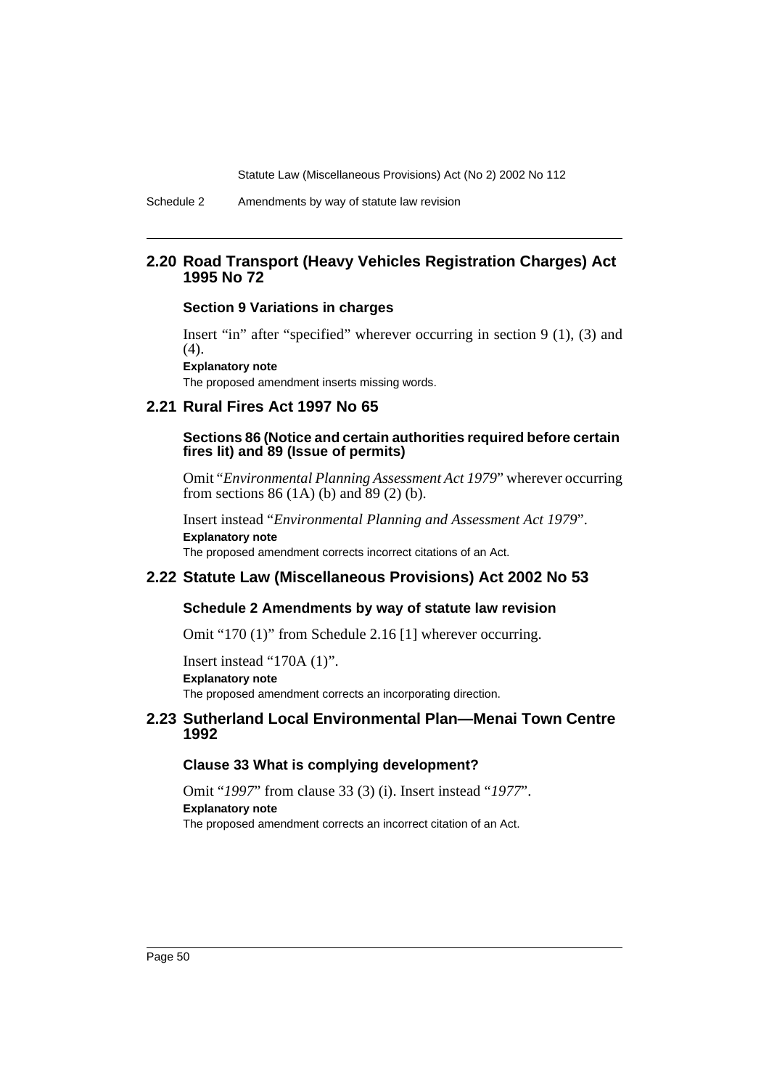Schedule 2 Amendments by way of statute law revision

### **2.20 Road Transport (Heavy Vehicles Registration Charges) Act 1995 No 72**

#### **Section 9 Variations in charges**

Insert "in" after "specified" wherever occurring in section 9 (1), (3) and  $(4).$ 

**Explanatory note** The proposed amendment inserts missing words.

#### **2.21 Rural Fires Act 1997 No 65**

#### **Sections 86 (Notice and certain authorities required before certain fires lit) and 89 (Issue of permits)**

Omit "*Environmental Planning Assessment Act 1979*" wherever occurring from sections  $86 (1A)$  (b) and  $89 (2)$  (b).

Insert instead "*Environmental Planning and Assessment Act 1979*". **Explanatory note** The proposed amendment corrects incorrect citations of an Act.

#### **2.22 Statute Law (Miscellaneous Provisions) Act 2002 No 53**

### **Schedule 2 Amendments by way of statute law revision**

Omit "170 (1)" from Schedule 2.16 [1] wherever occurring.

Insert instead "170A (1)". **Explanatory note** The proposed amendment corrects an incorporating direction.

## **2.23 Sutherland Local Environmental Plan—Menai Town Centre 1992**

#### **Clause 33 What is complying development?**

Omit "*1997*" from clause 33 (3) (i). Insert instead "*1977*". **Explanatory note** The proposed amendment corrects an incorrect citation of an Act.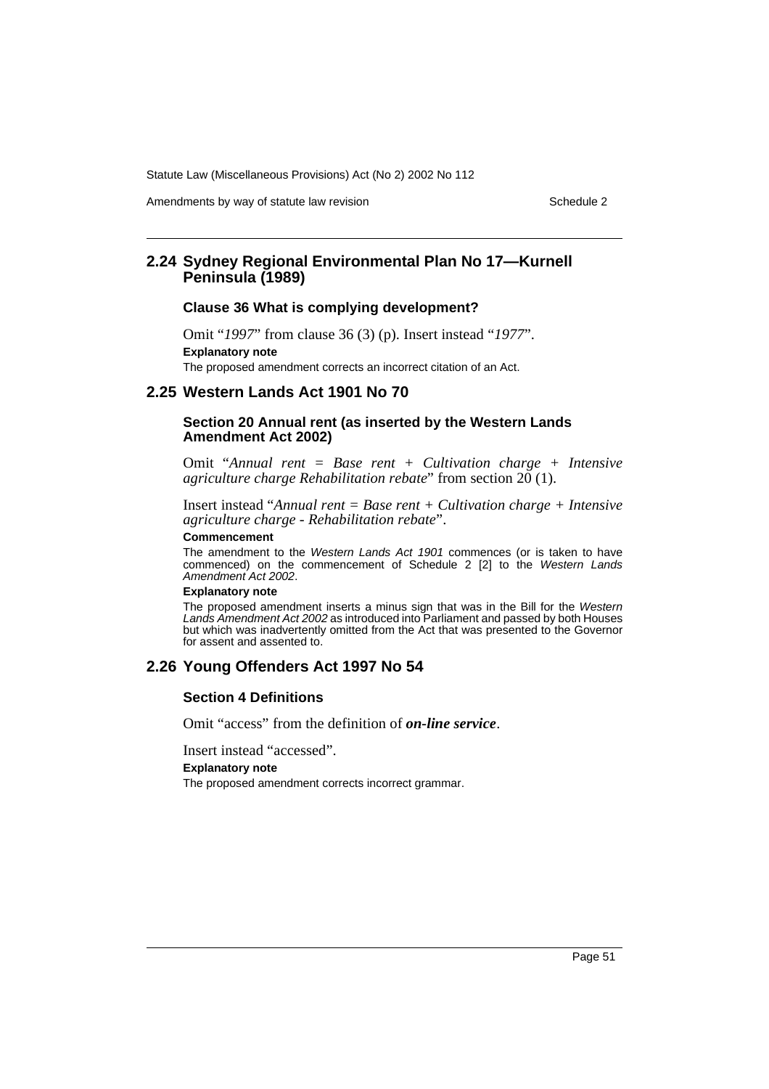Amendments by way of statute law revision example 2

## **2.24 Sydney Regional Environmental Plan No 17—Kurnell Peninsula (1989)**

#### **Clause 36 What is complying development?**

Omit "*1997*" from clause 36 (3) (p). Insert instead "*1977*". **Explanatory note** The proposed amendment corrects an incorrect citation of an Act.

#### **2.25 Western Lands Act 1901 No 70**

#### **Section 20 Annual rent (as inserted by the Western Lands Amendment Act 2002)**

Omit "*Annual rent = Base rent + Cultivation charge + Intensive agriculture charge Rehabilitation rebate*" from section  $20(1)$ .

Insert instead "*Annual rent = Base rent + Cultivation charge + Intensive agriculture charge - Rehabilitation rebate*".

#### **Commencement**

The amendment to the Western Lands Act 1901 commences (or is taken to have commenced) on the commencement of Schedule 2 [2] to the Western Lands Amendment Act 2002.

#### **Explanatory note**

The proposed amendment inserts a minus sign that was in the Bill for the Western Lands Amendment Act 2002 as introduced into Parliament and passed by both Houses but which was inadvertently omitted from the Act that was presented to the Governor for assent and assented to.

# **2.26 Young Offenders Act 1997 No 54**

#### **Section 4 Definitions**

Omit "access" from the definition of *on-line service*.

Insert instead "accessed".

**Explanatory note**

The proposed amendment corrects incorrect grammar.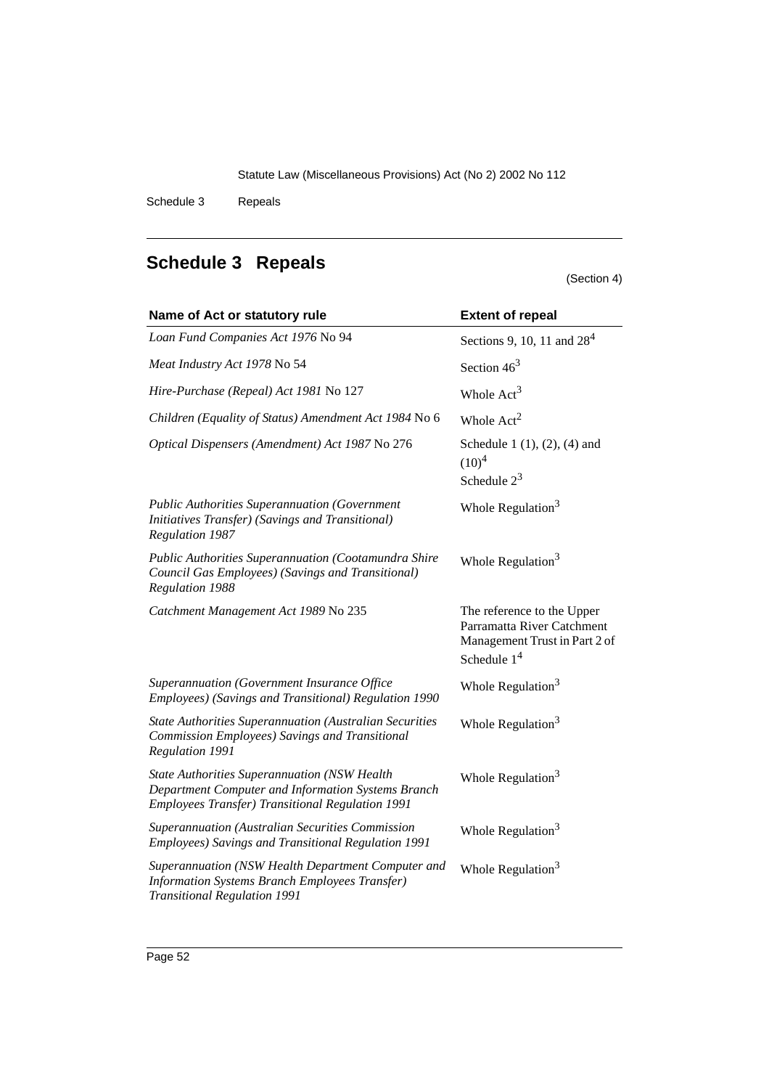Schedule 3 Repeals

# <span id="page-52-0"></span>**Schedule 3 Repeals**

# (Section 4)

| Name of Act or statutory rule                                                                                                                                        | <b>Extent of repeal</b>                                                                                    |
|----------------------------------------------------------------------------------------------------------------------------------------------------------------------|------------------------------------------------------------------------------------------------------------|
| Loan Fund Companies Act 1976 No 94                                                                                                                                   | Sections 9, 10, 11 and $284$                                                                               |
| Meat Industry Act 1978 No 54                                                                                                                                         | Section $463$                                                                                              |
| Hire-Purchase (Repeal) Act 1981 No 127                                                                                                                               | Whole $Act3$                                                                                               |
| Children (Equality of Status) Amendment Act 1984 No 6                                                                                                                | Whole $Act2$                                                                                               |
| Optical Dispensers (Amendment) Act 1987 No 276                                                                                                                       | Schedule 1 $(1), (2), (4)$ and<br>$(10)^4$<br>Schedule $2^3$                                               |
| <b>Public Authorities Superannuation (Government</b><br>Initiatives Transfer) (Savings and Transitional)<br>Regulation 1987                                          | Whole Regulation $3$                                                                                       |
| <b>Public Authorities Superannuation (Cootamundra Shire</b><br>Council Gas Employees) (Savings and Transitional)<br><b>Regulation 1988</b>                           | Whole Regulation $3$                                                                                       |
| Catchment Management Act 1989 No 235                                                                                                                                 | The reference to the Upper<br>Parramatta River Catchment<br>Management Trust in Part 2 of<br>Schedule $14$ |
| Superannuation (Government Insurance Office<br>Employees) (Savings and Transitional) Regulation 1990                                                                 | Whole Regulation <sup>3</sup>                                                                              |
| <b>State Authorities Superannuation (Australian Securities</b><br>Commission Employees) Savings and Transitional<br>Regulation 1991                                  | Whole Regulation <sup>3</sup>                                                                              |
| <b>State Authorities Superannuation (NSW Health</b><br>Department Computer and Information Systems Branch<br><b>Employees Transfer) Transitional Regulation 1991</b> | Whole Regulation <sup>3</sup>                                                                              |
| Superannuation (Australian Securities Commission<br>Employees) Savings and Transitional Regulation 1991                                                              | Whole Regulation <sup>3</sup>                                                                              |
| Superannuation (NSW Health Department Computer and<br><b>Information Systems Branch Employees Transfer)</b><br><b>Transitional Regulation 1991</b>                   | Whole Regulation <sup>3</sup>                                                                              |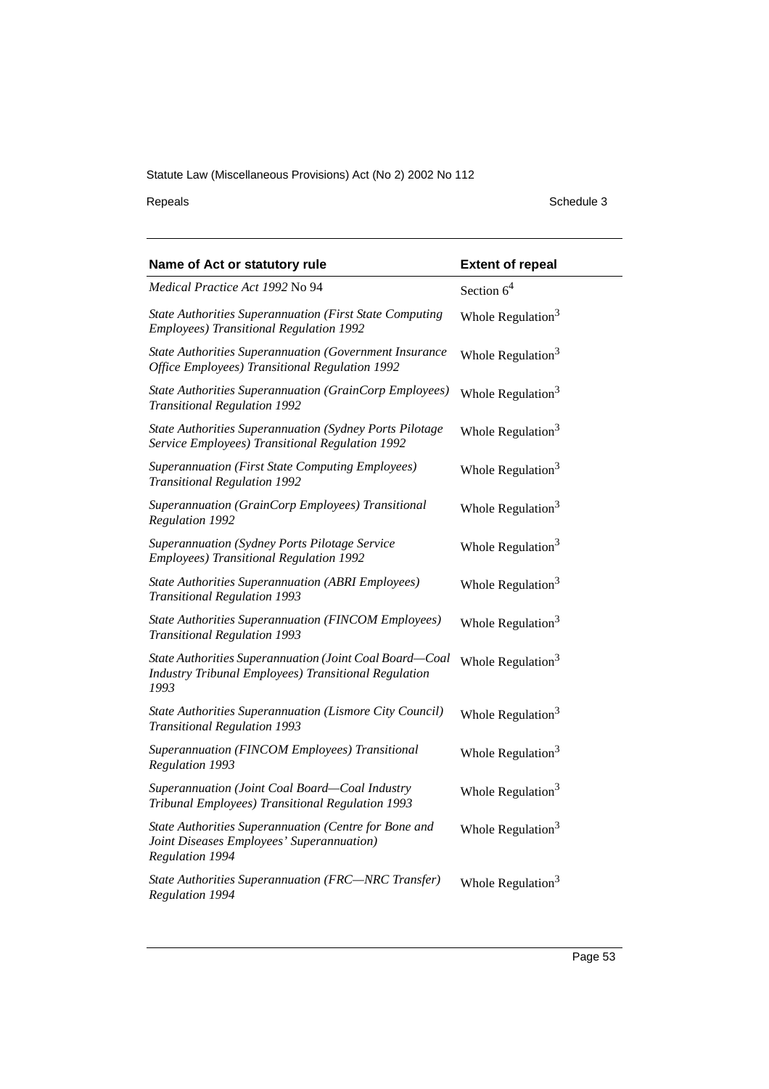Repeals Schedule 3

| Name of Act or statutory rule                                                                                           | <b>Extent of repeal</b>       |
|-------------------------------------------------------------------------------------------------------------------------|-------------------------------|
| <i>Medical Practice Act 1992 No 94</i>                                                                                  | Section $64$                  |
| <b>State Authorities Superannuation (First State Computing</b><br>Employees) Transitional Regulation 1992               | Whole Regulation <sup>3</sup> |
| State Authorities Superannuation (Government Insurance<br>Office Employees) Transitional Regulation 1992                | Whole Regulation <sup>3</sup> |
| State Authorities Superannuation (GrainCorp Employees)<br><b>Transitional Regulation 1992</b>                           | Whole Regulation <sup>3</sup> |
| State Authorities Superannuation (Sydney Ports Pilotage<br>Service Employees) Transitional Regulation 1992              | Whole Regulation <sup>3</sup> |
| <b>Superannuation (First State Computing Employees)</b><br><b>Transitional Regulation 1992</b>                          | Whole Regulation <sup>3</sup> |
| Superannuation (GrainCorp Employees) Transitional<br>Regulation 1992                                                    | Whole Regulation <sup>3</sup> |
| <b>Superannuation (Sydney Ports Pilotage Service</b><br>Employees) Transitional Regulation 1992                         | Whole Regulation <sup>3</sup> |
| <b>State Authorities Superannuation (ABRI Employees)</b><br><b>Transitional Regulation 1993</b>                         | Whole Regulation <sup>3</sup> |
| <b>State Authorities Superannuation (FINCOM Employees)</b><br><b>Transitional Regulation 1993</b>                       | Whole Regulation <sup>3</sup> |
| State Authorities Superannuation (Joint Coal Board-Coal<br>Industry Tribunal Employees) Transitional Regulation<br>1993 | Whole Regulation <sup>3</sup> |
| State Authorities Superannuation (Lismore City Council)<br><b>Transitional Regulation 1993</b>                          | Whole Regulation <sup>3</sup> |
| Superannuation (FINCOM Employees) Transitional<br>Regulation 1993                                                       | Whole Regulation <sup>3</sup> |
| Superannuation (Joint Coal Board-Coal Industry<br>Tribunal Employees) Transitional Regulation 1993                      | Whole Regulation <sup>3</sup> |
| State Authorities Superannuation (Centre for Bone and<br>Joint Diseases Employees' Superannuation)<br>Regulation 1994   | Whole Regulation <sup>3</sup> |
| State Authorities Superannuation (FRC-NRC Transfer)<br>Regulation 1994                                                  | Whole Regulation <sup>3</sup> |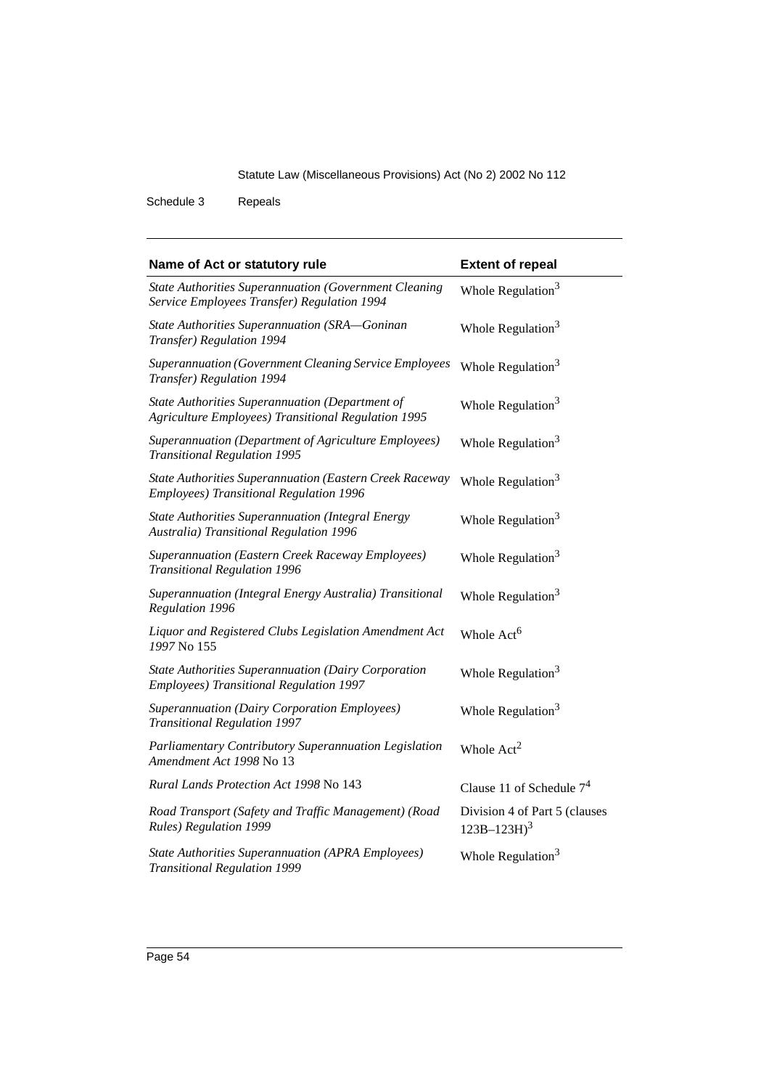Schedule 3 Repeals

| Name of Act or statutory rule                                                                                 | <b>Extent of repeal</b>                           |
|---------------------------------------------------------------------------------------------------------------|---------------------------------------------------|
| <b>State Authorities Superannuation (Government Cleaning</b><br>Service Employees Transfer) Regulation 1994   | Whole Regulation <sup>3</sup>                     |
| State Authorities Superannuation (SRA-Goninan<br>Transfer) Regulation 1994                                    | Whole Regulation <sup>3</sup>                     |
| Superannuation (Government Cleaning Service Employees<br>Transfer) Regulation 1994                            | Whole Regulation <sup>3</sup>                     |
| State Authorities Superannuation (Department of<br><b>Agriculture Employees) Transitional Regulation 1995</b> | Whole Regulation <sup>3</sup>                     |
| Superannuation (Department of Agriculture Employees)<br><b>Transitional Regulation 1995</b>                   | Whole Regulation <sup>3</sup>                     |
| State Authorities Superannuation (Eastern Creek Raceway<br>Employees) Transitional Regulation 1996            | Whole Regulation <sup>3</sup>                     |
| <b>State Authorities Superannuation (Integral Energy</b><br>Australia) Transitional Regulation 1996           | Whole Regulation <sup>3</sup>                     |
| Superannuation (Eastern Creek Raceway Employees)<br><b>Transitional Regulation 1996</b>                       | Whole Regulation <sup>3</sup>                     |
| Superannuation (Integral Energy Australia) Transitional<br>Regulation 1996                                    | Whole Regulation <sup>3</sup>                     |
| Liquor and Registered Clubs Legislation Amendment Act<br>1997 No 155                                          | Whole Act <sup>6</sup>                            |
| State Authorities Superannuation (Dairy Corporation<br>Employees) Transitional Regulation 1997                | Whole Regulation <sup>3</sup>                     |
| Superannuation (Dairy Corporation Employees)<br><b>Transitional Regulation 1997</b>                           | Whole Regulation <sup>3</sup>                     |
| Parliamentary Contributory Superannuation Legislation<br>Amendment Act 1998 No 13                             | Whole $Act2$                                      |
| Rural Lands Protection Act 1998 No 143                                                                        | Clause 11 of Schedule $74$                        |
| Road Transport (Safety and Traffic Management) (Road<br>Rules) Regulation 1999                                | Division 4 of Part 5 (clauses<br>$123B - 123H)^3$ |
| <b>State Authorities Superannuation (APRA Employees)</b><br><b>Transitional Regulation 1999</b>               | Whole Regulation $3$                              |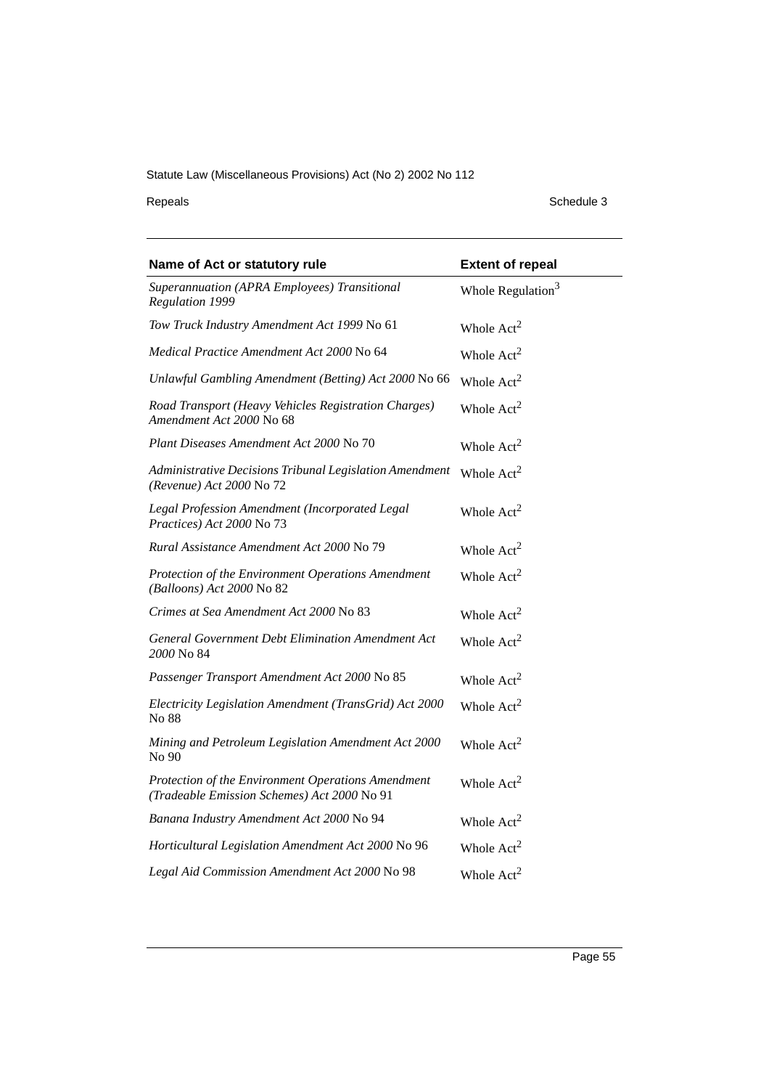Repeals Schedule 3

| Name of Act or statutory rule                                                                     | <b>Extent of repeal</b>       |
|---------------------------------------------------------------------------------------------------|-------------------------------|
| Superannuation (APRA Employees) Transitional<br>Regulation 1999                                   | Whole Regulation <sup>3</sup> |
| Tow Truck Industry Amendment Act 1999 No 61                                                       | Whole $Act2$                  |
| Medical Practice Amendment Act 2000 No 64                                                         | Whole $Act2$                  |
| Unlawful Gambling Amendment (Betting) Act 2000 No 66                                              | Whole $Act2$                  |
| Road Transport (Heavy Vehicles Registration Charges)<br>Amendment Act 2000 No 68                  | Whole $Act2$                  |
| Plant Diseases Amendment Act 2000 No 70                                                           | Whole $Act2$                  |
| Administrative Decisions Tribunal Legislation Amendment<br>(Revenue) Act 2000 No 72               | Whole $Act2$                  |
| Legal Profession Amendment (Incorporated Legal<br>Practices) Act 2000 No 73                       | Whole $Act2$                  |
| Rural Assistance Amendment Act 2000 No 79                                                         | Whole Act <sup>2</sup>        |
| Protection of the Environment Operations Amendment<br>(Balloons) Act 2000 No 82                   | Whole $Act2$                  |
| Crimes at Sea Amendment Act 2000 No 83                                                            | Whole $Act2$                  |
| General Government Debt Elimination Amendment Act<br>2000 No 84                                   | Whole $Act2$                  |
| Passenger Transport Amendment Act 2000 No 85                                                      | Whole $Act2$                  |
| Electricity Legislation Amendment (TransGrid) Act 2000<br>No 88                                   | Whole $Act2$                  |
| Mining and Petroleum Legislation Amendment Act 2000<br>No 90                                      | Whole $Act2$                  |
| Protection of the Environment Operations Amendment<br>(Tradeable Emission Schemes) Act 2000 No 91 | Whole $Act2$                  |
| Banana Industry Amendment Act 2000 No 94                                                          | Whole $Act2$                  |
| Horticultural Legislation Amendment Act 2000 No 96                                                | Whole $Act2$                  |
| Legal Aid Commission Amendment Act 2000 No 98                                                     | Whole $Act2$                  |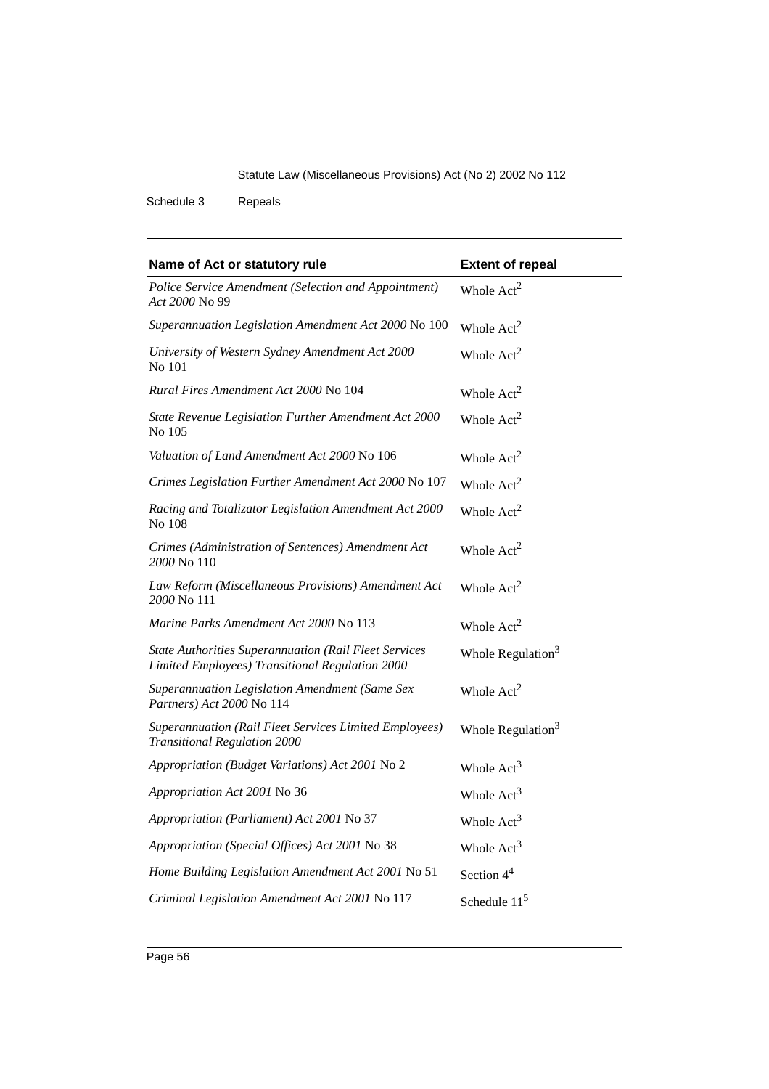Schedule 3 Repeals

| Name of Act or statutory rule                                                                                   | <b>Extent of repeal</b> |
|-----------------------------------------------------------------------------------------------------------------|-------------------------|
| Police Service Amendment (Selection and Appointment)<br>Act 2000 No 99                                          | Whole $Act2$            |
| Superannuation Legislation Amendment Act 2000 No 100                                                            | Whole $Act2$            |
| University of Western Sydney Amendment Act 2000<br>No 101                                                       | Whole $Act2$            |
| Rural Fires Amendment Act 2000 No 104                                                                           | Whole $Act2$            |
| State Revenue Legislation Further Amendment Act 2000<br>No 105                                                  | Whole Act <sup>2</sup>  |
| Valuation of Land Amendment Act 2000 No 106                                                                     | Whole $Act2$            |
| Crimes Legislation Further Amendment Act 2000 No 107                                                            | Whole Act <sup>2</sup>  |
| Racing and Totalizator Legislation Amendment Act 2000<br>No 108                                                 | Whole $Act2$            |
| Crimes (Administration of Sentences) Amendment Act<br>2000 No 110                                               | Whole $Act2$            |
| Law Reform (Miscellaneous Provisions) Amendment Act<br>2000 No 111                                              | Whole $Act2$            |
| Marine Parks Amendment Act 2000 No 113                                                                          | Whole Act <sup>2</sup>  |
| <b>State Authorities Superannuation (Rail Fleet Services</b><br>Limited Employees) Transitional Regulation 2000 | Whole Regulation $3$    |
| Superannuation Legislation Amendment (Same Sex<br>Partners) Act 2000 No 114                                     | Whole $Act2$            |
| Superannuation (Rail Fleet Services Limited Employees)<br><b>Transitional Regulation 2000</b>                   | Whole Regulation $3$    |
| Appropriation (Budget Variations) Act 2001 No 2                                                                 | Whole $Act3$            |
| <i>Appropriation Act 2001</i> No 36                                                                             | Whole Act <sup>3</sup>  |
| Appropriation (Parliament) Act 2001 No 37                                                                       | Whole $Act3$            |
| Appropriation (Special Offices) Act 2001 No 38                                                                  | Whole Act <sup>3</sup>  |
| Home Building Legislation Amendment Act 2001 No 51                                                              | Section $44$            |
| Criminal Legislation Amendment Act 2001 No 117                                                                  | Schedule $115$          |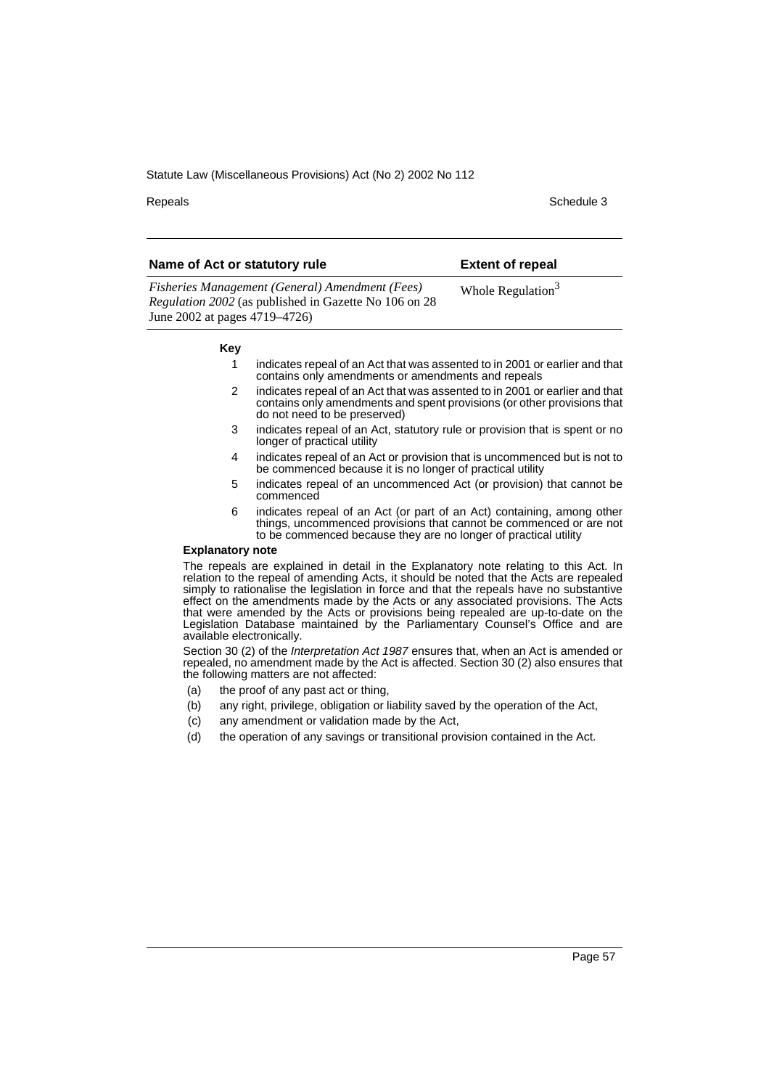Repeals **Schedule 3** Schedule 3

- 1 indicates repeal of an Act that was assented to in 2001 or earlier and that contains only amendments or amendments and repeals
- 2 indicates repeal of an Act that was assented to in 2001 or earlier and that contains only amendments and spent provisions (or other provisions that do not need to be preserved)
- 3 indicates repeal of an Act, statutory rule or provision that is spent or no longer of practical utility
- 4 indicates repeal of an Act or provision that is uncommenced but is not to be commenced because it is no longer of practical utility
- 5 indicates repeal of an uncommenced Act (or provision) that cannot be commenced
- 6 indicates repeal of an Act (or part of an Act) containing, among other things, uncommenced provisions that cannot be commenced or are not to be commenced because they are no longer of practical utility

#### **Explanatory note**

The repeals are explained in detail in the Explanatory note relating to this Act. In relation to the repeal of amending Acts, it should be noted that the Acts are repealed simply to rationalise the legislation in force and that the repeals have no substantive effect on the amendments made by the Acts or any associated provisions. The Acts that were amended by the Acts or provisions being repealed are up-to-date on the Legislation Database maintained by the Parliamentary Counsel's Office and are available electronically.

Section 30 (2) of the Interpretation Act 1987 ensures that, when an Act is amended or repealed, no amendment made by the Act is affected. Section 30 (2) also ensures that the following matters are not affected:

- (a) the proof of any past act or thing,
- (b) any right, privilege, obligation or liability saved by the operation of the Act,
- (c) any amendment or validation made by the Act,
- (d) the operation of any savings or transitional provision contained in the Act.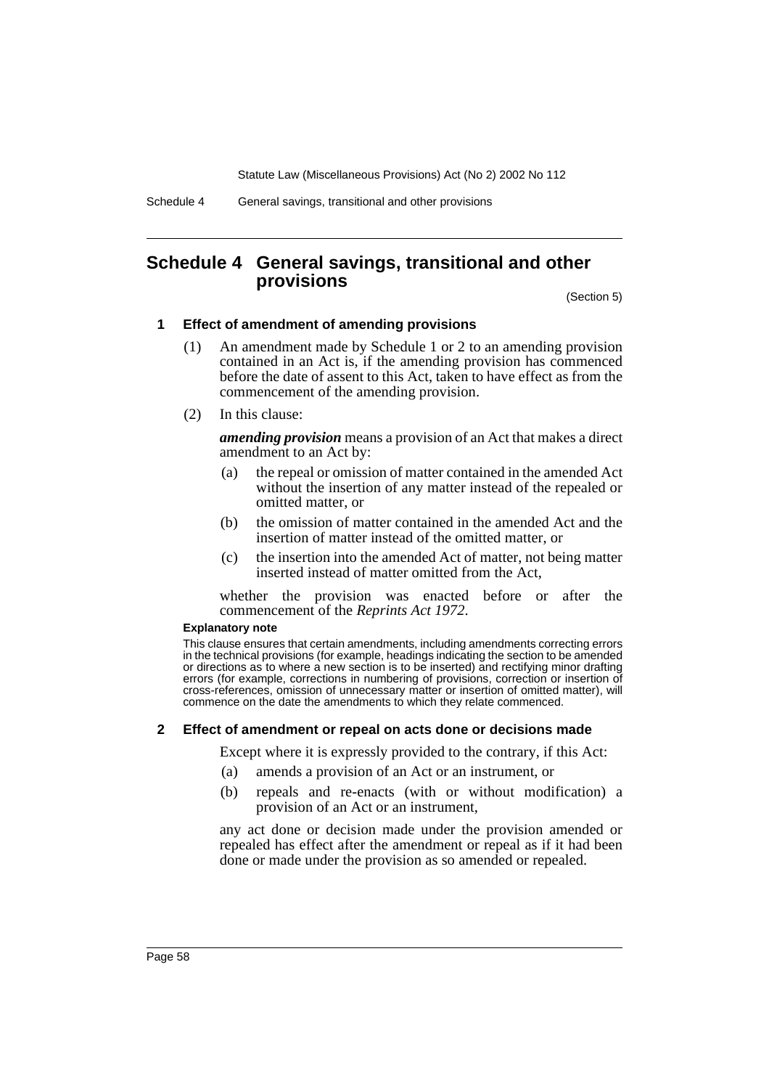Schedule 4 General savings, transitional and other provisions

# <span id="page-58-0"></span>**Schedule 4 General savings, transitional and other provisions**

(Section 5)

#### **1 Effect of amendment of amending provisions**

- (1) An amendment made by Schedule 1 or 2 to an amending provision contained in an Act is, if the amending provision has commenced before the date of assent to this Act, taken to have effect as from the commencement of the amending provision.
- (2) In this clause:

*amending provision* means a provision of an Act that makes a direct amendment to an Act by:

- (a) the repeal or omission of matter contained in the amended Act without the insertion of any matter instead of the repealed or omitted matter, or
- (b) the omission of matter contained in the amended Act and the insertion of matter instead of the omitted matter, or
- (c) the insertion into the amended Act of matter, not being matter inserted instead of matter omitted from the Act,

whether the provision was enacted before or after the commencement of the *Reprints Act 1972*.

#### **Explanatory note**

This clause ensures that certain amendments, including amendments correcting errors in the technical provisions (for example, headings indicating the section to be amended or directions as to where a new section is to be inserted) and rectifying minor drafting errors (for example, corrections in numbering of provisions, correction or insertion of cross-references, omission of unnecessary matter or insertion of omitted matter), will commence on the date the amendments to which they relate commenced.

#### **2 Effect of amendment or repeal on acts done or decisions made**

Except where it is expressly provided to the contrary, if this Act:

- (a) amends a provision of an Act or an instrument, or
- (b) repeals and re-enacts (with or without modification) a provision of an Act or an instrument,

any act done or decision made under the provision amended or repealed has effect after the amendment or repeal as if it had been done or made under the provision as so amended or repealed.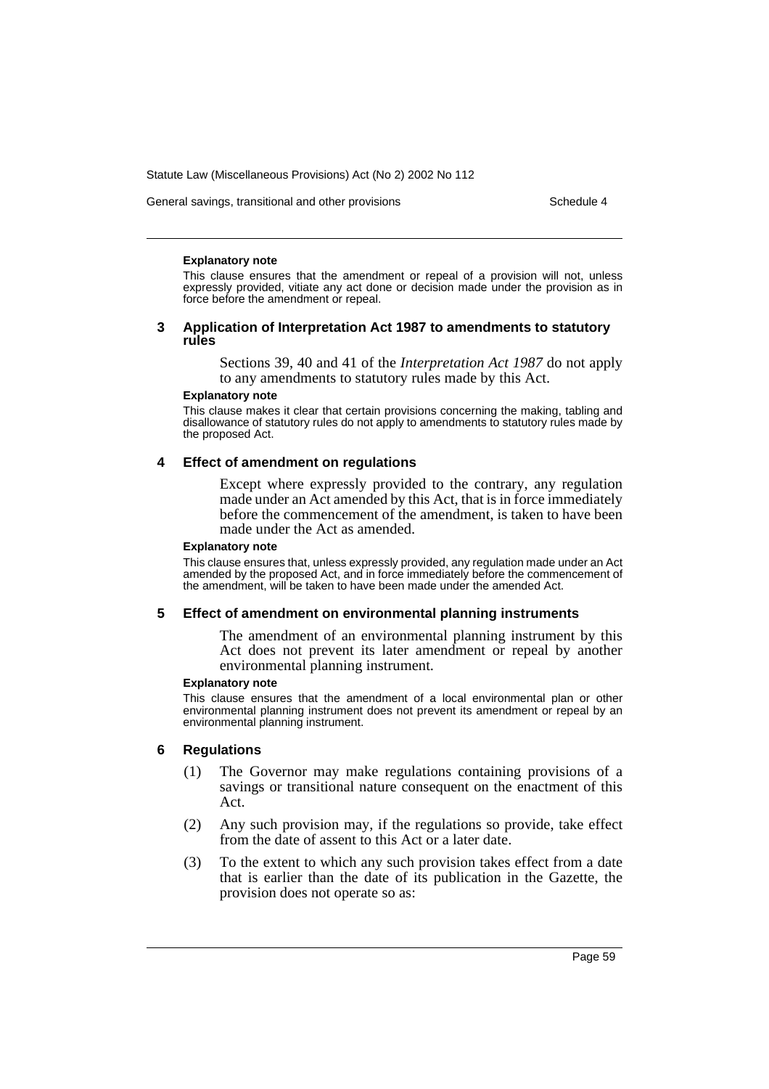General savings, transitional and other provisions Schedule 4

#### **Explanatory note**

This clause ensures that the amendment or repeal of a provision will not, unless expressly provided, vitiate any act done or decision made under the provision as in force before the amendment or repeal.

#### **3 Application of Interpretation Act 1987 to amendments to statutory rules**

Sections 39, 40 and 41 of the *Interpretation Act 1987* do not apply to any amendments to statutory rules made by this Act.

#### **Explanatory note**

This clause makes it clear that certain provisions concerning the making, tabling and disallowance of statutory rules do not apply to amendments to statutory rules made by the proposed Act.

#### **4 Effect of amendment on regulations**

Except where expressly provided to the contrary, any regulation made under an Act amended by this Act, that is in force immediately before the commencement of the amendment, is taken to have been made under the Act as amended.

#### **Explanatory note**

This clause ensures that, unless expressly provided, any regulation made under an Act amended by the proposed Act, and in force immediately before the commencement of the amendment, will be taken to have been made under the amended Act.

#### **5 Effect of amendment on environmental planning instruments**

The amendment of an environmental planning instrument by this Act does not prevent its later amendment or repeal by another environmental planning instrument.

#### **Explanatory note**

This clause ensures that the amendment of a local environmental plan or other environmental planning instrument does not prevent its amendment or repeal by an environmental planning instrument.

#### **6 Regulations**

- (1) The Governor may make regulations containing provisions of a savings or transitional nature consequent on the enactment of this Act.
- (2) Any such provision may, if the regulations so provide, take effect from the date of assent to this Act or a later date.
- (3) To the extent to which any such provision takes effect from a date that is earlier than the date of its publication in the Gazette, the provision does not operate so as: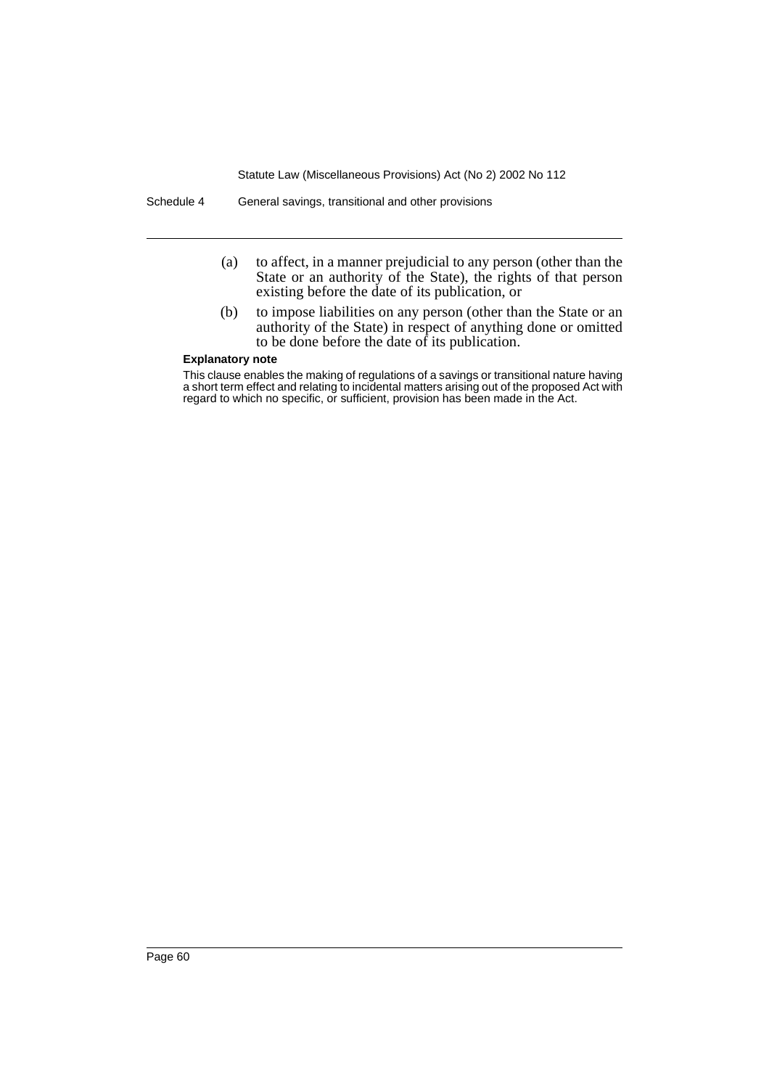Schedule 4 General savings, transitional and other provisions

- (a) to affect, in a manner prejudicial to any person (other than the State or an authority of the State), the rights of that person existing before the date of its publication, or
- (b) to impose liabilities on any person (other than the State or an authority of the State) in respect of anything done or omitted to be done before the date of its publication.

#### **Explanatory note**

This clause enables the making of regulations of a savings or transitional nature having a short term effect and relating to incidental matters arising out of the proposed Act with regard to which no specific, or sufficient, provision has been made in the Act.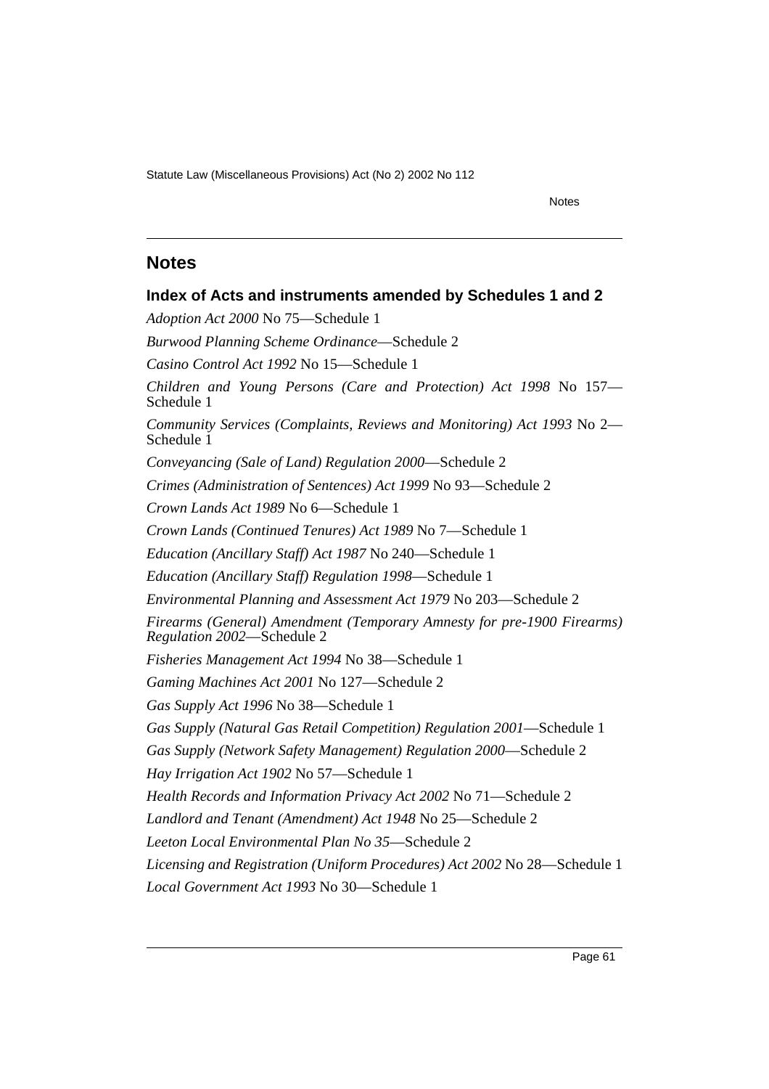Notes

# <span id="page-61-0"></span>**Notes**

**Index of Acts and instruments amended by Schedules 1 and 2** *Adoption Act 2000* No 75—Schedule 1 *Burwood Planning Scheme Ordinance*—Schedule 2 *Casino Control Act 1992* No 15—Schedule 1 *Children and Young Persons (Care and Protection) Act 1998* No 157— Schedule 1 *Community Services (Complaints, Reviews and Monitoring) Act 1993* No 2— Schedule 1 *Conveyancing (Sale of Land) Regulation 2000*—Schedule 2 *Crimes (Administration of Sentences) Act 1999* No 93—Schedule 2 *Crown Lands Act 1989* No 6—Schedule 1 *Crown Lands (Continued Tenures) Act 1989* No 7—Schedule 1 *Education (Ancillary Staff) Act 1987* No 240—Schedule 1 *Education (Ancillary Staff) Regulation 1998*—Schedule 1 *Environmental Planning and Assessment Act 1979* No 203—Schedule 2 *Firearms (General) Amendment (Temporary Amnesty for pre-1900 Firearms) Regulation 2002*—Schedule 2 *Fisheries Management Act 1994* No 38—Schedule 1 *Gaming Machines Act 2001* No 127—Schedule 2 *Gas Supply Act 1996* No 38—Schedule 1 *Gas Supply (Natural Gas Retail Competition) Regulation 2001*—Schedule 1 *Gas Supply (Network Safety Management) Regulation 2000*—Schedule 2 *Hay Irrigation Act 1902* No 57—Schedule 1 *Health Records and Information Privacy Act 2002* No 71—Schedule 2 *Landlord and Tenant (Amendment) Act 1948* No 25—Schedule 2 *Leeton Local Environmental Plan No 35*—Schedule 2 *Licensing and Registration (Uniform Procedures) Act 2002* No 28—Schedule 1 *Local Government Act 1993* No 30—Schedule 1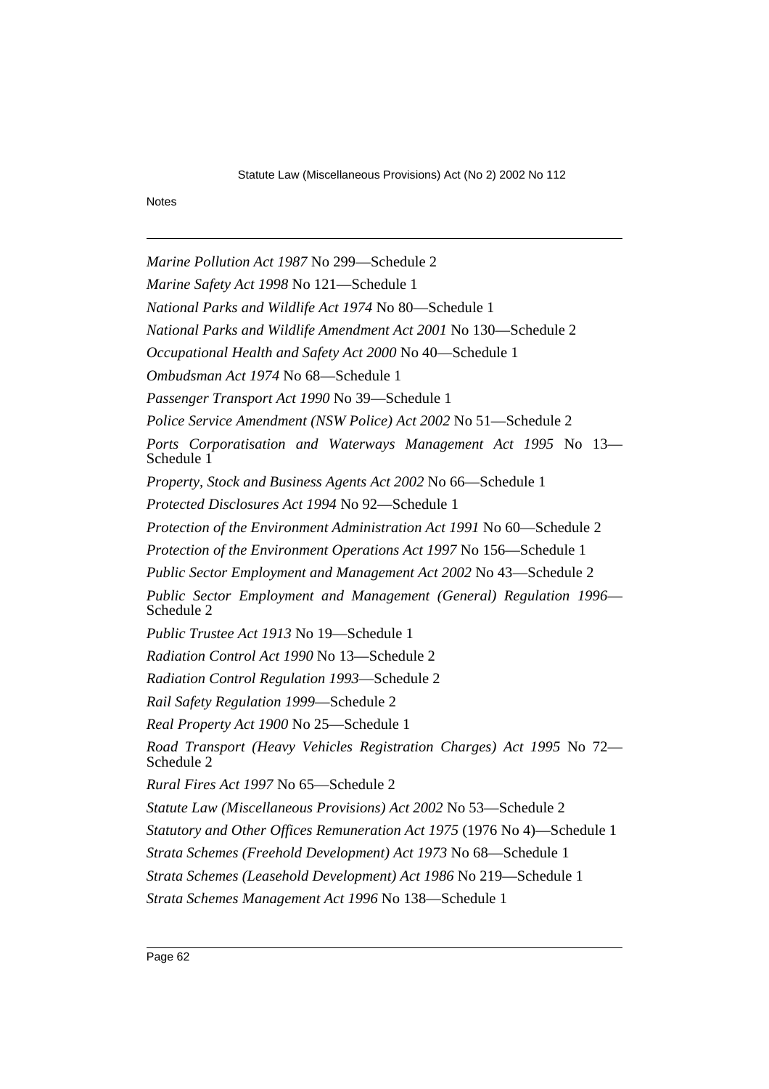Notes

*Marine Pollution Act 1987* No 299—Schedule 2 *Marine Safety Act 1998* No 121—Schedule 1 *National Parks and Wildlife Act 1974* No 80—Schedule 1 *National Parks and Wildlife Amendment Act 2001* No 130—Schedule 2 *Occupational Health and Safety Act 2000* No 40—Schedule 1 *Ombudsman Act 1974* No 68—Schedule 1 *Passenger Transport Act 1990* No 39—Schedule 1 *Police Service Amendment (NSW Police) Act 2002* No 51—Schedule 2 *Ports Corporatisation and Waterways Management Act 1995* No 13— Schedule 1 *Property, Stock and Business Agents Act 2002* No 66—Schedule 1 *Protected Disclosures Act 1994* No 92—Schedule 1 *Protection of the Environment Administration Act 1991* No 60—Schedule 2 *Protection of the Environment Operations Act 1997* No 156—Schedule 1 *Public Sector Employment and Management Act 2002* No 43—Schedule 2 *Public Sector Employment and Management (General) Regulation 1996*— Schedule 2 *Public Trustee Act 1913* No 19—Schedule 1 *Radiation Control Act 1990* No 13—Schedule 2 *Radiation Control Regulation 1993*—Schedule 2 *Rail Safety Regulation 1999*—Schedule 2 *Real Property Act 1900* No 25—Schedule 1 *Road Transport (Heavy Vehicles Registration Charges) Act 1995* No 72— Schedule 2 *Rural Fires Act 1997* No 65—Schedule 2 *Statute Law (Miscellaneous Provisions) Act 2002* No 53—Schedule 2 *Statutory and Other Offices Remuneration Act 1975* (1976 No 4)—Schedule 1 *Strata Schemes (Freehold Development) Act 1973* No 68—Schedule 1 *Strata Schemes (Leasehold Development) Act 1986* No 219—Schedule 1 *Strata Schemes Management Act 1996* No 138—Schedule 1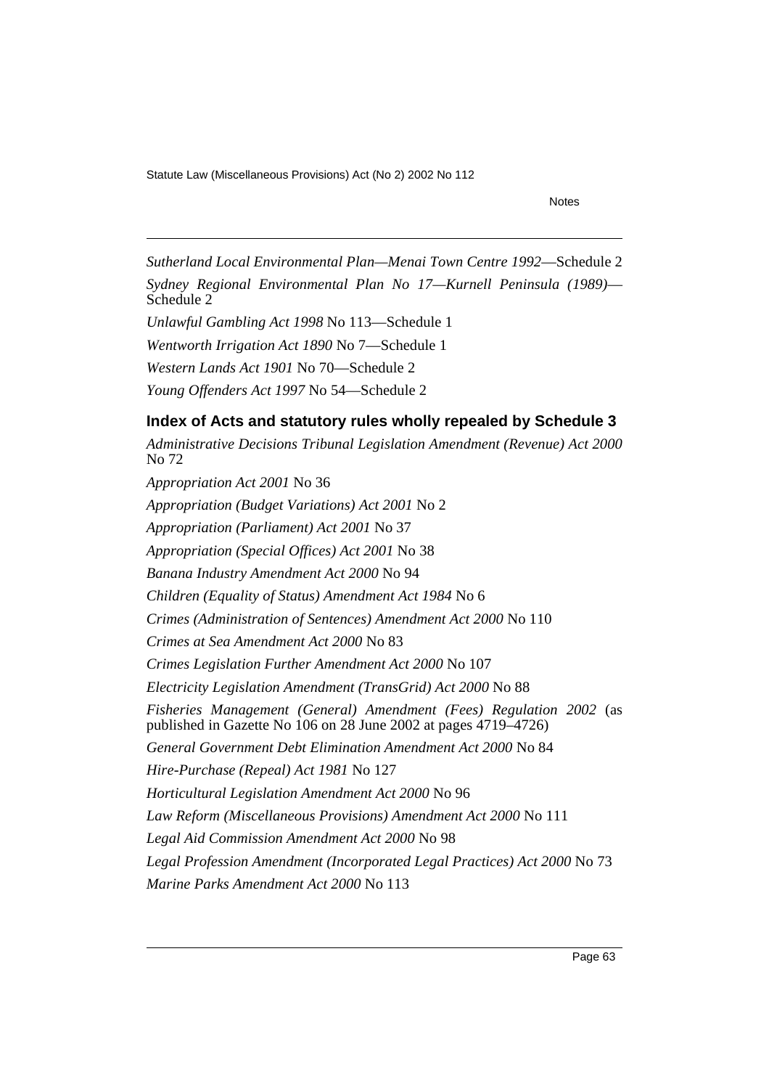#### Notes

*Sutherland Local Environmental Plan—Menai Town Centre 1992*—Schedule 2 *Sydney Regional Environmental Plan No 17—Kurnell Peninsula (1989)*— Schedule 2

*Unlawful Gambling Act 1998* No 113—Schedule 1

*Wentworth Irrigation Act 1890* No 7—Schedule 1

*Western Lands Act 1901* No 70—Schedule 2

*Young Offenders Act 1997* No 54—Schedule 2

# **Index of Acts and statutory rules wholly repealed by Schedule 3**

*Administrative Decisions Tribunal Legislation Amendment (Revenue) Act 2000* No 72 *Appropriation Act 2001* No 36 *Appropriation (Budget Variations) Act 2001* No 2 *Appropriation (Parliament) Act 2001* No 37 *Appropriation (Special Offices) Act 2001* No 38 *Banana Industry Amendment Act 2000* No 94 *Children (Equality of Status) Amendment Act 1984* No 6 *Crimes (Administration of Sentences) Amendment Act 2000* No 110 *Crimes at Sea Amendment Act 2000* No 83 *Crimes Legislation Further Amendment Act 2000* No 107 *Electricity Legislation Amendment (TransGrid) Act 2000* No 88 *Fisheries Management (General) Amendment (Fees) Regulation 2002* (as published in Gazette No 106 on 28 June 2002 at pages 4719–4726) *General Government Debt Elimination Amendment Act 2000* No 84 *Hire-Purchase (Repeal) Act 1981* No 127 *Horticultural Legislation Amendment Act 2000* No 96 *Law Reform (Miscellaneous Provisions) Amendment Act 2000* No 111 *Legal Aid Commission Amendment Act 2000* No 98 *Legal Profession Amendment (Incorporated Legal Practices) Act 2000* No 73 *Marine Parks Amendment Act 2000* No 113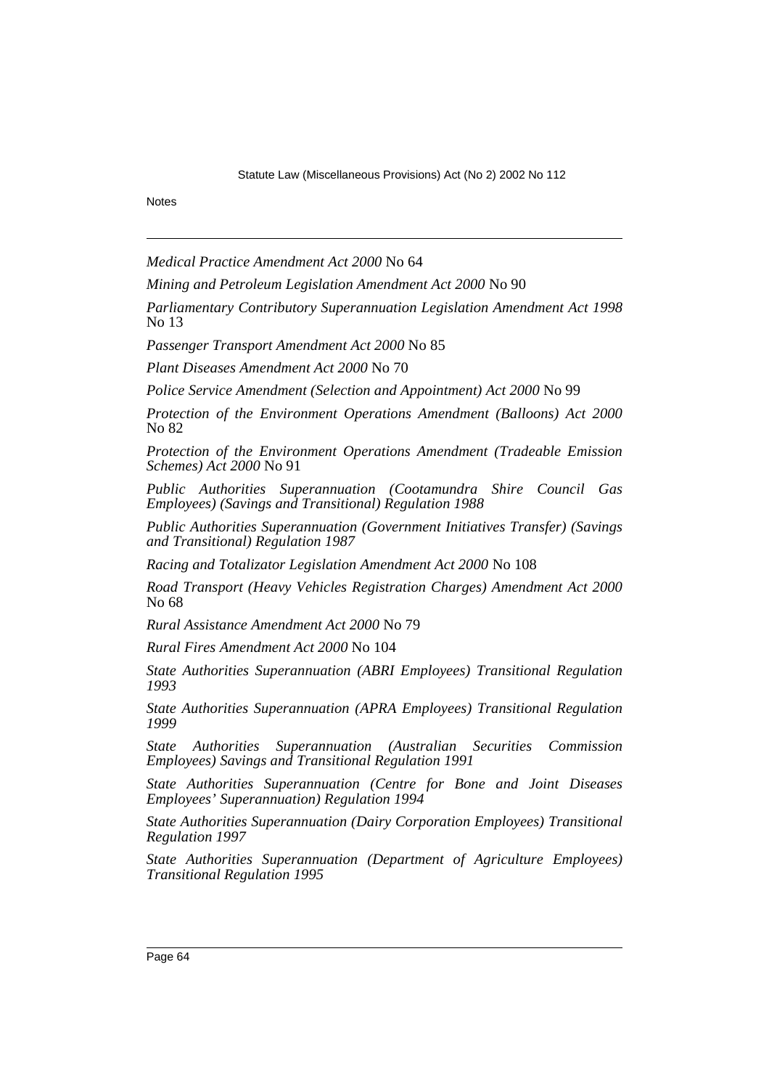Notes

*Medical Practice Amendment Act 2000* No 64

*Mining and Petroleum Legislation Amendment Act 2000* No 90

*Parliamentary Contributory Superannuation Legislation Amendment Act 1998* No 13

*Passenger Transport Amendment Act 2000* No 85

*Plant Diseases Amendment Act 2000* No 70

*Police Service Amendment (Selection and Appointment) Act 2000* No 99

*Protection of the Environment Operations Amendment (Balloons) Act 2000* No 82

*Protection of the Environment Operations Amendment (Tradeable Emission Schemes) Act 2000* No 91

*Public Authorities Superannuation (Cootamundra Shire Council Gas Employees) (Savings and Transitional) Regulation 1988*

*Public Authorities Superannuation (Government Initiatives Transfer) (Savings and Transitional) Regulation 1987*

*Racing and Totalizator Legislation Amendment Act 2000* No 108

*Road Transport (Heavy Vehicles Registration Charges) Amendment Act 2000* No 68

*Rural Assistance Amendment Act 2000* No 79

*Rural Fires Amendment Act 2000* No 104

*State Authorities Superannuation (ABRI Employees) Transitional Regulation 1993*

*State Authorities Superannuation (APRA Employees) Transitional Regulation 1999*

*State Authorities Superannuation (Australian Securities Commission Employees) Savings and Transitional Regulation 1991*

*State Authorities Superannuation (Centre for Bone and Joint Diseases Employees' Superannuation) Regulation 1994*

*State Authorities Superannuation (Dairy Corporation Employees) Transitional Regulation 1997*

*State Authorities Superannuation (Department of Agriculture Employees) Transitional Regulation 1995*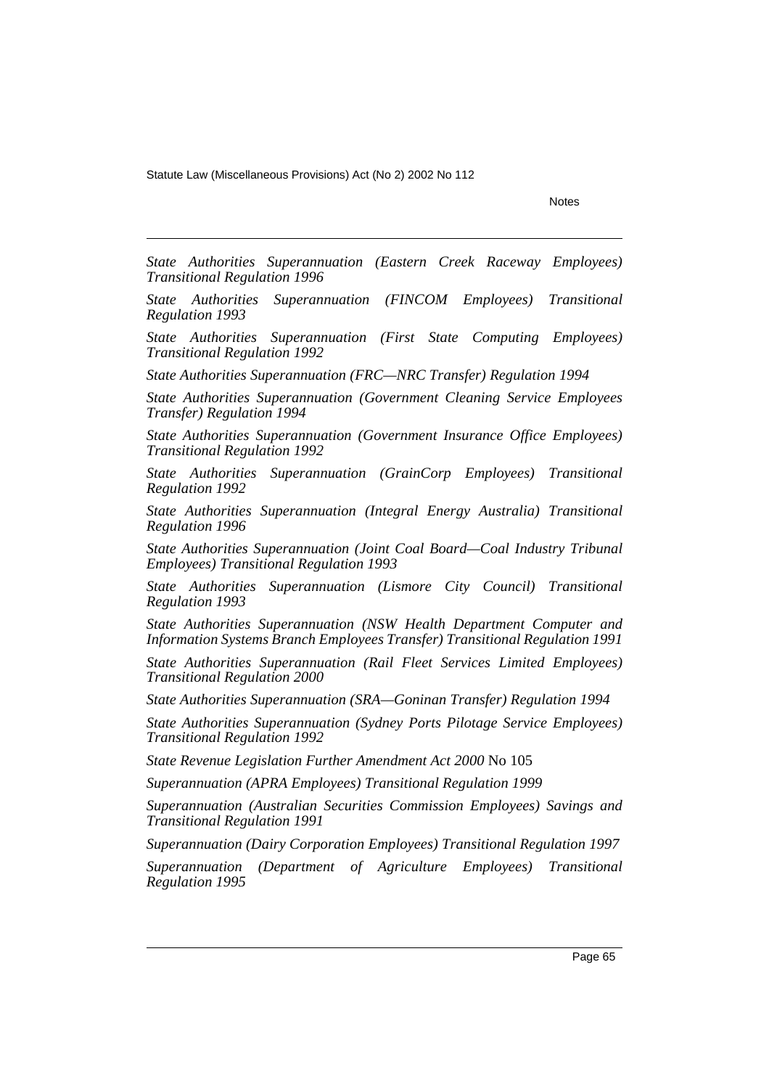Notes

*State Authorities Superannuation (Eastern Creek Raceway Employees) Transitional Regulation 1996*

*State Authorities Superannuation (FINCOM Employees) Transitional Regulation 1993*

*State Authorities Superannuation (First State Computing Employees) Transitional Regulation 1992*

*State Authorities Superannuation (FRC—NRC Transfer) Regulation 1994*

*State Authorities Superannuation (Government Cleaning Service Employees Transfer) Regulation 1994*

*State Authorities Superannuation (Government Insurance Office Employees) Transitional Regulation 1992*

*State Authorities Superannuation (GrainCorp Employees) Transitional Regulation 1992*

*State Authorities Superannuation (Integral Energy Australia) Transitional Regulation 1996*

*State Authorities Superannuation (Joint Coal Board—Coal Industry Tribunal Employees) Transitional Regulation 1993*

*State Authorities Superannuation (Lismore City Council) Transitional Regulation 1993*

*State Authorities Superannuation (NSW Health Department Computer and Information Systems Branch Employees Transfer) Transitional Regulation 1991*

*State Authorities Superannuation (Rail Fleet Services Limited Employees) Transitional Regulation 2000*

*State Authorities Superannuation (SRA—Goninan Transfer) Regulation 1994*

*State Authorities Superannuation (Sydney Ports Pilotage Service Employees) Transitional Regulation 1992*

*State Revenue Legislation Further Amendment Act 2000* No 105

*Superannuation (APRA Employees) Transitional Regulation 1999*

*Superannuation (Australian Securities Commission Employees) Savings and Transitional Regulation 1991*

*Superannuation (Dairy Corporation Employees) Transitional Regulation 1997*

*Superannuation (Department of Agriculture Employees) Transitional Regulation 1995*